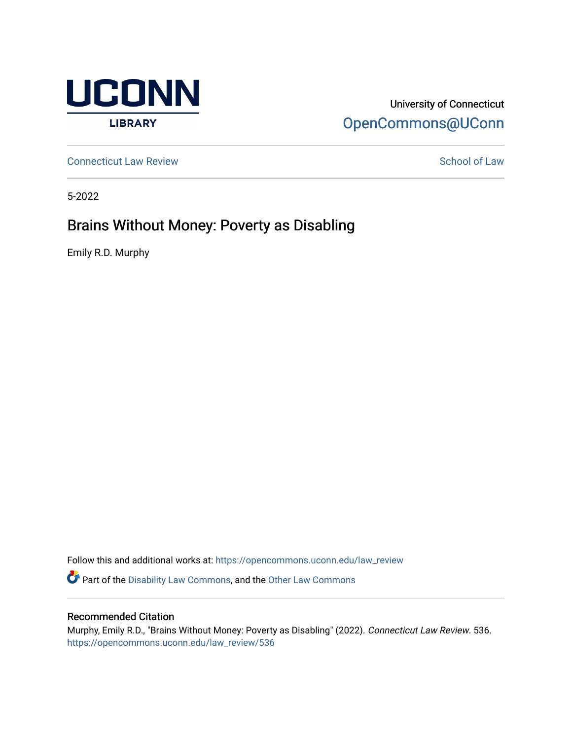

## University of Connecticut [OpenCommons@UConn](https://opencommons.uconn.edu/)

**[Connecticut Law Review](https://opencommons.uconn.edu/law_review) [School of Law](https://opencommons.uconn.edu/sol) Review School of Law School of Law School of Law School of Law School of Law School of Law School of Law School of Law School of Law School of Law School of Law School of Law School of** 

5-2022

# Brains Without Money: Poverty as Disabling

Emily R.D. Murphy

Follow this and additional works at: [https://opencommons.uconn.edu/law\\_review](https://opencommons.uconn.edu/law_review?utm_source=opencommons.uconn.edu%2Flaw_review%2F536&utm_medium=PDF&utm_campaign=PDFCoverPages)

Part of the [Disability Law Commons](https://network.bepress.com/hgg/discipline/1074?utm_source=opencommons.uconn.edu%2Flaw_review%2F536&utm_medium=PDF&utm_campaign=PDFCoverPages), and the [Other Law Commons](https://network.bepress.com/hgg/discipline/621?utm_source=opencommons.uconn.edu%2Flaw_review%2F536&utm_medium=PDF&utm_campaign=PDFCoverPages) 

## Recommended Citation

Murphy, Emily R.D., "Brains Without Money: Poverty as Disabling" (2022). Connecticut Law Review. 536. [https://opencommons.uconn.edu/law\\_review/536](https://opencommons.uconn.edu/law_review/536?utm_source=opencommons.uconn.edu%2Flaw_review%2F536&utm_medium=PDF&utm_campaign=PDFCoverPages)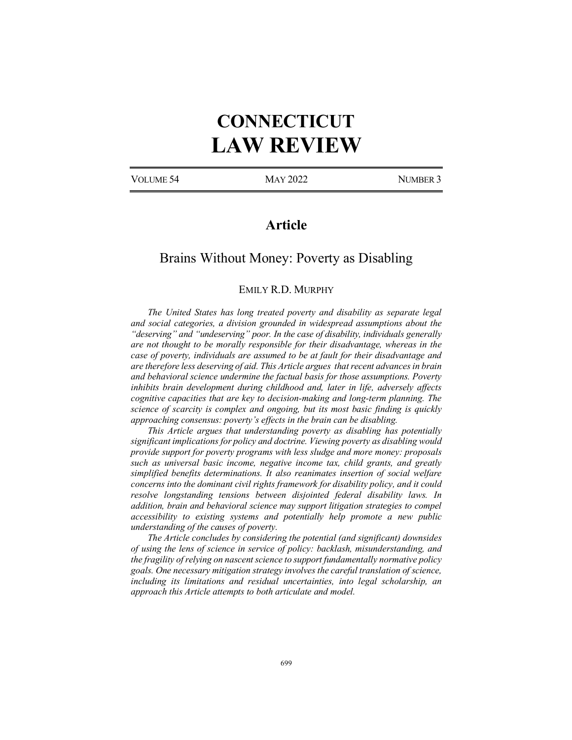# **CONNECTICUT LAW REVIEW**

VOLUME 54 MAY 2022 NUMBER 3

## **Article**

## Brains Without Money: Poverty as Disabling

#### EMILY R.D. MURPHY

*The United States has long treated poverty and disability as separate legal and social categories, a division grounded in widespread assumptions about the "deserving" and "undeserving" poor. In the case of disability, individuals generally are not thought to be morally responsible for their disadvantage, whereas in the case of poverty, individuals are assumed to be at fault for their disadvantage and are therefore less deserving of aid. This Article argues that recent advances in brain and behavioral science undermine the factual basis for those assumptions. Poverty inhibits brain development during childhood and, later in life, adversely affects cognitive capacities that are key to decision-making and long-term planning. The science of scarcity is complex and ongoing, but its most basic finding is quickly approaching consensus: poverty's effects in the brain can be disabling.*

*This Article argues that understanding poverty as disabling has potentially significant implications for policy and doctrine. Viewing poverty as disabling would provide support for poverty programs with less sludge and more money: proposals such as universal basic income, negative income tax, child grants, and greatly simplified benefits determinations. It also reanimates insertion of social welfare concerns into the dominant civil rights framework for disability policy, and it could resolve longstanding tensions between disjointed federal disability laws. In addition, brain and behavioral science may support litigation strategies to compel accessibility to existing systems and potentially help promote a new public understanding of the causes of poverty.*

*The Article concludes by considering the potential (and significant) downsides of using the lens of science in service of policy: backlash, misunderstanding, and the fragility of relying on nascent science to support fundamentally normative policy goals. One necessary mitigation strategy involves the careful translation of science, including its limitations and residual uncertainties, into legal scholarship, an approach this Article attempts to both articulate and model.*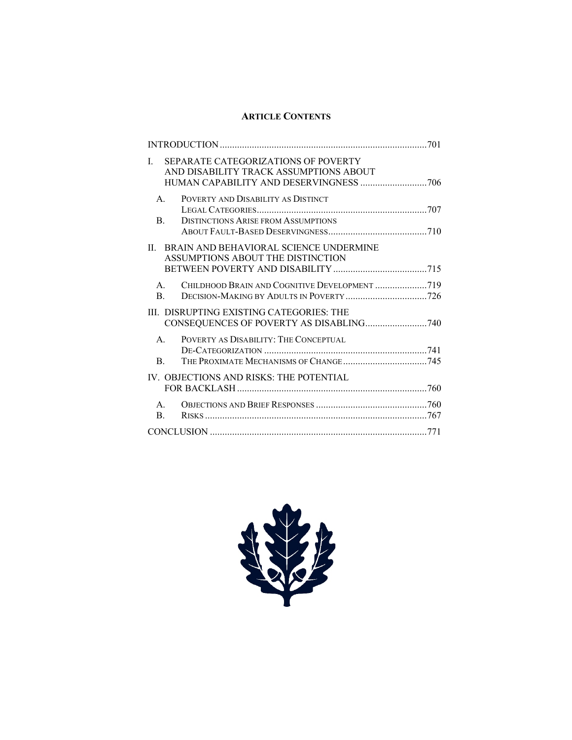## **ARTICLE CONTENTS**

| SEPARATE CATEGORIZATIONS OF POVERTY<br>L<br>AND DISABILITY TRACK ASSUMPTIONS ABOUT                              |  |
|-----------------------------------------------------------------------------------------------------------------|--|
| $A_{\cdot}$<br>POVERTY AND DISABILITY AS DISTINCT<br><sub>B</sub><br><b>DISTINCTIONS ARISE FROM ASSUMPTIONS</b> |  |
| BRAIN AND BEHAVIORAL SCIENCE UNDERMINE<br>$\mathbf{H}$<br>ASSUMPTIONS ABOUT THE DISTINCTION                     |  |
| CHILDHOOD BRAIN AND COGNITIVE DEVELOPMENT 719<br>$A_{\cdot}$<br>B.                                              |  |
| III. DISRUPTING EXISTING CATEGORIES: THE                                                                        |  |
| POVERTY AS DISABILITY: THE CONCEPTUAL<br>$A_{\cdot}$<br>B.                                                      |  |
| IV. OBJECTIONS AND RISKS: THE POTENTIAL                                                                         |  |
| $A_{\cdot}$<br>B.                                                                                               |  |
|                                                                                                                 |  |

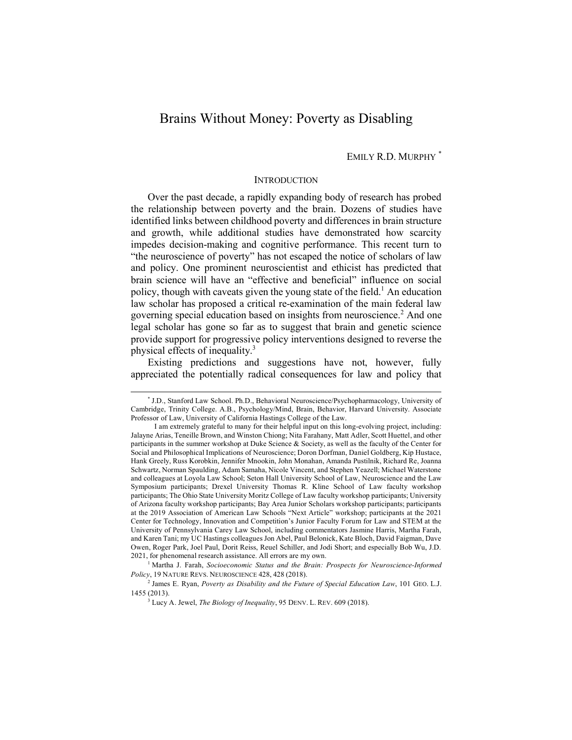## Brains Without Money: Poverty as Disabling

EMILY R.D. MURPHY \*

#### **INTRODUCTION**

Over the past decade, a rapidly expanding body of research has probed the relationship between poverty and the brain. Dozens of studies have identified links between childhood poverty and differences in brain structure and growth, while additional studies have demonstrated how scarcity impedes decision-making and cognitive performance. This recent turn to "the neuroscience of poverty" has not escaped the notice of scholars of law and policy. One prominent neuroscientist and ethicist has predicted that brain science will have an "effective and beneficial" influence on social policy, though with caveats given the young state of the field.<sup>1</sup> An education law scholar has proposed a critical re-examination of the main federal law governing special education based on insights from neuroscience.<sup>2</sup> And one legal scholar has gone so far as to suggest that brain and genetic science provide support for progressive policy interventions designed to reverse the physical effects of inequality.3

Existing predictions and suggestions have not, however, fully appreciated the potentially radical consequences for law and policy that

 <sup>\*</sup> J.D., Stanford Law School. Ph.D., Behavioral Neuroscience/Psychopharmacology, University of Cambridge, Trinity College. A.B., Psychology/Mind, Brain, Behavior, Harvard University. Associate Professor of Law, University of California Hastings College of the Law.

I am extremely grateful to many for their helpful input on this long-evolving project, including: Jalayne Arias, Teneille Brown, and Winston Chiong; Nita Farahany, Matt Adler, Scott Huettel, and other participants in the summer workshop at Duke Science & Society, as well as the faculty of the Center for Social and Philosophical Implications of Neuroscience; Doron Dorfman, Daniel Goldberg, Kip Hustace, Hank Greely, Russ Korobkin, Jennifer Mnookin, John Monahan, Amanda Pustilnik, Richard Re, Joanna Schwartz, Norman Spaulding, Adam Samaha, Nicole Vincent, and Stephen Yeazell; Michael Waterstone and colleagues at Loyola Law School; Seton Hall University School of Law, Neuroscience and the Law Symposium participants; Drexel University Thomas R. Kline School of Law faculty workshop participants; The Ohio State University Moritz College of Law faculty workshop participants; University of Arizona faculty workshop participants; Bay Area Junior Scholars workshop participants; participants at the 2019 Association of American Law Schools "Next Article" workshop; participants at the 2021 Center for Technology, Innovation and Competition's Junior Faculty Forum for Law and STEM at the University of Pennsylvania Carey Law School, including commentators Jasmine Harris, Martha Farah, and Karen Tani; my UC Hastings colleagues Jon Abel, Paul Belonick, Kate Bloch, David Faigman, Dave Owen, Roger Park, Joel Paul, Dorit Reiss, Reuel Schiller, and Jodi Short; and especially Bob Wu, J.D. 2021, for phenomenal research assistance. All errors are my own.

<sup>1</sup> Martha J. Farah, *Socioeconomic Status and the Brain: Prospects for Neuroscience-Informed Policy*, 19 NATURE REVS. NEUROSCIENCE 428, 428 (2018).

<sup>2</sup> James E. Ryan, *Poverty as Disability and the Future of Special Education Law*, 101 GEO. L.J. 1455 (2013).

<sup>3</sup> Lucy A. Jewel, *The Biology of Inequality*, 95 DENV. L. REV. 609 (2018).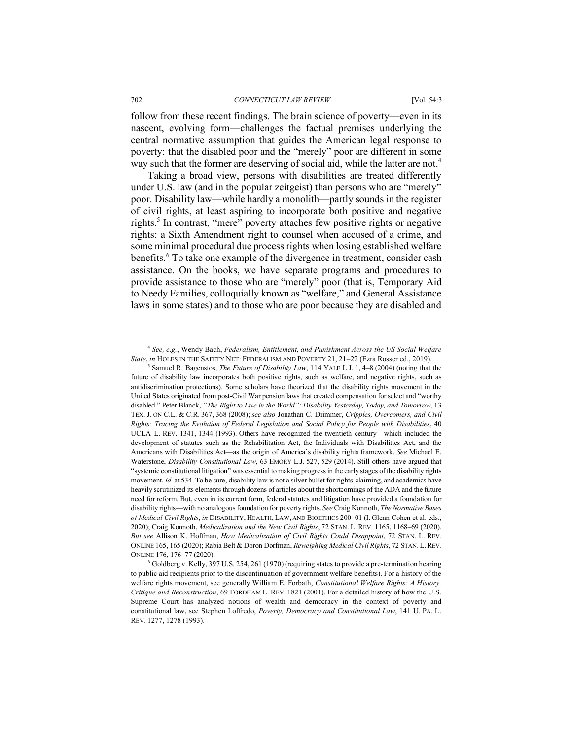follow from these recent findings. The brain science of poverty—even in its nascent, evolving form—challenges the factual premises underlying the central normative assumption that guides the American legal response to poverty: that the disabled poor and the "merely" poor are different in some way such that the former are deserving of social aid, while the latter are not.<sup>4</sup>

Taking a broad view, persons with disabilities are treated differently under U.S. law (and in the popular zeitgeist) than persons who are "merely" poor. Disability law—while hardly a monolith—partly sounds in the register of civil rights, at least aspiring to incorporate both positive and negative rights.<sup>5</sup> In contrast, "mere" poverty attaches few positive rights or negative rights: a Sixth Amendment right to counsel when accused of a crime, and some minimal procedural due process rights when losing established welfare benefits.<sup>6</sup> To take one example of the divergence in treatment, consider cash assistance. On the books, we have separate programs and procedures to provide assistance to those who are "merely" poor (that is, Temporary Aid to Needy Families, colloquially known as "welfare," and General Assistance laws in some states) and to those who are poor because they are disabled and

 <sup>4</sup> *See, e.g.*, Wendy Bach, *Federalism, Entitlement, and Punishment Across the US Social Welfare State*, *in* HOLES IN THE SAFETY NET: FEDERALISM AND POVERTY 21, 21-22 (Ezra Rosser ed., 2019).

<sup>5</sup> Samuel R. Bagenstos, *The Future of Disability Law*, 114 YALE L.J. 1, 4–8 (2004) (noting that the future of disability law incorporates both positive rights, such as welfare, and negative rights, such as antidiscrimination protections). Some scholars have theorized that the disability rights movement in the United States originated from post-Civil War pension laws that created compensation for select and "worthy disabled." Peter Blanck, *"The Right to Live in the World": Disability Yesterday, Today, and Tomorrow*, 13 TEX. J. ON C.L. & C.R. 367, 368 (2008); *see also* Jonathan C. Drimmer, *Cripples, Overcomers, and Civil Rights: Tracing the Evolution of Federal Legislation and Social Policy for People with Disabilities*, 40 UCLA L. REV. 1341, 1344 (1993). Others have recognized the twentieth century—which included the development of statutes such as the Rehabilitation Act, the Individuals with Disabilities Act, and the Americans with Disabilities Act—as the origin of America's disability rights framework. *See* Michael E. Waterstone, *Disability Constitutional Law*, 63 EMORY L.J. 527, 529 (2014). Still others have argued that "systemic constitutional litigation" was essential to making progress in the early stages of the disability rights movement. *Id.* at 534. To be sure, disability law is not a silver bullet for rights-claiming, and academics have heavily scrutinized its elements through dozens of articles about the shortcomings of the ADA and the future need for reform. But, even in its current form, federal statutes and litigation have provided a foundation for disability rights—with no analogous foundation for poverty rights. *See* Craig Konnoth, *The Normative Bases of Medical Civil Rights*, *in* DISABILITY, HEALTH, LAW, AND BIOETHICS 200-01 (I. Glenn Cohen et al. eds., 2020); Craig Konnoth, *Medicalization and the New Civil Rights*, 72 STAN. L. REV. 1165, 1168–69 (2020). *But see* Allison K. Hoffman, *How Medicalization of Civil Rights Could Disappoint*, 72 STAN. L. REV. ONLINE 165, 165 (2020); Rabia Belt & Doron Dorfman, *Reweighing Medical Civil Rights*, 72 STAN.L.REV. ONLINE 176, 176–77 (2020).

<sup>6</sup> Goldberg v. Kelly, 397 U.S. 254, 261 (1970) (requiring states to provide a pre-termination hearing to public aid recipients prior to the discontinuation of government welfare benefits). For a history of the welfare rights movement, see generally William E. Forbath, *Constitutional Welfare Rights: A History, Critique and Reconstruction*, 69 FORDHAM L. REV. 1821 (2001). For a detailed history of how the U.S. Supreme Court has analyzed notions of wealth and democracy in the context of poverty and constitutional law, see Stephen Loffredo, *Poverty, Democracy and Constitutional Law*, 141 U. PA. L. REV. 1277, 1278 (1993).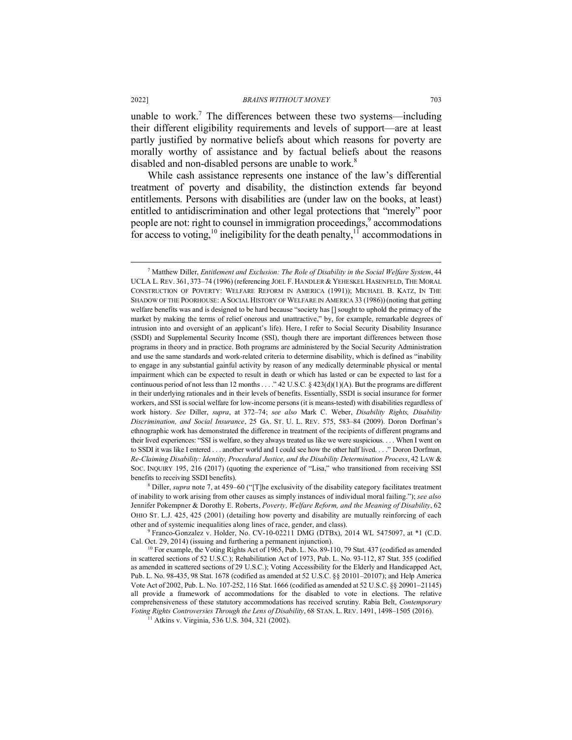unable to work.<sup>7</sup> The differences between these two systems—including their different eligibility requirements and levels of support—are at least partly justified by normative beliefs about which reasons for poverty are morally worthy of assistance and by factual beliefs about the reasons disabled and non-disabled persons are unable to work.<sup>8</sup>

While cash assistance represents one instance of the law's differential treatment of poverty and disability, the distinction extends far beyond entitlements. Persons with disabilities are (under law on the books, at least) entitled to antidiscrimination and other legal protections that "merely" poor people are not: right to counsel in immigration proceedings,<sup>9</sup> accommodations for access to voting,<sup>10</sup> ineligibility for the death penalty,<sup>11</sup> accommodations in

 $9$  Franco-Gonzalez v. Holder, No. CV-10-02211 DMG (DTBx), 2014 WL 5475097, at  $*1$  (C.D. Cal. Oct. 29, 2014) (issuing and furthering a permanent injunction).

 <sup>7</sup> Matthew Diller, *Entitlement and Exclusion: The Role of Disability in the Social Welfare System*, 44 UCLA L. REV. 361, 373–74 (1996) (referencing JOEL F. HANDLER & YEHESKEL HASENFELD, THE MORAL CONSTRUCTION OF POVERTY: WELFARE REFORM IN AMERICA (1991)); MICHAEL B. KATZ, IN THE SHADOW OF THE POORHOUSE: A SOCIAL HISTORY OF WELFARE IN AMERICA 33 (1986))(noting that getting welfare benefits was and is designed to be hard because "society has [] sought to uphold the primacy of the market by making the terms of relief onerous and unattractive," by, for example, remarkable degrees of intrusion into and oversight of an applicant's life). Here, I refer to Social Security Disability Insurance (SSDI) and Supplemental Security Income (SSI), though there are important differences between those programs in theory and in practice. Both programs are administered by the Social Security Administration and use the same standards and work-related criteria to determine disability, which is defined as "inability to engage in any substantial gainful activity by reason of any medically determinable physical or mental impairment which can be expected to result in death or which has lasted or can be expected to last for a continuous period of not less than 12 months . . . . " 42 U.S.C.  $\frac{423(d)(1)(A)}{2}$ . But the programs are different in their underlying rationales and in their levels of benefits. Essentially, SSDI is social insurance for former workers, and SSI is social welfare for low-income persons (it is means-tested) with disabilities regardless of work history. *See* Diller, *supra*, at 372–74; *see also* Mark C. Weber, *Disability Rights, Disability Discrimination, and Social Insurance*, 25 GA. ST. U. L. REV. 575, 583–84 (2009). Doron Dorfman's ethnographic work has demonstrated the difference in treatment of the recipients of different programs and their lived experiences: "SSI is welfare, so they always treated us like we were suspicious. . . . When I went on to SSDI it was like I entered . . . another world and I could see how the other half lived. . . ." Doron Dorfman, *Re-Claiming Disability: Identity, Procedural Justice, and the Disability Determination Process*, 42 LAW & SOC. INQUIRY 195, 216 (2017) (quoting the experience of "Lisa," who transitioned from receiving SSI benefits to receiving SSDI benefits).

<sup>8</sup> Diller, *supra* note 7, at 459–60 ("[T]he exclusivity of the disability category facilitates treatment of inability to work arising from other causes as simply instances of individual moral failing."); *see also*  Jennifer Pokempner & Dorothy E. Roberts, *Poverty, Welfare Reform, and the Meaning of Disability*, 62 OHIO ST. L.J. 425, 425 (2001) (detailing how poverty and disability are mutually reinforcing of each other and of systemic inequalities along lines of race, gender, and class).

<sup>&</sup>lt;sup>10</sup> For example, the Voting Rights Act of 1965, Pub. L. No. 89-110, 79 Stat. 437 (codified as amended in scattered sections of 52 U.S.C.); Rehabilitation Act of 1973, Pub. L. No. 93-112, 87 Stat. 355 (codified as amended in scattered sections of 29 U.S.C.); Voting Accessibility for the Elderly and Handicapped Act, Pub. L. No. 98-435, 98 Stat. 1678 (codified as amended at 52 U.S.C. §§ 20101–20107); and Help America Vote Act of 2002, Pub. L. No. 107-252, 116 Stat. 1666 (codified as amended at 52 U.S.C. §§ 20901-21145) all provide a framework of accommodations for the disabled to vote in elections. The relative comprehensiveness of these statutory accommodations has received scrutiny. Rabia Belt, *Contemporary Voting Rights Controversies Through the Lens of Disability*, 68 STAN. L. REV. 1491, 1498–1505 (2016). <sup>11</sup> Atkins v. Virginia, 536 U.S. 304, 321 (2002).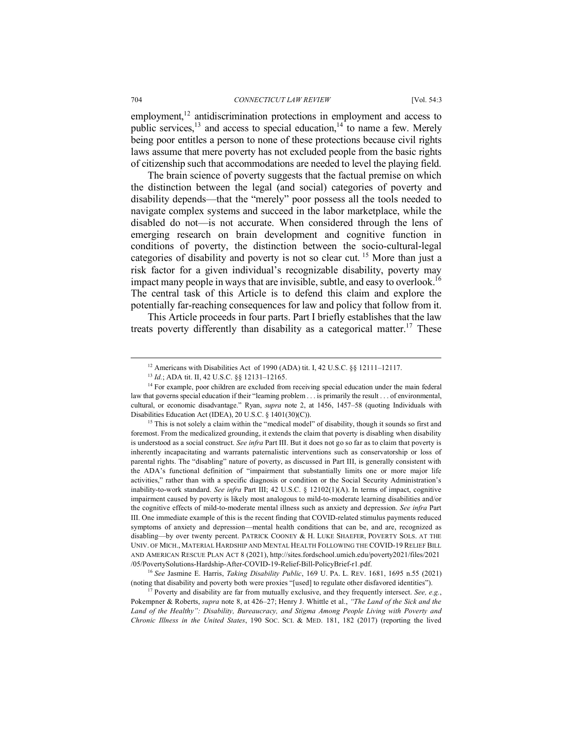employment,<sup>12</sup> antidiscrimination protections in employment and access to public services, $^{13}$  and access to special education, $^{14}$  to name a few. Merely being poor entitles a person to none of these protections because civil rights laws assume that mere poverty has not excluded people from the basic rights of citizenship such that accommodations are needed to level the playing field.

The brain science of poverty suggests that the factual premise on which the distinction between the legal (and social) categories of poverty and disability depends—that the "merely" poor possess all the tools needed to navigate complex systems and succeed in the labor marketplace, while the disabled do not—is not accurate. When considered through the lens of emerging research on brain development and cognitive function in conditions of poverty, the distinction between the socio-cultural-legal categories of disability and poverty is not so clear cut. <sup>15</sup> More than just a risk factor for a given individual's recognizable disability, poverty may impact many people in ways that are invisible, subtle, and easy to overlook.<sup>16</sup> The central task of this Article is to defend this claim and explore the potentially far-reaching consequences for law and policy that follow from it.

This Article proceeds in four parts. Part I briefly establishes that the law treats poverty differently than disability as a categorical matter.<sup>17</sup> These

<sup>15</sup> This is not solely a claim within the "medical model" of disability, though it sounds so first and foremost. From the medicalized grounding, it extends the claim that poverty is disabling when disability is understood as a social construct. *See infra* Part III. But it does not go so far as to claim that poverty is inherently incapacitating and warrants paternalistic interventions such as conservatorship or loss of parental rights. The "disabling" nature of poverty, as discussed in Part III, is generally consistent with the ADA's functional definition of "impairment that substantially limits one or more major life activities," rather than with a specific diagnosis or condition or the Social Security Administration's inability-to-work standard. *See infra* Part III; 42 U.S.C. § 12102(1)(A). In terms of impact, cognitive impairment caused by poverty is likely most analogous to mild-to-moderate learning disabilities and/or the cognitive effects of mild-to-moderate mental illness such as anxiety and depression. *See infra* Part III. One immediate example of this is the recent finding that COVID-related stimulus payments reduced symptoms of anxiety and depression—mental health conditions that can be, and are, recognized as disabling—by over twenty percent. PATRICK COONEY & H. LUKE SHAEFER, POVERTY SOLS. AT THE UNIV. OF MICH., MATERIAL HARDSHIP AND MENTAL HEALTH FOLLOWING THE COVID-19 RELIEF BILL AND AMERICAN RESCUE PLAN ACT 8 (2021), http://sites.fordschool.umich.edu/poverty2021/files/2021 /05/PovertySolutions-Hardship-After-COVID-19-Relief-Bill-PolicyBrief-r1.pdf.

<sup>16</sup> *See* Jasmine E. Harris, *Taking Disability Public*, 169 U. PA. L. REV. 1681, 1695 n.55 (2021) (noting that disability and poverty both were proxies "[used] to regulate other disfavored identities").

<sup>17</sup> Poverty and disability are far from mutually exclusive, and they frequently intersect. *See, e.g.*, Pokempner & Roberts, *supra* note 8, at 426–27; Henry J. Whittle et al., *"The Land of the Sick and the Land of the Healthy": Disability, Bureaucracy, and Stigma Among People Living with Poverty and Chronic Illness in the United States*, 190 SOC. SCI. & MED. 181, 182 (2017) (reporting the lived

<sup>&</sup>lt;sup>12</sup> Americans with Disabilities Act of 1990 (ADA) tit. I, 42 U.S.C. §§ 12111–12117.

<sup>13</sup> *Id.*; ADA tit. II, 42 U.S.C. §§ 12131–12165.

<sup>&</sup>lt;sup>14</sup> For example, poor children are excluded from receiving special education under the main federal law that governs special education if their "learning problem . . . is primarily the result . . . of environmental, cultural, or economic disadvantage." Ryan, *supra* note 2, at 1456, 1457–58 (quoting Individuals with Disabilities Education Act (IDEA), 20 U.S.C. § 1401(30)(C)).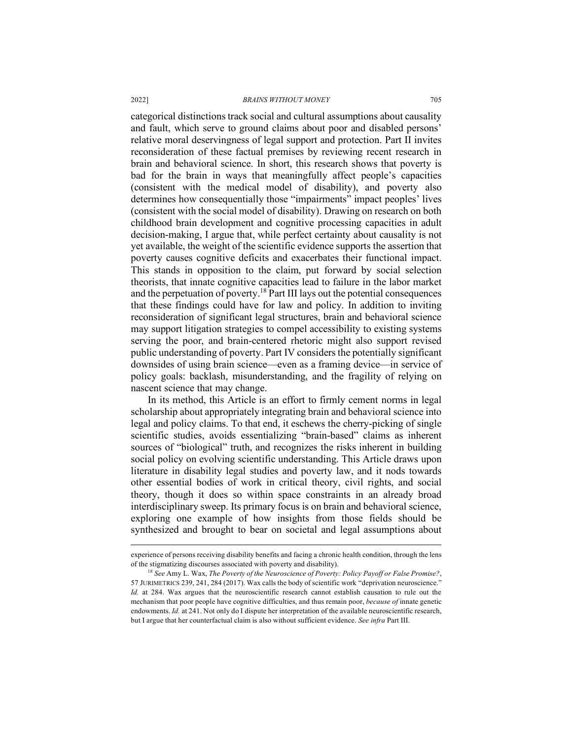categorical distinctions track social and cultural assumptions about causality and fault, which serve to ground claims about poor and disabled persons' relative moral deservingness of legal support and protection. Part II invites reconsideration of these factual premises by reviewing recent research in brain and behavioral science. In short, this research shows that poverty is bad for the brain in ways that meaningfully affect people's capacities (consistent with the medical model of disability), and poverty also determines how consequentially those "impairments" impact peoples' lives (consistent with the social model of disability). Drawing on research on both childhood brain development and cognitive processing capacities in adult decision-making, I argue that, while perfect certainty about causality is not yet available, the weight of the scientific evidence supports the assertion that poverty causes cognitive deficits and exacerbates their functional impact. This stands in opposition to the claim, put forward by social selection theorists, that innate cognitive capacities lead to failure in the labor market and the perpetuation of poverty.<sup>18</sup> Part III lays out the potential consequences that these findings could have for law and policy. In addition to inviting reconsideration of significant legal structures, brain and behavioral science may support litigation strategies to compel accessibility to existing systems serving the poor, and brain-centered rhetoric might also support revised public understanding of poverty. Part IV considers the potentially significant downsides of using brain science—even as a framing device—in service of policy goals: backlash, misunderstanding, and the fragility of relying on nascent science that may change.

In its method, this Article is an effort to firmly cement norms in legal scholarship about appropriately integrating brain and behavioral science into legal and policy claims. To that end, it eschews the cherry-picking of single scientific studies, avoids essentializing "brain-based" claims as inherent sources of "biological" truth, and recognizes the risks inherent in building social policy on evolving scientific understanding. This Article draws upon literature in disability legal studies and poverty law, and it nods towards other essential bodies of work in critical theory, civil rights, and social theory, though it does so within space constraints in an already broad interdisciplinary sweep. Its primary focus is on brain and behavioral science, exploring one example of how insights from those fields should be synthesized and brought to bear on societal and legal assumptions about

experience of persons receiving disability benefits and facing a chronic health condition, through the lens of the stigmatizing discourses associated with poverty and disability).

<sup>18</sup> *See* Amy L. Wax, *The Poverty of the Neuroscience of Poverty: Policy Payoff or False Promise?*, 57 JURIMETRICS 239, 241, 284 (2017). Wax calls the body of scientific work "deprivation neuroscience." *Id.* at 284. Wax argues that the neuroscientific research cannot establish causation to rule out the mechanism that poor people have cognitive difficulties, and thus remain poor, *because of* innate genetic endowments. *Id.* at 241. Not only do I dispute her interpretation of the available neuroscientific research, but I argue that her counterfactual claim is also without sufficient evidence. *See infra* Part III.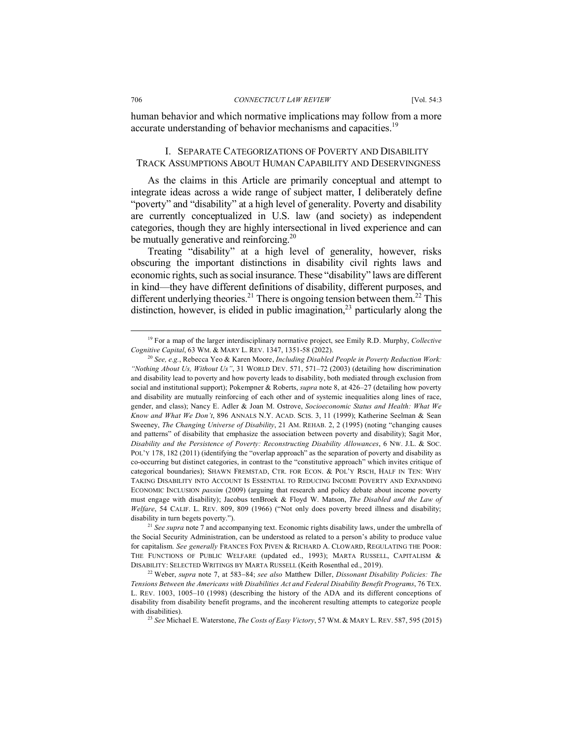human behavior and which normative implications may follow from a more accurate understanding of behavior mechanisms and capacities.<sup>19</sup>

#### I. SEPARATE CATEGORIZATIONS OF POVERTY AND DISABILITY TRACK ASSUMPTIONS ABOUT HUMAN CAPABILITY AND DESERVINGNESS

As the claims in this Article are primarily conceptual and attempt to integrate ideas across a wide range of subject matter, I deliberately define "poverty" and "disability" at a high level of generality. Poverty and disability are currently conceptualized in U.S. law (and society) as independent categories, though they are highly intersectional in lived experience and can be mutually generative and reinforcing.<sup>20</sup>

Treating "disability" at a high level of generality, however, risks obscuring the important distinctions in disability civil rights laws and economic rights, such as social insurance. These "disability" laws are different in kind—they have different definitions of disability, different purposes, and different underlying theories.<sup>21</sup> There is ongoing tension between them.<sup>22</sup> This distinction, however, is elided in public imagination, $2<sup>3</sup>$  particularly along the

<sup>21</sup> *See supra* note 7 and accompanying text. Economic rights disability laws, under the umbrella of the Social Security Administration, can be understood as related to a person's ability to produce value for capitalism. *See generally* FRANCES FOX PIVEN & RICHARD A. CLOWARD, REGULATING THE POOR: THE FUNCTIONS OF PUBLIC WELFARE (updated ed., 1993); MARTA RUSSELL, CAPITALISM & DISABILITY: SELECTED WRITINGS BY MARTA RUSSELL (Keith Rosenthal ed., 2019).

 <sup>19</sup> For a map of the larger interdisciplinary normative project, see Emily R.D. Murphy, *Collective Cognitive Capital*, 63 WM. & MARY L. REV. 1347, 1351-58 (2022).

<sup>20</sup> *See, e.g.*, Rebecca Yeo & Karen Moore, *Including Disabled People in Poverty Reduction Work: "Nothing About Us, Without Us"*, 31 WORLD DEV. 571, 571–72 (2003) (detailing how discrimination and disability lead to poverty and how poverty leads to disability, both mediated through exclusion from social and institutional support); Pokempner & Roberts, *supra* note 8, at 426–27 (detailing how poverty and disability are mutually reinforcing of each other and of systemic inequalities along lines of race, gender, and class); Nancy E. Adler & Joan M. Ostrove, *Socioeconomic Status and Health: What We Know and What We Don't*, 896 ANNALS N.Y. ACAD. SCIS. 3, 11 (1999); Katherine Seelman & Sean Sweeney, *The Changing Universe of Disability*, 21 AM. REHAB. 2, 2 (1995) (noting "changing causes and patterns" of disability that emphasize the association between poverty and disability); Sagit Mor, *Disability and the Persistence of Poverty: Reconstructing Disability Allowances*, 6 NW. J.L. & SOC. POL'Y 178, 182 (2011) (identifying the "overlap approach" as the separation of poverty and disability as co-occurring but distinct categories, in contrast to the "constitutive approach" which invites critique of categorical boundaries); SHAWN FREMSTAD, CTR. FOR ECON. & POL'Y RSCH, HALF IN TEN: WHY TAKING DISABILITY INTO ACCOUNT IS ESSENTIAL TO REDUCING INCOME POVERTY AND EXPANDING ECONOMIC INCLUSION *passim* (2009) (arguing that research and policy debate about income poverty must engage with disability); Jacobus tenBroek & Floyd W. Matson, *The Disabled and the Law of Welfare*, 54 CALIF. L. REV. 809, 809 (1966) ("Not only does poverty breed illness and disability; disability in turn begets poverty.").

<sup>22</sup> Weber, *supra* note 7, at 583-84; *see also* Matthew Diller, *Dissonant Disability Policies: The Tensions Between the Americans with Disabilities Act and Federal Disability Benefit Programs*, 76 TEX. L. REV. 1003, 1005–10 (1998) (describing the history of the ADA and its different conceptions of disability from disability benefit programs, and the incoherent resulting attempts to categorize people with disabilities).

<sup>23</sup> *See* Michael E. Waterstone, *The Costs of Easy Victory*, 57 WM. & MARY L. REV. 587, 595 (2015)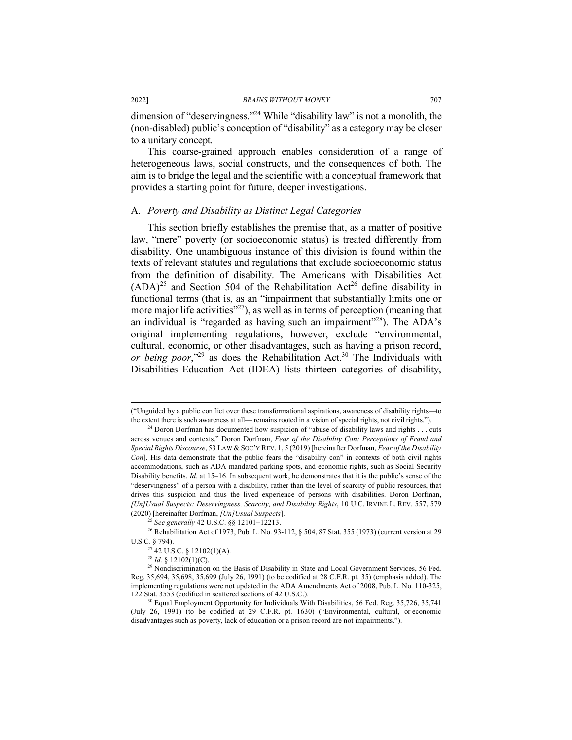dimension of "deservingness."24 While "disability law" is not a monolith, the (non-disabled) public's conception of "disability" as a category may be closer to a unitary concept.

This coarse-grained approach enables consideration of a range of heterogeneous laws, social constructs, and the consequences of both. The aim is to bridge the legal and the scientific with a conceptual framework that provides a starting point for future, deeper investigations.

#### A. *Poverty and Disability as Distinct Legal Categories*

This section briefly establishes the premise that, as a matter of positive law, "mere" poverty (or socioeconomic status) is treated differently from disability. One unambiguous instance of this division is found within the texts of relevant statutes and regulations that exclude socioeconomic status from the definition of disability. The Americans with Disabilities Act  $(ADA)^{25}$  and Section 504 of the Rehabilitation Act<sup>26</sup> define disability in functional terms (that is, as an "impairment that substantially limits one or more major life activities" $^{27}$ ), as well as in terms of perception (meaning that an individual is "regarded as having such an impairment"28). The ADA's original implementing regulations, however, exclude "environmental, cultural, economic, or other disadvantages, such as having a prison record, *or being poor*,"<sup>29</sup> as does the Rehabilitation Act.<sup>30</sup> The Individuals with Disabilities Education Act (IDEA) lists thirteen categories of disability,

 <sup>(&</sup>quot;Unguided by a public conflict over these transformational aspirations, awareness of disability rights—to the extent there is such awareness at all— remains rooted in a vision of special rights, not civil rights.").

 $24$  Doron Dorfman has documented how suspicion of "abuse of disability laws and rights . . . cuts across venues and contexts." Doron Dorfman, *Fear of the Disability Con: Perceptions of Fraud and Special Rights Discourse*, 53 LAW & SOC'Y REV. 1, 5 (2019) [hereinafter Dorfman, *Fear of the Disability Con*]. His data demonstrate that the public fears the "disability con" in contexts of both civil rights accommodations, such as ADA mandated parking spots, and economic rights, such as Social Security Disability benefits. *Id.* at 15–16. In subsequent work, he demonstrates that it is the public's sense of the "deservingness" of a person with a disability, rather than the level of scarcity of public resources, that drives this suspicion and thus the lived experience of persons with disabilities. Doron Dorfman, *[Un]Usual Suspects: Deservingness, Scarcity, and Disability Rights*, 10 U.C. IRVINE L. REV. 557, 579 (2020) [hereinafter Dorfman, *[Un]Usual Suspects*].

<sup>&</sup>lt;sup>25</sup> *See generally* 42 U.S.C. §§ 12101–12213.<br><sup>26</sup> Rehabilitation Act of 1973, Pub. L. No. 93-112, § 504, 87 Stat. 355 (1973) (current version at 29 U.S.C. § 794).<br><sup>27</sup> 42 U.S.C. § 12102(1)(A).<br><sup>28</sup> *Id.* § 12102(1)(C).

 $29$  Nondiscrimination on the Basis of Disability in State and Local Government Services, 56 Fed. Reg. 35,694, 35,698, 35,699 (July 26, 1991) (to be codified at 28 C.F.R. pt. 35) (emphasis added). The implementing regulations were not updated in the ADA Amendments Act of 2008, Pub. L. No. 110-325, 122 Stat. 3553 (codified in scattered sections of 42 U.S.C.).

 $^0$  Equal Employment Opportunity for Individuals With Disabilities, 56 Fed. Reg. 35,726, 35,741 (July 26, 1991) (to be codified at 29 C.F.R. pt. 1630) ("Environmental, cultural, or economic disadvantages such as poverty, lack of education or a prison record are not impairments.").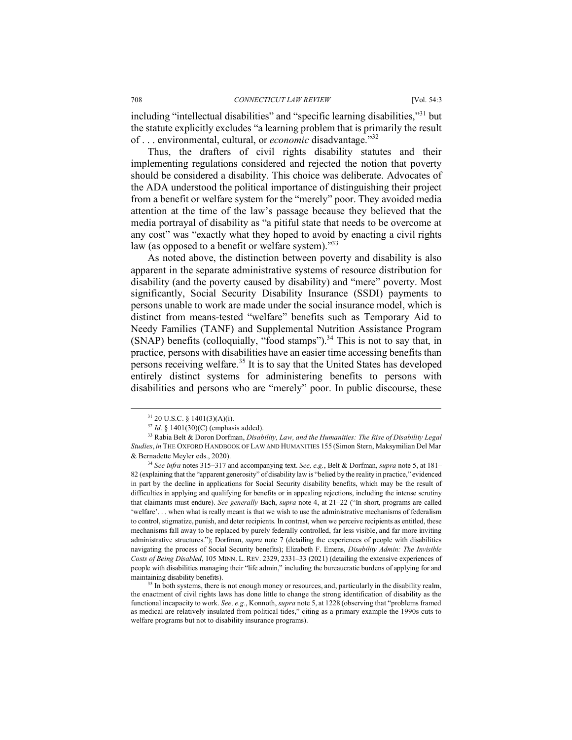including "intellectual disabilities" and "specific learning disabilities,"31 but the statute explicitly excludes "a learning problem that is primarily the result of . . . environmental, cultural, or *economic* disadvantage."32

Thus, the drafters of civil rights disability statutes and their implementing regulations considered and rejected the notion that poverty should be considered a disability. This choice was deliberate. Advocates of the ADA understood the political importance of distinguishing their project from a benefit or welfare system for the "merely" poor. They avoided media attention at the time of the law's passage because they believed that the media portrayal of disability as "a pitiful state that needs to be overcome at any cost" was "exactly what they hoped to avoid by enacting a civil rights law (as opposed to a benefit or welfare system)."<sup>33</sup>

As noted above, the distinction between poverty and disability is also apparent in the separate administrative systems of resource distribution for disability (and the poverty caused by disability) and "mere" poverty. Most significantly, Social Security Disability Insurance (SSDI) payments to persons unable to work are made under the social insurance model, which is distinct from means-tested "welfare" benefits such as Temporary Aid to Needy Families (TANF) and Supplemental Nutrition Assistance Program (SNAP) benefits (colloquially, "food stamps"). $34$  This is not to say that, in practice, persons with disabilities have an easier time accessing benefits than persons receiving welfare.<sup>35</sup> It is to say that the United States has developed entirely distinct systems for administering benefits to persons with disabilities and persons who are "merely" poor. In public discourse, these

<sup>34</sup> *See infra* notes 315-317 and accompanying text. *See, e.g.*, Belt & Dorfman, *supra* note 5, at 181– 82 (explaining that the "apparent generosity" of disability law is "belied by the reality in practice," evidenced in part by the decline in applications for Social Security disability benefits, which may be the result of difficulties in applying and qualifying for benefits or in appealing rejections, including the intense scrutiny that claimants must endure). *See generally* Bach, *supra* note 4, at 21–22 ("In short, programs are called 'welfare'. . . when what is really meant is that we wish to use the administrative mechanisms of federalism to control, stigmatize, punish, and deter recipients. In contrast, when we perceive recipients as entitled, these mechanisms fall away to be replaced by purely federally controlled, far less visible, and far more inviting administrative structures."); Dorfman, *supra* note 7 (detailing the experiences of people with disabilities navigating the process of Social Security benefits); Elizabeth F. Emens, *Disability Admin: The Invisible Costs of Being Disabled*, 105 MINN. L. REV. 2329, 2331–33 (2021) (detailing the extensive experiences of people with disabilities managing their "life admin," including the bureaucratic burdens of applying for and maintaining disability benefits).

<sup>35</sup> In both systems, there is not enough money or resources, and, particularly in the disability realm, the enactment of civil rights laws has done little to change the strong identification of disability as the functional incapacity to work. *See, e.g*., Konnoth, *supra* note 5, at 1228 (observing that "problems framed as medical are relatively insulated from political tides," citing as a primary example the 1990s cuts to welfare programs but not to disability insurance programs).

<sup>&</sup>lt;sup>31</sup> 20 U.S.C. § 1401(3)(A)(i).<br><sup>32</sup> *Id.* § 1401(30)(C) (emphasis added).

<sup>33</sup> Rabia Belt & Doron Dorfman, *Disability, Law, and the Humanities: The Rise of Disability Legal Studies*, *in* THE OXFORD HANDBOOK OF LAW AND HUMANITIES 155 (Simon Stern, Maksymilian Del Mar & Bernadette Meyler eds., 2020).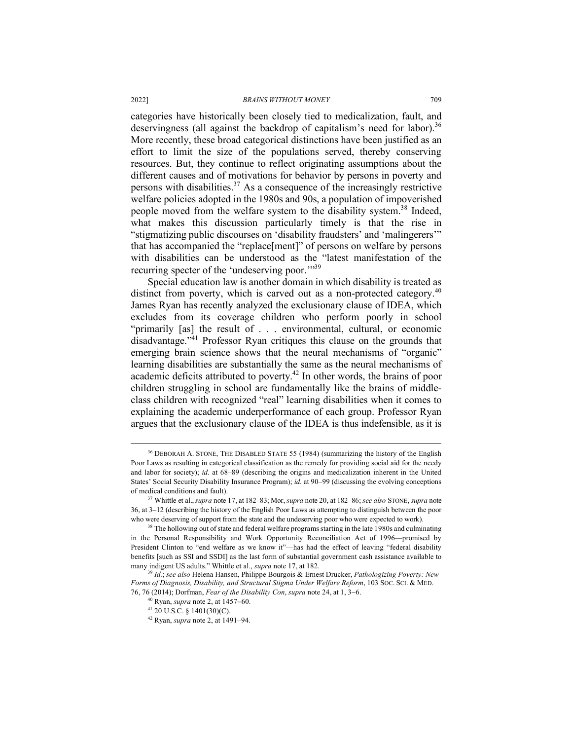categories have historically been closely tied to medicalization, fault, and deservingness (all against the backdrop of capitalism's need for labor).<sup>36</sup> More recently, these broad categorical distinctions have been justified as an effort to limit the size of the populations served, thereby conserving resources. But, they continue to reflect originating assumptions about the different causes and of motivations for behavior by persons in poverty and persons with disabilities.<sup>37</sup> As a consequence of the increasingly restrictive welfare policies adopted in the 1980s and 90s, a population of impoverished people moved from the welfare system to the disability system.<sup>38</sup> Indeed, what makes this discussion particularly timely is that the rise in "stigmatizing public discourses on 'disability fraudsters' and 'malingerers'" that has accompanied the "replace[ment]" of persons on welfare by persons with disabilities can be understood as the "latest manifestation of the recurring specter of the 'undeserving poor."<sup>39</sup>

Special education law is another domain in which disability is treated as distinct from poverty, which is carved out as a non-protected category.<sup>40</sup> James Ryan has recently analyzed the exclusionary clause of IDEA, which excludes from its coverage children who perform poorly in school "primarily [as] the result of . . . environmental, cultural, or economic disadvantage."41 Professor Ryan critiques this clause on the grounds that emerging brain science shows that the neural mechanisms of "organic" learning disabilities are substantially the same as the neural mechanisms of academic deficits attributed to poverty.42 In other words, the brains of poor children struggling in school are fundamentally like the brains of middleclass children with recognized "real" learning disabilities when it comes to explaining the academic underperformance of each group. Professor Ryan argues that the exclusionary clause of the IDEA is thus indefensible, as it is

<sup>&</sup>lt;sup>36</sup> DEBORAH A. STONE, THE DISABLED STATE 55 (1984) (summarizing the history of the English Poor Laws as resulting in categorical classification as the remedy for providing social aid for the needy and labor for society); *id.* at 68–89 (describing the origins and medicalization inherent in the United States' Social Security Disability Insurance Program); *id.* at 90–99 (discussing the evolving conceptions of medical conditions and fault).

<sup>37</sup> Whittle et al.,*supra* note 17, at 182–83; Mor, *supra* note 20, at 182–86; *see also* STONE, *supra* note 36, at 3–12 (describing the history of the English Poor Laws as attempting to distinguish between the poor who were deserving of support from the state and the undeserving poor who were expected to work).

<sup>&</sup>lt;sup>38</sup> The hollowing out of state and federal welfare programs starting in the late 1980s and culminating in the Personal Responsibility and Work Opportunity Reconciliation Act of 1996—promised by President Clinton to "end welfare as we know it"—has had the effect of leaving "federal disability benefits [such as SSI and SSDI] as the last form of substantial government cash assistance available to many indigent US adults." Whittle et al., *supra* note 17, at 182.

<sup>39</sup> *Id.*; *see also* Helena Hansen, Philippe Bourgois & Ernest Drucker, *Pathologizing Poverty: New Forms of Diagnosis, Disability, and Structural Stigma Under Welfare Reform*, 103 SOC. SCI. & MED. 76, 76 (2014); Dorfman, *Fear of the Disability Con*, *supra* note 24, at 1, 3-6.

<sup>40</sup> Ryan, *supra* note 2, at 1457-60.

<sup>41</sup> 20 U.S.C. § 1401(30)(C). 42 Ryan, *supra* note 2, at 1491–94.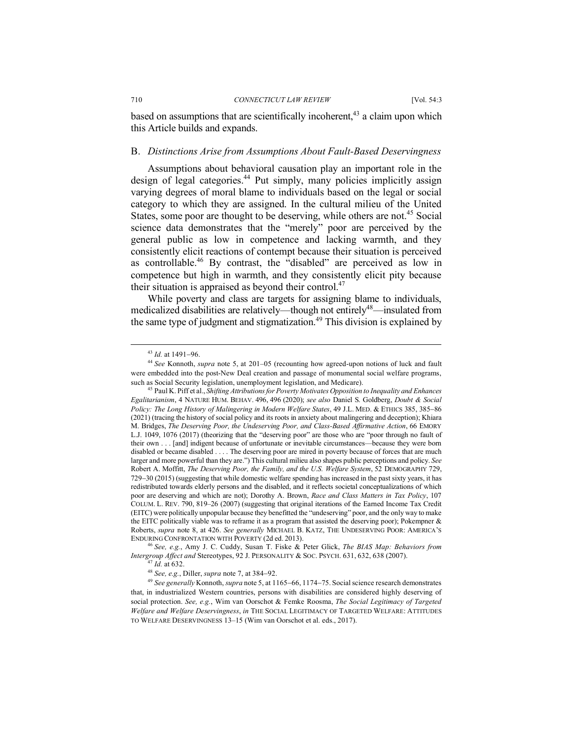based on assumptions that are scientifically incoherent, $43$  a claim upon which this Article builds and expands.

#### B. *Distinctions Arise from Assumptions About Fault-Based Deservingness*

Assumptions about behavioral causation play an important role in the design of legal categories.<sup>44</sup> Put simply, many policies implicitly assign varying degrees of moral blame to individuals based on the legal or social category to which they are assigned. In the cultural milieu of the United States, some poor are thought to be deserving, while others are not.<sup>45</sup> Social science data demonstrates that the "merely" poor are perceived by the general public as low in competence and lacking warmth, and they consistently elicit reactions of contempt because their situation is perceived as controllable.46 By contrast, the "disabled" are perceived as low in competence but high in warmth, and they consistently elicit pity because their situation is appraised as beyond their control. $47$ 

While poverty and class are targets for assigning blame to individuals, medicalized disabilities are relatively—though not entirely<sup>48</sup>—insulated from the same type of judgment and stigmatization.<sup>49</sup> This division is explained by

<sup>46</sup> *See, e.g.*, Amy J. C. Cuddy, Susan T. Fiske & Peter Glick, *The BIAS Map: Behaviors from Intergroup Affect and* Stereotypes, 92 J. PERSONALITY & SOC. PSYCH. 631, 632, 638 (2007). 47 *Id.* at 632.

<sup>48</sup> *See, e.g.*, Diller, *supra* note 7, at 384-92.

<sup>49</sup> *See generally* Konnoth, *supra* note 5, at 1165-66, 1174-75. Social science research demonstrates that, in industrialized Western countries, persons with disabilities are considered highly deserving of social protection. *See, e.g.*, Wim van Oorschot & Femke Roosma, *The Social Legitimacy of Targeted Welfare and Welfare Deservingness*, *in* THE SOCIAL LEGITIMACY OF TARGETED WELFARE: ATTITUDES TO WELFARE DESERVINGNESS 13–15 (Wim van Oorschot et al. eds., 2017).

 <sup>43</sup> *Id.* at 1491-96.

<sup>44</sup> *See* Konnoth, *supra* note 5, at 201–05 (recounting how agreed-upon notions of luck and fault were embedded into the post-New Deal creation and passage of monumental social welfare programs, such as Social Security legislation, unemployment legislation, and Medicare).

<sup>45</sup> Paul K. Piff et al., *Shifting Attributions for Poverty Motivates Opposition to Inequality and Enhances Egalitarianism*, 4 NATURE HUM. BEHAV. 496, 496 (2020); *see also* Daniel S. Goldberg, *Doubt & Social Policy: The Long History of Malingering in Modern Welfare States*, 49 J.L. MED. & ETHICS 385, 385-86 (2021) (tracing the history of social policy and its roots in anxiety about malingering and deception); Khiara M. Bridges, *The Deserving Poor, the Undeserving Poor, and Class-Based Affirmative Action*, 66 EMORY L.J. 1049, 1076 (2017) (theorizing that the "deserving poor" are those who are "poor through no fault of their own . . . [and] indigent because of unfortunate or inevitable circumstances—because they were born disabled or became disabled . . . . The deserving poor are mired in poverty because of forces that are much larger and more powerful than they are.") This cultural milieu also shapes public perceptions and policy. *See* Robert A. Moffitt, *The Deserving Poor, the Family, and the U.S. Welfare System*, 52 DEMOGRAPHY 729, 729-30 (2015) (suggesting that while domestic welfare spending has increased in the past sixty years, it has redistributed towards elderly persons and the disabled, and it reflects societal conceptualizations of which poor are deserving and which are not); Dorothy A. Brown, *Race and Class Matters in Tax Policy*, 107 COLUM. L. REV. 790, 819–26 (2007) (suggesting that original iterations of the Earned Income Tax Credit (EITC) were politically unpopular because they benefitted the "undeserving" poor, and the only way to make the EITC politically viable was to reframe it as a program that assisted the deserving poor); Pokempner  $\&$ Roberts, *supra* note 8, at 426. *See generally* MICHAEL B. KATZ, THE UNDESERVING POOR: AMERICA'S ENDURING CONFRONTATION WITH POVERTY (2d ed. 2013).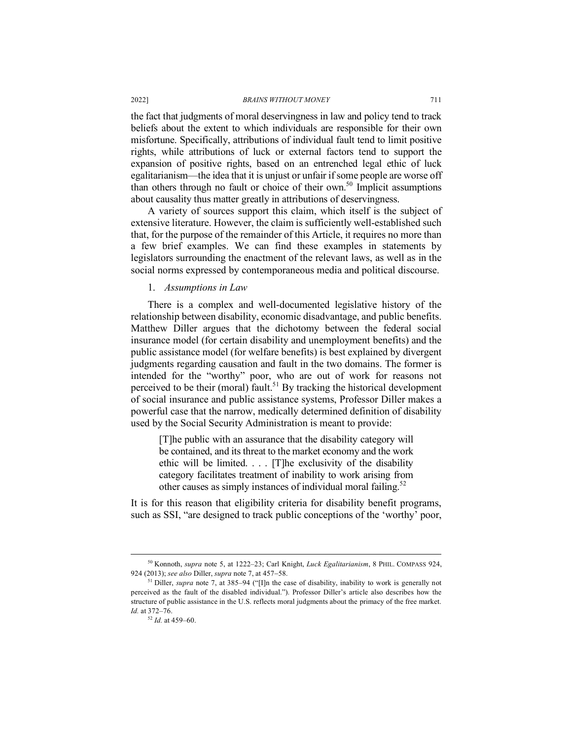the fact that judgments of moral deservingness in law and policy tend to track beliefs about the extent to which individuals are responsible for their own misfortune. Specifically, attributions of individual fault tend to limit positive rights, while attributions of luck or external factors tend to support the expansion of positive rights, based on an entrenched legal ethic of luck egalitarianism—the idea that it is unjust or unfair if some people are worse off than others through no fault or choice of their own.<sup>50</sup> Implicit assumptions about causality thus matter greatly in attributions of deservingness.

A variety of sources support this claim, which itself is the subject of extensive literature. However, the claim is sufficiently well-established such that, for the purpose of the remainder of this Article, it requires no more than a few brief examples. We can find these examples in statements by legislators surrounding the enactment of the relevant laws, as well as in the social norms expressed by contemporaneous media and political discourse.

#### 1. *Assumptions in Law*

There is a complex and well-documented legislative history of the relationship between disability, economic disadvantage, and public benefits. Matthew Diller argues that the dichotomy between the federal social insurance model (for certain disability and unemployment benefits) and the public assistance model (for welfare benefits) is best explained by divergent judgments regarding causation and fault in the two domains. The former is intended for the "worthy" poor, who are out of work for reasons not perceived to be their (moral) fault.<sup>51</sup> By tracking the historical development of social insurance and public assistance systems, Professor Diller makes a powerful case that the narrow, medically determined definition of disability used by the Social Security Administration is meant to provide:

[T]he public with an assurance that the disability category will be contained, and its threat to the market economy and the work ethic will be limited. . . . [T]he exclusivity of the disability category facilitates treatment of inability to work arising from other causes as simply instances of individual moral failing.<sup>52</sup>

It is for this reason that eligibility criteria for disability benefit programs, such as SSI, "are designed to track public conceptions of the 'worthy' poor,

 <sup>50</sup> Konnoth, *supra* note 5, at 1222–23; Carl Knight, *Luck Egalitarianism*, 8 PHIL. COMPASS 924, 924 (2013); *see also* Diller, *supra* note 7, at 457-58. 51 Diller, *supra* note 7, at 385–94 ("[I]n the case of disability, inability to work is generally not

perceived as the fault of the disabled individual."). Professor Diller's article also describes how the structure of public assistance in the U.S. reflects moral judgments about the primacy of the free market. *Id.* at 372–76.<br><sup>52</sup> *Id.* at 459–60.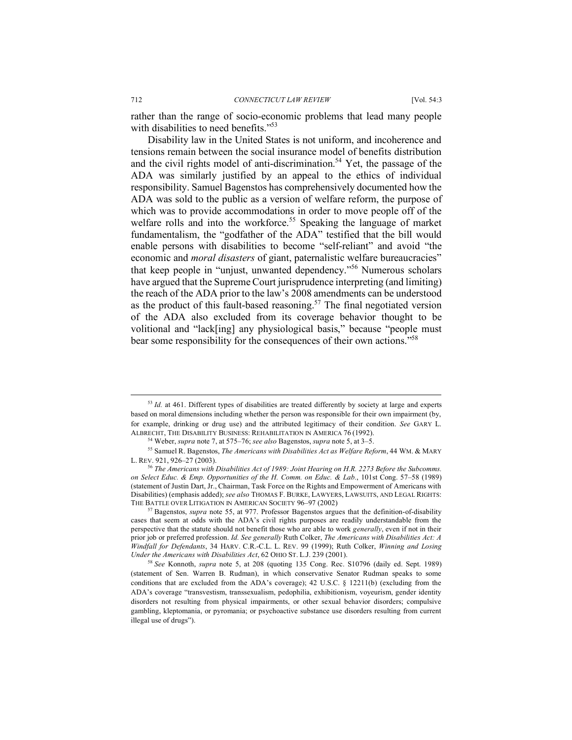rather than the range of socio-economic problems that lead many people with disabilities to need benefits."<sup>53</sup>

Disability law in the United States is not uniform, and incoherence and tensions remain between the social insurance model of benefits distribution and the civil rights model of anti-discrimination.<sup>54</sup> Yet, the passage of the ADA was similarly justified by an appeal to the ethics of individual responsibility. Samuel Bagenstos has comprehensively documented how the ADA was sold to the public as a version of welfare reform, the purpose of which was to provide accommodations in order to move people off of the welfare rolls and into the workforce.<sup>55</sup> Speaking the language of market fundamentalism, the "godfather of the ADA" testified that the bill would enable persons with disabilities to become "self-reliant" and avoid "the economic and *moral disasters* of giant, paternalistic welfare bureaucracies" that keep people in "unjust, unwanted dependency."56 Numerous scholars have argued that the Supreme Court jurisprudence interpreting (and limiting) the reach of the ADA prior to the law's 2008 amendments can be understood as the product of this fault-based reasoning.<sup>57</sup> The final negotiated version of the ADA also excluded from its coverage behavior thought to be volitional and "lack[ing] any physiological basis," because "people must bear some responsibility for the consequences of their own actions."58

<sup>&</sup>lt;sup>53</sup> *Id.* at 461. Different types of disabilities are treated differently by society at large and experts based on moral dimensions including whether the person was responsible for their own impairment (by, for example, drinking or drug use) and the attributed legitimacy of their condition. *See* GARY L. ALBRECHT, THE DISABILITY BUSINESS: REHABILITATION IN AMERICA 76 (1992).

<sup>54</sup> Weber, *supra* note 7, at 575–76; *see also* Bagenstos, *supra* note 5, at 3–5.

<sup>55</sup> Samuel R. Bagenstos, *The Americans with Disabilities Act as Welfare Reform*, 44 WM. & MARY

<sup>&</sup>lt;sup>56</sup> The Americans with Disabilities Act of 1989: Joint Hearing on H.R. 2273 Before the Subcomms. *on Select Educ. & Emp. Opportunities of the H. Comm. on Educ. & Lab.*, 101st Cong. 57–58 (1989) (statement of Justin Dart, Jr., Chairman, Task Force on the Rights and Empowerment of Americans with Disabilities) (emphasis added); *see also* THOMAS F. BURKE, LAWYERS, LAWSUITS, AND LEGAL RIGHTS: THE BATTLE OVER LITIGATION IN AMERICAN SOCIETY 96–97 (2002)

<sup>57</sup> Bagenstos, *supra* note 55, at 977. Professor Bagenstos argues that the definition-of-disability cases that seem at odds with the ADA's civil rights purposes are readily understandable from the perspective that the statute should not benefit those who are able to work *generally*, even if not in their prior job or preferred profession. *Id. See generally* Ruth Colker, *The Americans with Disabilities Act: A Windfall for Defendants*, 34 HARV. C.R.-C.L. L. REV. 99 (1999); Ruth Colker, *Winning and Losing* 

<sup>&</sup>lt;sup>58</sup> See Konnoth, *supra* note 5, at 208 (quoting 135 Cong. Rec. S10796 (daily ed. Sept. 1989) (statement of Sen. Warren B. Rudman), in which conservative Senator Rudman speaks to some conditions that are excluded from the ADA's coverage); 42 U.S.C. § 12211(b) (excluding from the ADA's coverage "transvestism, transsexualism, pedophilia, exhibitionism, voyeurism, gender identity disorders not resulting from physical impairments, or other sexual behavior disorders; compulsive gambling, kleptomania, or pyromania; or psychoactive substance use disorders resulting from current illegal use of drugs").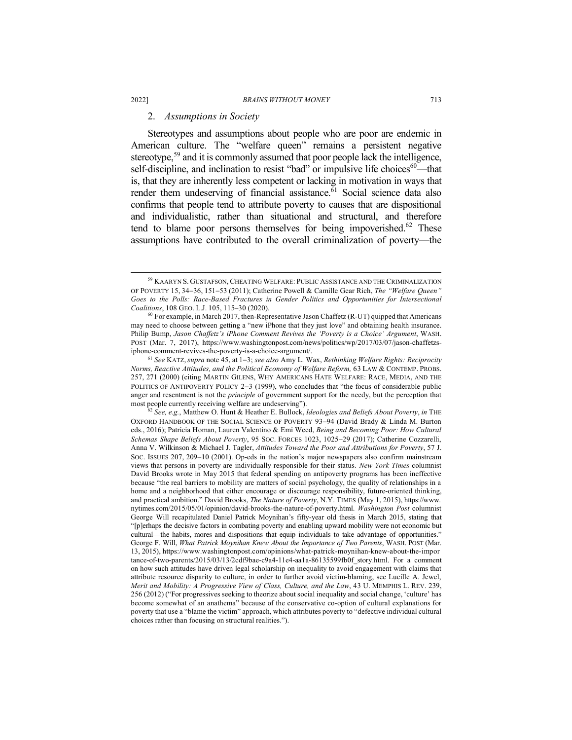#### 2. *Assumptions in Society*

Stereotypes and assumptions about people who are poor are endemic in American culture. The "welfare queen" remains a persistent negative stereotype,<sup>59</sup> and it is commonly assumed that poor people lack the intelligence, self-discipline, and inclination to resist "bad" or impulsive life choices $60$ —that is, that they are inherently less competent or lacking in motivation in ways that render them undeserving of financial assistance. $\overline{6}1$  Social science data also confirms that people tend to attribute poverty to causes that are dispositional and individualistic, rather than situational and structural, and therefore tend to blame poor persons themselves for being impoverished. $62$  These assumptions have contributed to the overall criminalization of poverty—the

*Norms, Reactive Attitudes, and the Political Economy of Welfare Reform,* 63 LAW & CONTEMP. PROBS. 257, 271 (2000) (citing MARTIN GILENS, WHY AMERICANS HATE WELFARE: RACE, MEDIA, AND THE POLITICS OF ANTIPOVERTY POLICY 2-3 (1999), who concludes that "the focus of considerable public anger and resentment is not the *principle* of government support for the needy, but the perception that most people currently receiving welfare are undeserving").

<sup>62</sup> *See, e.g.*, Matthew O. Hunt & Heather E. Bullock, *Ideologies and Beliefs About Poverty*, *in* THE OXFORD HANDBOOK OF THE SOCIAL SCIENCE OF POVERTY 93-94 (David Brady & Linda M. Burton eds., 2016); Patricia Homan, Lauren Valentino & Emi Weed, *Being and Becoming Poor: How Cultural Schemas Shape Beliefs About Poverty*, 95 SOC. FORCES 1023, 1025-29 (2017); Catherine Cozzarelli, Anna V. Wilkinson & Michael J. Tagler, *Attitudes Toward the Poor and Attributions for Poverty*, 57 J. SOC. ISSUES 207, 209-10 (2001). Op-eds in the nation's major newspapers also confirm mainstream views that persons in poverty are individually responsible for their status. *New York Times* columnist David Brooks wrote in May 2015 that federal spending on antipoverty programs has been ineffective because "the real barriers to mobility are matters of social psychology, the quality of relationships in a home and a neighborhood that either encourage or discourage responsibility, future-oriented thinking, and practical ambition." David Brooks, *The Nature of Poverty*, N.Y. TIMES (May 1, 2015), https://www. nytimes.com/2015/05/01/opinion/david-brooks-the-nature-of-poverty.html. *Washington Post* columnist George Will recapitulated Daniel Patrick Moynihan's fifty-year old thesis in March 2015, stating that "[p]erhaps the decisive factors in combating poverty and enabling upward mobility were not economic but cultural—the habits, mores and dispositions that equip individuals to take advantage of opportunities." George F. Will, *What Patrick Moynihan Knew About the Importance of Two Parents*, WASH. POST (Mar. 13, 2015), https://www.washingtonpost.com/opinions/what-patrick-moynihan-knew-about-the-impor tance-of-two-parents/2015/03/13/2cdf9bae-c9a4-11e4-aa1a-86135599fb0f\_story.html. For a comment on how such attitudes have driven legal scholarship on inequality to avoid engagement with claims that attribute resource disparity to culture, in order to further avoid victim-blaming, see Lucille A. Jewel, *Merit and Mobility: A Progressive View of Class, Culture, and the Law*, 43 U. MEMPHIS L. REV. 239, 256 (2012) ("For progressives seeking to theorize about social inequality and social change, 'culture' has become somewhat of an anathema" because of the conservative co-option of cultural explanations for poverty that use a "blame the victim" approach, which attributes poverty to "defective individual cultural choices rather than focusing on structural realities.").

 <sup>59</sup> KAARYN S. GUSTAFSON, CHEATING WELFARE: PUBLIC ASSISTANCE AND THE CRIMINALIZATION OF POVERTY 15, 34-36, 151-53 (2011); Catherine Powell & Camille Gear Rich, *The "Welfare Queen" Goes to the Polls: Race-Based Fractures in Gender Politics and Opportunities for Intersectional Coalitions*, 108 GEO. L.J. 105, 115–30 (2020).<br><sup>60</sup> For example, in March 2017, then-Representative Jason Chaffetz (R-UT) quipped that Americans

may need to choose between getting a "new iPhone that they just love" and obtaining health insurance. Philip Bump, *Jason Chaffetz's iPhone Comment Revives the 'Poverty is a Choice' Argument*, WASH. POST (Mar. 7, 2017), https://www.washingtonpost.com/news/politics/wp/2017/03/07/jason-chaffetzsiphone-comment-revives-the-poverty-is-a-choice-argument/. 61 *See* KATZ, *supra* note 45, at <sup>1</sup>-3; *see also* Amy L. Wax, *Rethinking Welfare Rights: Reciprocity*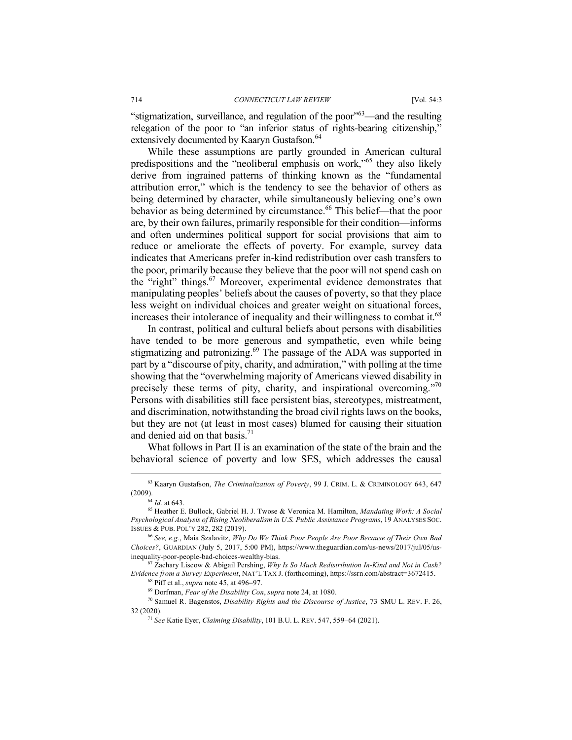"stigmatization, surveillance, and regulation of the poor"63—and the resulting relegation of the poor to "an inferior status of rights-bearing citizenship," extensively documented by Kaaryn Gustafson.<sup>64</sup>

While these assumptions are partly grounded in American cultural predispositions and the "neoliberal emphasis on work,"65 they also likely derive from ingrained patterns of thinking known as the "fundamental" attribution error," which is the tendency to see the behavior of others as being determined by character, while simultaneously believing one's own behavior as being determined by circumstance.<sup>66</sup> This belief—that the poor are, by their own failures, primarily responsible for their condition—informs and often undermines political support for social provisions that aim to reduce or ameliorate the effects of poverty. For example, survey data indicates that Americans prefer in-kind redistribution over cash transfers to the poor, primarily because they believe that the poor will not spend cash on the "right" things.<sup>67</sup> Moreover, experimental evidence demonstrates that manipulating peoples' beliefs about the causes of poverty, so that they place less weight on individual choices and greater weight on situational forces, increases their intolerance of inequality and their willingness to combat it.<sup>68</sup>

In contrast, political and cultural beliefs about persons with disabilities have tended to be more generous and sympathetic, even while being stigmatizing and patronizing.<sup>69</sup> The passage of the ADA was supported in part by a "discourse of pity, charity, and admiration," with polling at the time showing that the "overwhelming majority of Americans viewed disability in precisely these terms of pity, charity, and inspirational overcoming."70 Persons with disabilities still face persistent bias, stereotypes, mistreatment, and discrimination, notwithstanding the broad civil rights laws on the books, but they are not (at least in most cases) blamed for causing their situation and denied aid on that basis $71$ 

What follows in Part II is an examination of the state of the brain and the behavioral science of poverty and low SES, which addresses the causal

 <sup>63</sup> Kaaryn Gustafson, *The Criminalization of Poverty*, 99 J. CRIM. L. & CRIMINOLOGY 643, 647 (2009).

<sup>64</sup> *Id.* at 643.

<sup>65</sup> Heather E. Bullock, Gabriel H. J. Twose & Veronica M. Hamilton, *Mandating Work: A Social Psychological Analysis of Rising Neoliberalism in U.S. Public Assistance Programs*, 19 ANALYSES SOC. ISSUES & PUB. POL'Y 282, 282 (2019).

<sup>66</sup> *See, e.g.*, Maia Szalavitz, *Why Do We Think Poor People Are Poor Because of Their Own Bad Choices?*, GUARDIAN (July 5, 2017, 5:00 PM), https://www.theguardian.com/us-news/2017/jul/05/usinequality-poor-people-bad-choices-wealthy-bias.

<sup>67</sup> Zachary Liscow & Abigail Pershing, *Why Is So Much Redistribution In-Kind and Not in Cash? Evidence from a Survey Experiment*, NAT'L TAX J. (forthcoming), https://ssrn.com/abstract=3672415.

<sup>68</sup> Piff et al., *supra* note 45, at 496-97. 69 Dorfman, *Fear of the Disability Con*, *supra* note 24, at 1080.

<sup>70</sup> Samuel R. Bagenstos, *Disability Rights and the Discourse of Justice*, 73 SMU L. REV. F. 26, 32 (2020).

<sup>71</sup> *See* Katie Eyer, *Claiming Disability*, 101 B.U. L. REV. 547, 559–64 (2021).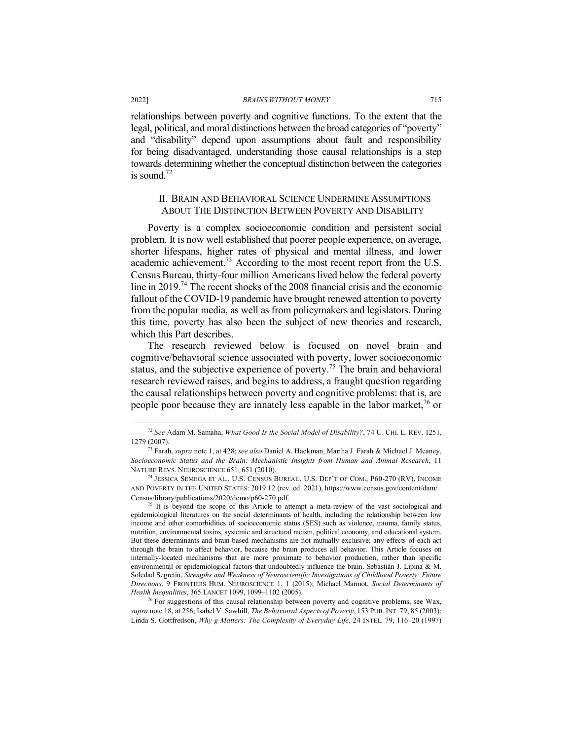relationships between poverty and cognitive functions. To the extent that the legal, political, and moral distinctions between the broad categories of "poverty" and "disability" depend upon assumptions about fault and responsibility for being disadvantaged, understanding those causal relationships is a step towards determining whether the conceptual distinction between the categories is sound  $72$ 

#### II. BRAIN AND BEHAVIORAL SCIENCE UNDERMINE ASSUMPTIONS ABOUT THE DISTINCTION BETWEEN POVERTY AND DISABILITY

Poverty is a complex socioeconomic condition and persistent social problem. It is now well established that poorer people experience, on average, shorter lifespans, higher rates of physical and mental illness, and lower academic achievement.73 According to the most recent report from the U.S. Census Bureau, thirty-four million Americans lived below the federal poverty line in 2019.74 The recent shocks of the 2008 financial crisis and the economic fallout of the COVID-19 pandemic have brought renewed attention to poverty from the popular media, as well as from policymakers and legislators. During this time, poverty has also been the subject of new theories and research, which this Part describes.

The research reviewed below is focused on novel brain and cognitive/behavioral science associated with poverty, lower socioeconomic status, and the subjective experience of poverty.75 The brain and behavioral research reviewed raises, and begins to address, a fraught question regarding the causal relationships between poverty and cognitive problems: that is, are people poor because they are innately less capable in the labor market, $^{76}$  or

<sup>74</sup> JESSICA SEMEGA ET AL., U.S. CENSUS BUREAU, U.S. DEP'T OF COM., P60-270 (RV), INCOME AND POVERTY IN THE UNITED STATES: 2019 12 (rev. ed. 2021), https://www.census.gov/content/dam/ Census/library/publications/2020/demo/p60-270.pdf.<br><sup>75</sup> It is beyond the scope of this Article to attempt a meta-review of the vast sociological and

epidemiological literatures on the social determinants of health, including the relationship between low income and other comorbidities of socioeconomic status (SES) such as violence, trauma, family status, nutrition, environmental toxins, systemic and structural racism, political economy, and educational system. But these determinants and brain-based mechanisms are not mutually exclusive; any effects of each act through the brain to affect behavior, because the brain produces all behavior. This Article focuses on internally-located mechanisms that are more proximate to behavior production, rather than specific environmental or epidemiological factors that undoubtedly influence the brain. Sebastián J. Lipina & M. Soledad Segretin, *Strengths and Weakness of Neuroscientific Investigations of Childhood Poverty: Future Directions*, 9 FRONTIERS HUM. NEUROSCIENCE 1, 1 (2015); Michael Marmot, *Social Determinants of Health Inequalities*, 365 LANCET 1099, 1099–1102 (2005).

 $^{76}$  For suggestions of this causal relationship between poverty and cognitive problems, see Wax. *supra* note 18, at 256; Isabel V. Sawhill, *The Behavioral Aspects of Poverty*, 153 PUB. INT. 79, 85 (2003); Linda S. Gottfredson, *Why g Matters: The Complexity of Everyday Life*, 24 INTEL. 79, 116–20 (1997)

 <sup>72</sup> *See* Adam M. Samaha, *What Good Is the Social Model of Disability?*, 74 U. CHI. L. REV. 1251, 1279 (2007). 73 Farah, *supra* note 1, at 428; *see also* Daniel A. Hackman, Martha J. Farah & Michael J. Meaney,

*Socioeconomic Status and the Brain: Mechanistic Insights from Human and Animal Research*, 11 NATURE REVS. NEUROSCIENCE 651, 651 (2010).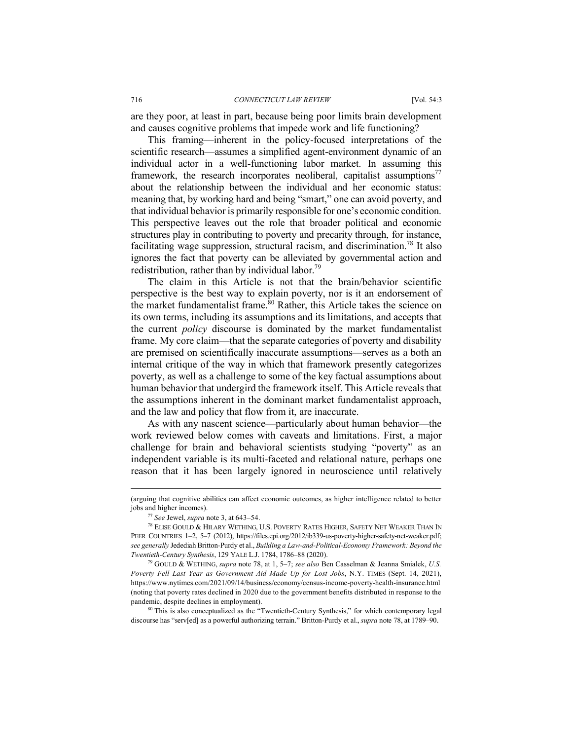are they poor, at least in part, because being poor limits brain development and causes cognitive problems that impede work and life functioning?

This framing—inherent in the policy-focused interpretations of the scientific research—assumes a simplified agent-environment dynamic of an individual actor in a well-functioning labor market. In assuming this framework, the research incorporates neoliberal, capitalist assumptions<sup>77</sup> about the relationship between the individual and her economic status: meaning that, by working hard and being "smart," one can avoid poverty, and that individual behavior is primarily responsible for one's economic condition. This perspective leaves out the role that broader political and economic structures play in contributing to poverty and precarity through, for instance, facilitating wage suppression, structural racism, and discrimination.<sup>78</sup> It also ignores the fact that poverty can be alleviated by governmental action and redistribution, rather than by individual labor.<sup>79</sup>

The claim in this Article is not that the brain/behavior scientific perspective is the best way to explain poverty, nor is it an endorsement of the market fundamentalist frame.<sup>80</sup> Rather, this Article takes the science on its own terms, including its assumptions and its limitations, and accepts that the current *policy* discourse is dominated by the market fundamentalist frame. My core claim—that the separate categories of poverty and disability are premised on scientifically inaccurate assumptions—serves as a both an internal critique of the way in which that framework presently categorizes poverty, as well as a challenge to some of the key factual assumptions about human behavior that undergird the framework itself. This Article reveals that the assumptions inherent in the dominant market fundamentalist approach, and the law and policy that flow from it, are inaccurate.

As with any nascent science—particularly about human behavior—the work reviewed below comes with caveats and limitations. First, a major challenge for brain and behavioral scientists studying "poverty" as an independent variable is its multi-faceted and relational nature, perhaps one reason that it has been largely ignored in neuroscience until relatively

*Poverty Fell Last Year as Government Aid Made Up for Lost Jobs*, N.Y. TIMES (Sept. 14, 2021), https://www.nytimes.com/2021/09/14/business/economy/census-income-poverty-health-insurance.html (noting that poverty rates declined in 2020 due to the government benefits distributed in response to the pandemic, despite declines in employment).<br><sup>80</sup> This is also conceptualized as the "Twentieth-Century Synthesis," for which contemporary legal

discourse has "serv[ed] as a powerful authorizing terrain." Britton-Purdy et al., *supra* note 78, at 1789–90.

 <sup>(</sup>arguing that cognitive abilities can affect economic outcomes, as higher intelligence related to better jobs and higher incomes).

<sup>77</sup> *See* Jewel, *supra* note 3, at 643–54.

<sup>78</sup> ELISE GOULD & HILARY WETHING, U.S. POVERTY RATES HIGHER, SAFETY NET WEAKER THAN IN PEER COUNTRIES 1-2, 5-7 (2012), https://files.epi.org/2012/ib339-us-poverty-higher-safety-net-weaker.pdf; *see generally* Jedediah Britton-Purdy et al., *Building a Law-and-Political-Economy Framework: Beyond the Twentieth-Century Synthesis*, 129 YALE L.J. 1784, 1786–88 (2020). 79 GOULD & WETHING, *supra* note 78, at 1, 5–7; *see also* Ben Casselman & Jeanna Smialek, *U.S.*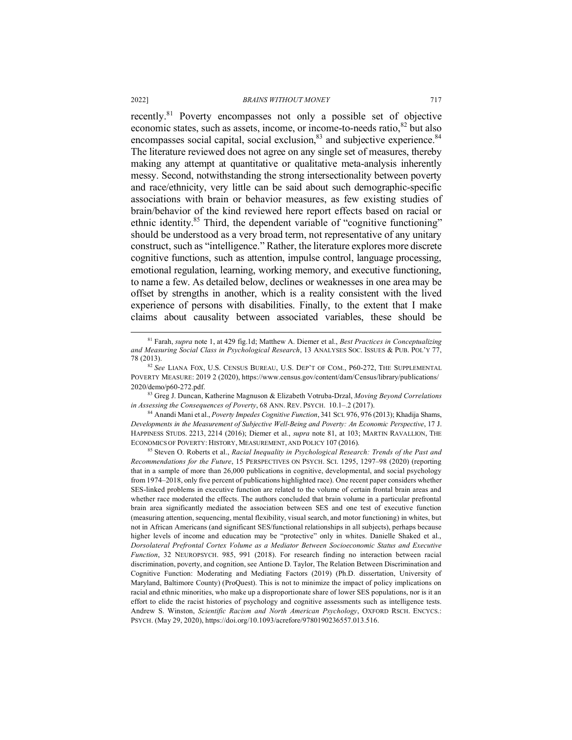recently.<sup>81</sup> Poverty encompasses not only a possible set of objective economic states, such as assets, income, or income-to-needs ratio,<sup>82</sup> but also encompasses social capital, social exclusion, $83$  and subjective experience. $84$ The literature reviewed does not agree on any single set of measures, thereby making any attempt at quantitative or qualitative meta-analysis inherently messy. Second, notwithstanding the strong intersectionality between poverty and race/ethnicity, very little can be said about such demographic-specific associations with brain or behavior measures, as few existing studies of brain/behavior of the kind reviewed here report effects based on racial or ethnic identity.<sup>85</sup> Third, the dependent variable of "cognitive functioning" should be understood as a very broad term, not representative of any unitary construct, such as "intelligence." Rather, the literature explores more discrete cognitive functions, such as attention, impulse control, language processing, emotional regulation, learning, working memory, and executive functioning, to name a few. As detailed below, declines or weaknesses in one area may be offset by strengths in another, which is a reality consistent with the lived experience of persons with disabilities. Finally, to the extent that I make claims about causality between associated variables, these should be

*in Assessing the Consequences of Poverty*, 68 ANN. REV. PSYCH. 10.1–.2 (2017).

<sup>84</sup> Anandi Mani et al., *Poverty Impedes Cognitive Function*, 341 SCI. 976, 976 (2013); Khadija Shams, *Developments in the Measurement of Subjective Well-Being and Poverty: An Economic Perspective*, 17 J. HAPPINESS STUDS. 2213, 2214 (2016); Diemer et al., *supra* note 81, at 103; MARTIN RAVALLION, THE ECONOMICS OF POVERTY: HISTORY, MEASUREMENT, AND POLICY 107 (2016).

<sup>85</sup> Steven O. Roberts et al., *Racial Inequality in Psychological Research: Trends of the Past and Recommendations for the Future*, 15 PERSPECTIVES ON PSYCH. SCI. 1295, 1297–98 (2020) (reporting that in a sample of more than 26,000 publications in cognitive, developmental, and social psychology from 1974–2018, only five percent of publications highlighted race). One recent paper considers whether SES-linked problems in executive function are related to the volume of certain frontal brain areas and whether race moderated the effects. The authors concluded that brain volume in a particular prefrontal brain area significantly mediated the association between SES and one test of executive function (measuring attention, sequencing, mental flexibility, visual search, and motor functioning) in whites, but not in African Americans (and significant SES/functional relationships in all subjects), perhaps because higher levels of income and education may be "protective" only in whites. Danielle Shaked et al., *Dorsolateral Prefrontal Cortex Volume as a Mediator Between Socioeconomic Status and Executive Function*, 32 NEUROPSYCH. 985, 991 (2018). For research finding no interaction between racial discrimination, poverty, and cognition, see Antione D. Taylor, The Relation Between Discrimination and Cognitive Function: Moderating and Mediating Factors (2019) (Ph.D. dissertation, University of Maryland, Baltimore County) (ProQuest). This is not to minimize the impact of policy implications on racial and ethnic minorities, who make up a disproportionate share of lower SES populations, nor is it an effort to elide the racist histories of psychology and cognitive assessments such as intelligence tests. Andrew S. Winston, *Scientific Racism and North American Psychology*, OXFORD RSCH. ENCYCS.: PSYCH. (May 29, 2020), https://doi.org/10.1093/acrefore/9780190236557.013.516.

 <sup>81</sup> Farah, *supra* note 1, at 429 fig.1d; Matthew A. Diemer et al., *Best Practices in Conceptualizing and Measuring Social Class in Psychological Research*, 13 ANALYSES SOC. ISSUES & PUB. POL'Y 77, 78 (2013). 82 *See* LIANA FOX, U.S. CENSUS BUREAU, U.S. DEP'T OF COM., P60-272, THE SUPPLEMENTAL

POVERTY MEASURE: 2019 2 (2020), https://www.census.gov/content/dam/Census/library/publications/ 2020/demo/p60-272.pdf. 83 Greg J. Duncan, Katherine Magnuson & Elizabeth Votruba-Drzal, *Moving Beyond Correlations*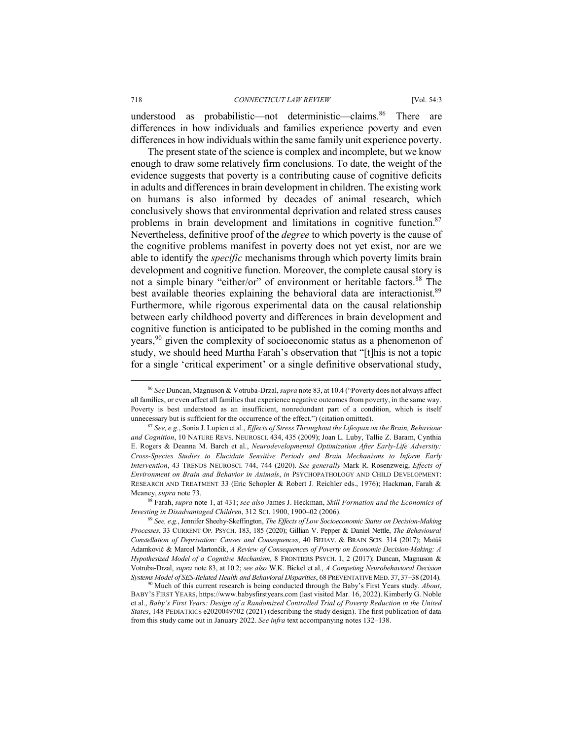understood as probabilistic—not deterministic—claims.<sup>86</sup> There are differences in how individuals and families experience poverty and even differences in how individuals within the same family unit experience poverty.

The present state of the science is complex and incomplete, but we know enough to draw some relatively firm conclusions. To date, the weight of the evidence suggests that poverty is a contributing cause of cognitive deficits in adults and differences in brain development in children. The existing work on humans is also informed by decades of animal research, which conclusively shows that environmental deprivation and related stress causes problems in brain development and limitations in cognitive function.<sup>87</sup> Nevertheless, definitive proof of the *degree* to which poverty is the cause of the cognitive problems manifest in poverty does not yet exist, nor are we able to identify the *specific* mechanisms through which poverty limits brain development and cognitive function. Moreover, the complete causal story is not a simple binary "either/or" of environment or heritable factors. <sup>88</sup> The best available theories explaining the behavioral data are interactionist.<sup>89</sup> Furthermore, while rigorous experimental data on the causal relationship between early childhood poverty and differences in brain development and cognitive function is anticipated to be published in the coming months and years,<sup>90</sup> given the complexity of socioeconomic status as a phenomenon of study, we should heed Martha Farah's observation that "[t]his is not a topic for a single 'critical experiment' or a single definitive observational study,

<sup>88</sup> Farah, *supra* note 1, at 431; *see also* James J. Heckman, *Skill Formation and the Economics of Investing in Disadvantaged Children*, 312 SCI. 1900, 1900–02 (2006).

<sup>89</sup> *See, e.g.*, Jennifer Sheehy-Skeffington, *The Effects of Low Socioeconomic Status on Decision-Making Processes*, 33 CURRENT OP. PSYCH. 183, 185 (2020); Gillian V. Pepper & Daniel Nettle, *The Behavioural Constellation of Deprivation: Causes and Consequences*, 40 BEHAV. & BRAIN SCIS. 314 (2017); Matúš Adamkovič & Marcel Martončik, *A Review of Consequences of Poverty on Economic Decision-Making: A Hypothesized Model of a Cognitive Mechanism*, 8 FRONTIERS PSYCH. 1, 2 (2017); Duncan, Magnuson & Votruba-Drzal, *supra* note 83, at 10.2; *see also* W.K. Bickel et al., *A Competing Neurobehavioral Decision Systems Model of SES-Related Health and Behavioral Disparities*, 68 PREVENTATIVE MED. 37, 37-38 (2014).

 <sup>86</sup> *See* Duncan, Magnuson & Votruba-Drzal, *supra* note 83, at 10.4 ("Poverty does not always affect all families, or even affect all families that experience negative outcomes from poverty, in the same way. Poverty is best understood as an insufficient, nonredundant part of a condition, which is itself unnecessary but is sufficient for the occurrence of the effect.") (citation omitted).

<sup>87</sup> *See, e.g.*, Sonia J. Lupien et al., *Effects of Stress Throughout the Lifespan on the Brain, Behaviour and Cognition*, 10 NATURE REVS. NEUROSCI. 434, 435 (2009); Joan L. Luby, Tallie Z. Baram, Cynthia E. Rogers & Deanna M. Barch et al., *Neurodevelopmental Optimization After Early-Life Adversity: Cross-Species Studies to Elucidate Sensitive Periods and Brain Mechanisms to Inform Early Intervention*, 43 TRENDS NEUROSCI. 744, 744 (2020). *See generally* Mark R. Rosenzweig, *Effects of Environment on Brain and Behavior in Animals*, *in* PSYCHOPATHOLOGY AND CHILD DEVELOPMENT: RESEARCH AND TREATMENT 33 (Eric Schopler & Robert J. Reichler eds., 1976); Hackman, Farah & Meaney, *supra* note 73.

<sup>90</sup> Much of this current research is being conducted through the Baby's First Years study. *About*, BABY'S FIRST YEARS, https://www.babysfirstyears.com (last visited Mar. 16, 2022). Kimberly G. Noble et al., *Baby's First Years: Design of a Randomized Controlled Trial of Poverty Reduction in the United States*, 148 PEDIATRICS e2020049702 (2021) (describing the study design). The first publication of data from this study came out in January 2022. *See infra* text accompanying notes 132–138.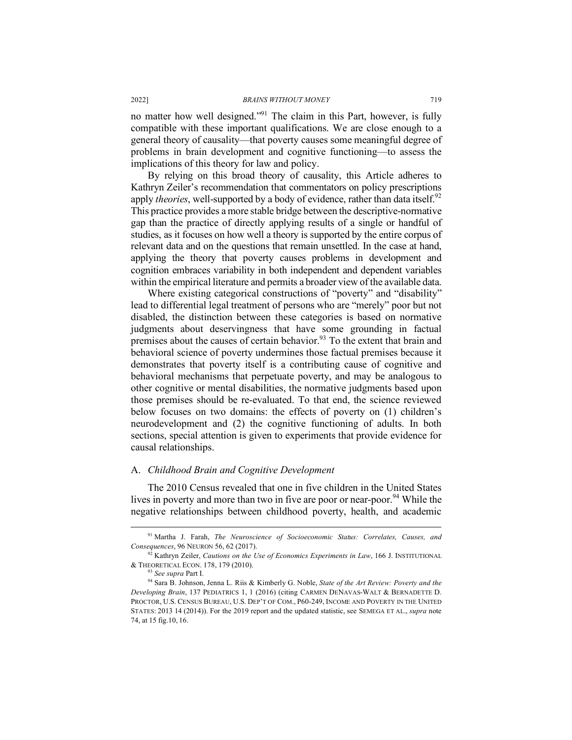no matter how well designed."91 The claim in this Part, however, is fully compatible with these important qualifications. We are close enough to a general theory of causality—that poverty causes some meaningful degree of problems in brain development and cognitive functioning—to assess the implications of this theory for law and policy.

By relying on this broad theory of causality, this Article adheres to Kathryn Zeiler's recommendation that commentators on policy prescriptions apply *theories*, well-supported by a body of evidence, rather than data itself.<sup>92</sup> This practice provides a more stable bridge between the descriptive-normative gap than the practice of directly applying results of a single or handful of studies, as it focuses on how well a theory is supported by the entire corpus of relevant data and on the questions that remain unsettled. In the case at hand, applying the theory that poverty causes problems in development and cognition embraces variability in both independent and dependent variables within the empirical literature and permits a broader view of the available data.

Where existing categorical constructions of "poverty" and "disability" lead to differential legal treatment of persons who are "merely" poor but not disabled, the distinction between these categories is based on normative judgments about deservingness that have some grounding in factual premises about the causes of certain behavior.<sup>93</sup> To the extent that brain and behavioral science of poverty undermines those factual premises because it demonstrates that poverty itself is a contributing cause of cognitive and behavioral mechanisms that perpetuate poverty, and may be analogous to other cognitive or mental disabilities, the normative judgments based upon those premises should be re-evaluated. To that end, the science reviewed below focuses on two domains: the effects of poverty on (1) children's neurodevelopment and (2) the cognitive functioning of adults. In both sections, special attention is given to experiments that provide evidence for causal relationships.

#### A. *Childhood Brain and Cognitive Development*

The 2010 Census revealed that one in five children in the United States lives in poverty and more than two in five are poor or near-poor.<sup>94</sup> While the negative relationships between childhood poverty, health, and academic

 <sup>91</sup> Martha J. Farah, *The Neuroscience of Socioeconomic Status: Correlates, Causes, and Consequences*, 96 NEURON 56, 62 (2017).

<sup>92</sup> Kathryn Zeiler, *Cautions on the Use of Economics Experiments in Law*, 166 J. INSTITUTIONAL & THEORETICAL ECON. 178, 179 (2010).

<sup>93</sup> *See supra* Part I.

<sup>94</sup> Sara B. Johnson, Jenna L. Riis & Kimberly G. Noble, *State of the Art Review: Poverty and the Developing Brain*, 137 PEDIATRICS 1, 1 (2016) (citing CARMEN DENAVAS-WALT & BERNADETTE D. PROCTOR, U.S. CENSUS BUREAU, U.S. DEP'T OF COM., P60-249, INCOME AND POVERTY IN THE UNITED STATES: 2013 14 (2014)). For the 2019 report and the updated statistic, see SEMEGA ET AL., *supra* note 74, at 15 fig.10, 16.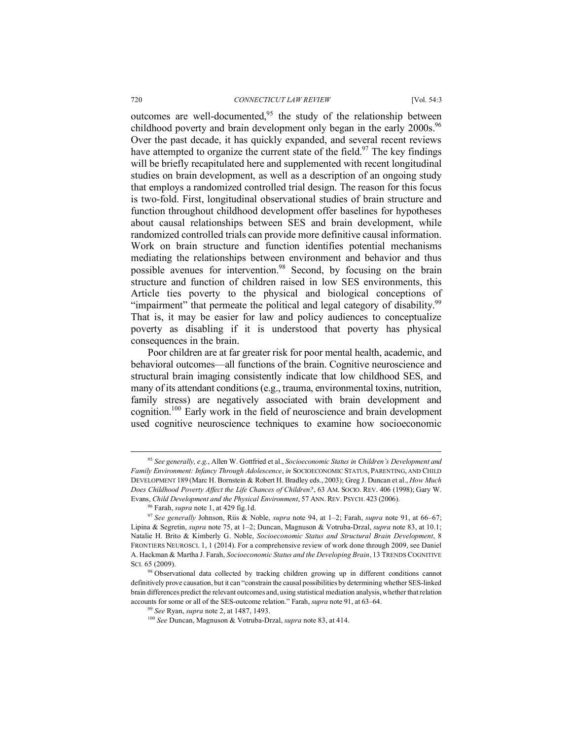outcomes are well-documented,  $95$  the study of the relationship between childhood poverty and brain development only began in the early 2000s.<sup>96</sup> Over the past decade, it has quickly expanded, and several recent reviews have attempted to organize the current state of the field.<sup>97</sup> The key findings will be briefly recapitulated here and supplemented with recent longitudinal studies on brain development, as well as a description of an ongoing study that employs a randomized controlled trial design. The reason for this focus is two-fold. First, longitudinal observational studies of brain structure and function throughout childhood development offer baselines for hypotheses about causal relationships between SES and brain development, while randomized controlled trials can provide more definitive causal information. Work on brain structure and function identifies potential mechanisms mediating the relationships between environment and behavior and thus possible avenues for intervention.<sup>98</sup> Second, by focusing on the brain structure and function of children raised in low SES environments, this Article ties poverty to the physical and biological conceptions of "impairment" that permeate the political and legal category of disability.<sup>99</sup> That is, it may be easier for law and policy audiences to conceptualize poverty as disabling if it is understood that poverty has physical consequences in the brain.

Poor children are at far greater risk for poor mental health, academic, and behavioral outcomes—all functions of the brain. Cognitive neuroscience and structural brain imaging consistently indicate that low childhood SES, and many of its attendant conditions (e.g., trauma, environmental toxins, nutrition, family stress) are negatively associated with brain development and cognition.100 Early work in the field of neuroscience and brain development used cognitive neuroscience techniques to examine how socioeconomic

 <sup>95</sup> *See generally, e.g.*, Allen W. Gottfried et al., *Socioeconomic Status in Children's Development and Family Environment: Infancy Through Adolescence*, *in* SOCIOECONOMIC STATUS, PARENTING, AND CHILD DEVELOPMENT 189 (Marc H. Bornstein & Robert H. Bradley eds., 2003); Greg J. Duncan et al., *How Much Does Childhood Poverty Affect the Life Chances of Children?*, 63 AM. SOCIO. REV. 406 (1998); Gary W. Evans, *Child Development and the Physical Environment*, 57 ANN. REV. PSYCH. 423 (2006).

<sup>96</sup> Farah, *supra* note 1, at 429 fig.1d.

<sup>97</sup> *See generally* Johnson, Riis & Noble, *supra* note 94, at 1–2; Farah, *supra* note 91, at 66–67; Lipina & Segretin, *supra* note 75, at 1–2; Duncan, Magnuson & Votruba-Drzal, *supra* note 83, at 10.1; Natalie H. Brito & Kimberly G. Noble, *Socioeconomic Status and Structural Brain Development*, 8 FRONTIERS NEUROSCI. 1, 1 (2014). For a comprehensive review of work done through 2009, see Daniel A. Hackman & Martha J. Farah, *Socioeconomic Status and the Developing Brain*, 13 TRENDS COGNITIVE SCI. 65 (2009).

<sup>98</sup> Observational data collected by tracking children growing up in different conditions cannot definitively prove causation, but it can "constrain the causal possibilities by determining whether SES-linked brain differences predict the relevant outcomes and, using statistical mediation analysis, whether that relation accounts for some or all of the SES-outcome relation." Farah, *supra* note 91, at 63–64.

<sup>99</sup> *See* Ryan, *supra* note 2, at 1487, 1493.

<sup>100</sup> *See* Duncan, Magnuson & Votruba-Drzal, *supra* note 83, at 414.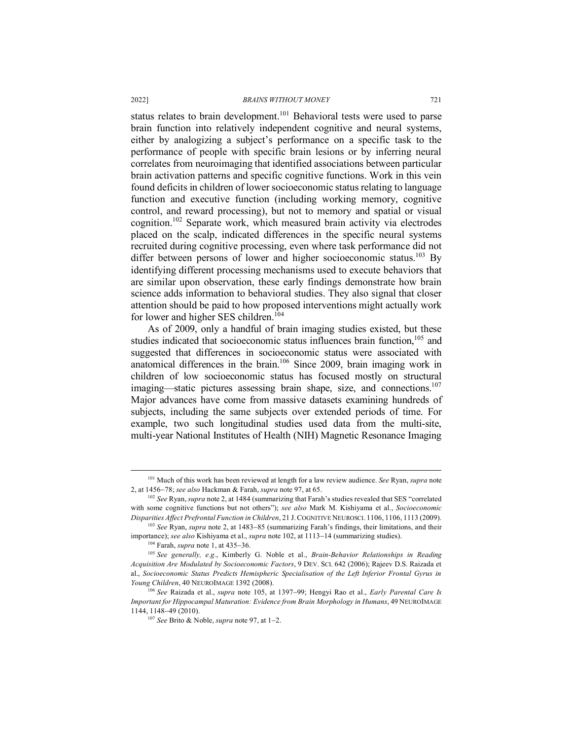status relates to brain development.<sup>101</sup> Behavioral tests were used to parse brain function into relatively independent cognitive and neural systems, either by analogizing a subject's performance on a specific task to the performance of people with specific brain lesions or by inferring neural correlates from neuroimaging that identified associations between particular brain activation patterns and specific cognitive functions. Work in this vein found deficits in children of lower socioeconomic status relating to language function and executive function (including working memory, cognitive control, and reward processing), but not to memory and spatial or visual cognition.102 Separate work, which measured brain activity via electrodes placed on the scalp, indicated differences in the specific neural systems recruited during cognitive processing, even where task performance did not differ between persons of lower and higher socioeconomic status.<sup>103</sup> By identifying different processing mechanisms used to execute behaviors that are similar upon observation, these early findings demonstrate how brain science adds information to behavioral studies. They also signal that closer attention should be paid to how proposed interventions might actually work for lower and higher SES children.<sup>104</sup>

As of 2009, only a handful of brain imaging studies existed, but these studies indicated that socioeconomic status influences brain function,<sup>105</sup> and suggested that differences in socioeconomic status were associated with anatomical differences in the brain.106 Since 2009, brain imaging work in children of low socioeconomic status has focused mostly on structural imaging—static pictures assessing brain shape, size, and connections.<sup>107</sup> Major advances have come from massive datasets examining hundreds of subjects, including the same subjects over extended periods of time. For example, two such longitudinal studies used data from the multi-site, multi-year National Institutes of Health (NIH) Magnetic Resonance Imaging

 <sup>101</sup> Much of this work has been reviewed at length for a law review audience. *See* Ryan, *supra* note 2, at 1456-78; *see also* Hackman & Farah, *supra* note 97, at 65.

<sup>102</sup> *See* Ryan, *supra* note 2, at 1484 (summarizing that Farah's studies revealed that SES "correlated with some cognitive functions but not others"); *see also* Mark M. Kishiyama et al., *Socioeconomic Disparities Affect Prefrontal Function in Children*, 21 J.COGNITIVE NEUROSCI. 1106, 1106, 1113 (2009).

<sup>103</sup> *See* Ryan, *supra* note 2, at 1483-85 (summarizing Farah's findings, their limitations, and their importance); *see also* Kishiyama et al., *supra* note 102, at 1113-14 (summarizing studies).

<sup>104</sup> Farah, *supra* note 1, at 435-36.

<sup>105</sup> *See generally, e.g.*, Kimberly G. Noble et al., *Brain-Behavior Relationships in Reading Acquisition Are Modulated by Socioeconomic Factors*, 9 DEV. SCI. 642 (2006); Rajeev D.S. Raizada et al., *Socioeconomic Status Predicts Hemispheric Specialisation of the Left Inferior Frontal Gyrus in Young Children*, 40 NEUROIMAGE 1392 (2008). 106 *See* Raizada et al., *supra* note 105, at 1397-99; Hengyi Rao et al., *Early Parental Care Is* 

*Important for Hippocampal Maturation: Evidence from Brain Morphology in Humans*, 49 NEUROIMAGE 1144, 1148-49 (2010). 107 *See* Brito & Noble, *supra* note 97, at 1-2.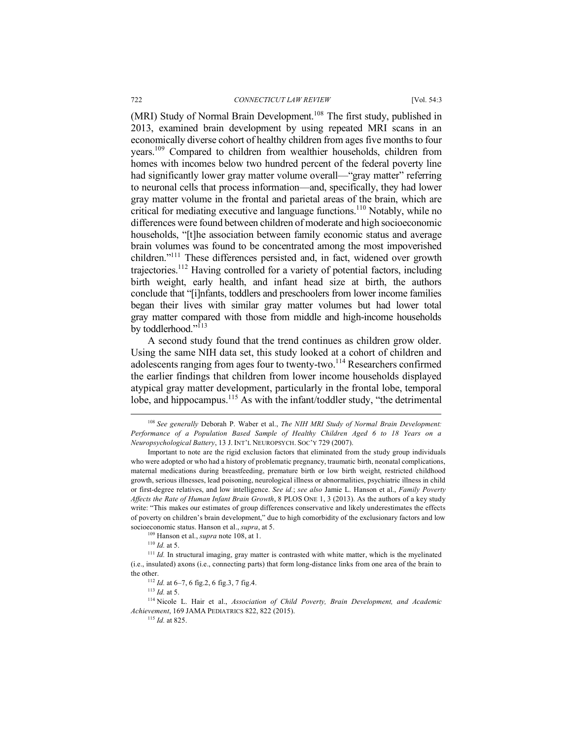(MRI) Study of Normal Brain Development.<sup>108</sup> The first study, published in 2013, examined brain development by using repeated MRI scans in an economically diverse cohort of healthy children from ages five months to four years.109 Compared to children from wealthier households, children from homes with incomes below two hundred percent of the federal poverty line had significantly lower gray matter volume overall—"gray matter" referring to neuronal cells that process information—and, specifically, they had lower gray matter volume in the frontal and parietal areas of the brain, which are critical for mediating executive and language functions.110 Notably, while no differences were found between children of moderate and high socioeconomic households, "[t]he association between family economic status and average brain volumes was found to be concentrated among the most impoverished children."<sup>111</sup> These differences persisted and, in fact, widened over growth trajectories.112 Having controlled for a variety of potential factors, including birth weight, early health, and infant head size at birth, the authors conclude that "[i]nfants, toddlers and preschoolers from lower income families began their lives with similar gray matter volumes but had lower total gray matter compared with those from middle and high-income households by toddlerhood."<sup>113</sup>

A second study found that the trend continues as children grow older. Using the same NIH data set, this study looked at a cohort of children and adolescents ranging from ages four to twenty-two.<sup>114</sup> Researchers confirmed the earlier findings that children from lower income households displayed atypical gray matter development, particularly in the frontal lobe, temporal lobe, and hippocampus.<sup>115</sup> As with the infant/toddler study, "the detrimental"

<sup>109</sup> Hanson et al., *supra* note 108, at 1.

<sup>110</sup> *Id.* at 5.

<sup>115</sup> *Id.* at 825.

 <sup>108</sup> *See generally* Deborah P. Waber et al., *The NIH MRI Study of Normal Brain Development: Performance of a Population Based Sample of Healthy Children Aged 6 to 18 Years on a Neuropsychological Battery*, 13 J. INT'L NEUROPSYCH. SOC'Y 729 (2007).

Important to note are the rigid exclusion factors that eliminated from the study group individuals who were adopted or who had a history of problematic pregnancy, traumatic birth, neonatal complications, maternal medications during breastfeeding, premature birth or low birth weight, restricted childhood growth, serious illnesses, lead poisoning, neurological illness or abnormalities, psychiatric illness in child or first-degree relatives, and low intelligence. *See id.*; *see also* Jamie L. Hanson et al., *Family Poverty Affects the Rate of Human Infant Brain Growth*, 8 PLOS ONE 1, 3 (2013). As the authors of a key study write: "This makes our estimates of group differences conservative and likely underestimates the effects of poverty on children's brain development," due to high comorbidity of the exclusionary factors and low socioeconomic status. Hanson et al., *supra*, at 5.

<sup>&</sup>lt;sup>111</sup> *Id.* In structural imaging, gray matter is contrasted with white matter, which is the myelinated (i.e., insulated) axons (i.e., connecting parts) that form long-distance links from one area of the brain to the other.

<sup>112</sup> *Id.* at 6–7, 6 fig.2, 6 fig.3, 7 fig.4. 113 *Id.* at 5.

<sup>114</sup> Nicole L. Hair et al., *Association of Child Poverty, Brain Development, and Academic Achievement*, 169 JAMA PEDIATRICS 822, 822 (2015).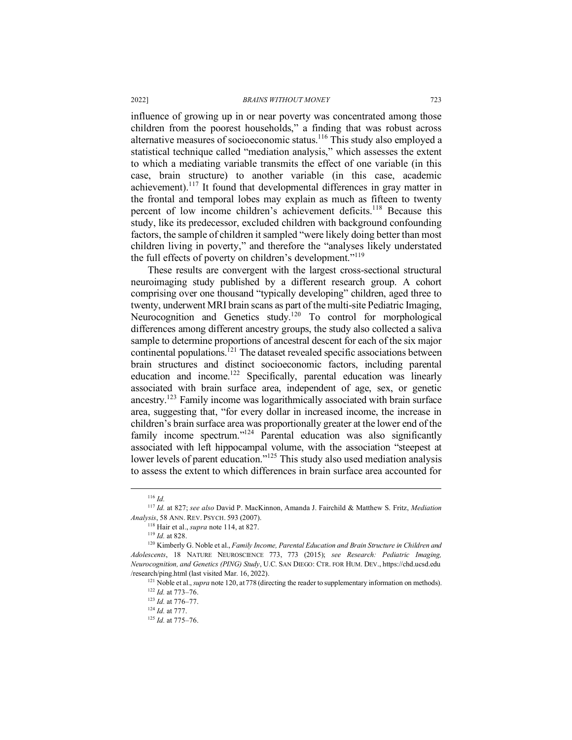influence of growing up in or near poverty was concentrated among those children from the poorest households," a finding that was robust across alternative measures of socioeconomic status.116 This study also employed a statistical technique called "mediation analysis," which assesses the extent to which a mediating variable transmits the effect of one variable (in this case, brain structure) to another variable (in this case, academic achievement).<sup>117</sup> It found that developmental differences in gray matter in the frontal and temporal lobes may explain as much as fifteen to twenty percent of low income children's achievement deficits.<sup>118</sup> Because this study, like its predecessor, excluded children with background confounding factors, the sample of children it sampled "were likely doing better than most children living in poverty," and therefore the "analyses likely understated the full effects of poverty on children's development."119

These results are convergent with the largest cross-sectional structural neuroimaging study published by a different research group. A cohort comprising over one thousand "typically developing" children, aged three to twenty, underwent MRI brain scans as part of the multi-site Pediatric Imaging, Neurocognition and Genetics study.<sup>120</sup> To control for morphological differences among different ancestry groups, the study also collected a saliva sample to determine proportions of ancestral descent for each of the six major continental populations.<sup>121</sup> The dataset revealed specific associations between brain structures and distinct socioeconomic factors, including parental education and income.122 Specifically, parental education was linearly associated with brain surface area, independent of age, sex, or genetic ancestry.123 Family income was logarithmically associated with brain surface area, suggesting that, "for every dollar in increased income, the increase in children's brain surface area was proportionally greater at the lower end of the family income spectrum."<sup>124</sup> Parental education was also significantly associated with left hippocampal volume, with the association "steepest at lower levels of parent education."<sup>125</sup> This study also used mediation analysis to assess the extent to which differences in brain surface area accounted for

 <sup>116</sup> *Id.*

<sup>117</sup> *Id.* at 827; *see also* David P. MacKinnon, Amanda J. Fairchild & Matthew S. Fritz, *Mediation Analysis*, 58 ANN. REV. PSYCH. 593 (2007).

<sup>118</sup> Hair et al., *supra* note 114, at 827. 119 *Id.* at 828.

<sup>120</sup> Kimberly G. Noble et al., *Family Income, Parental Education and Brain Structure in Children and Adolescents*, 18 NATURE NEUROSCIENCE 773, 773 (2015); *see Research: Pediatric Imaging, Neurocognition, and Genetics (PING) Study*, U.C. SAN DIEGO: CTR. FOR HUM. DEV., https://chd.ucsd.edu /research/ping.html (last visited Mar. 16, 2022). 121 Noble et al., *supra* note 120, at778 (directing the reader to supplementary information on methods).

<sup>122</sup> *Id.* at 773–76.

<sup>123</sup> *Id.* at 776–77.

<sup>124</sup> *Id.* at 777.

<sup>125</sup> *Id.* at 775–76.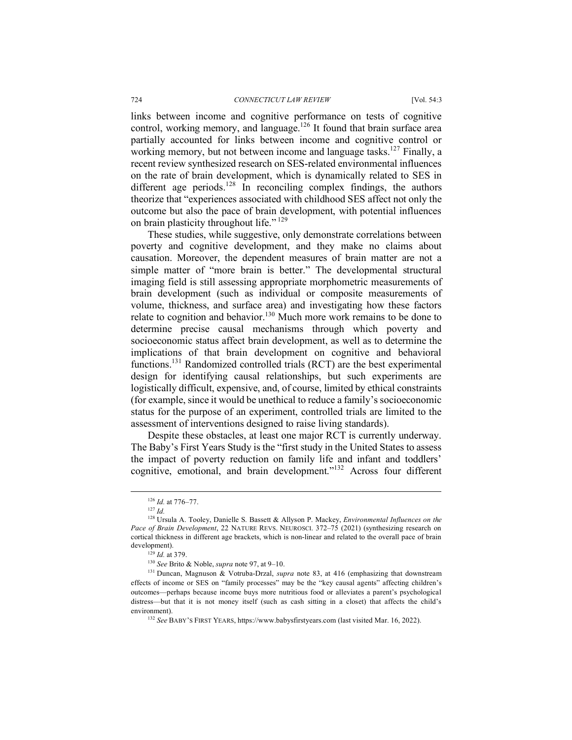links between income and cognitive performance on tests of cognitive control, working memory, and language.<sup>126</sup> It found that brain surface area partially accounted for links between income and cognitive control or working memory, but not between income and language tasks.<sup>127</sup> Finally, a recent review synthesized research on SES-related environmental influences on the rate of brain development, which is dynamically related to SES in different age periods.<sup>128</sup> In reconciling complex findings, the authors theorize that "experiences associated with childhood SES affect not only the outcome but also the pace of brain development, with potential influences on brain plasticity throughout life." <sup>129</sup>

These studies, while suggestive, only demonstrate correlations between poverty and cognitive development, and they make no claims about causation. Moreover, the dependent measures of brain matter are not a simple matter of "more brain is better." The developmental structural imaging field is still assessing appropriate morphometric measurements of brain development (such as individual or composite measurements of volume, thickness, and surface area) and investigating how these factors relate to cognition and behavior.<sup>130</sup> Much more work remains to be done to determine precise causal mechanisms through which poverty and socioeconomic status affect brain development, as well as to determine the implications of that brain development on cognitive and behavioral functions.<sup>131</sup> Randomized controlled trials (RCT) are the best experimental design for identifying causal relationships, but such experiments are logistically difficult, expensive, and, of course, limited by ethical constraints (for example, since it would be unethical to reduce a family's socioeconomic status for the purpose of an experiment, controlled trials are limited to the assessment of interventions designed to raise living standards).

Despite these obstacles, at least one major RCT is currently underway. The Baby's First Years Study is the "first study in the United States to assess the impact of poverty reduction on family life and infant and toddlers' cognitive, emotional, and brain development."132 Across four different

<sup>129</sup> *Id.* at 379.

<sup>130</sup> *See* Brito & Noble, *supra* note 97, at 9–10.

 <sup>126</sup> *Id.* at 776–77.

<sup>127</sup> *Id.*

<sup>128</sup> Ursula A. Tooley, Danielle S. Bassett & Allyson P. Mackey, *Environmental Influences on the Pace of Brain Development*, 22 NATURE REVS. NEUROSCI. 372–75 (2021) (synthesizing research on cortical thickness in different age brackets, which is non-linear and related to the overall pace of brain development).

<sup>&</sup>lt;sup>131</sup> Duncan, Magnuson & Votruba-Drzal, *supra* note 83, at 416 (emphasizing that downstream effects of income or SES on "family processes" may be the "key causal agents" affecting children's outcomes—perhaps because income buys more nutritious food or alleviates a parent's psychological distress—but that it is not money itself (such as cash sitting in a closet) that affects the child's environment).

<sup>&</sup>lt;sup>132</sup> See BABY'S FIRST YEARS, https://www.babysfirstyears.com (last visited Mar. 16, 2022).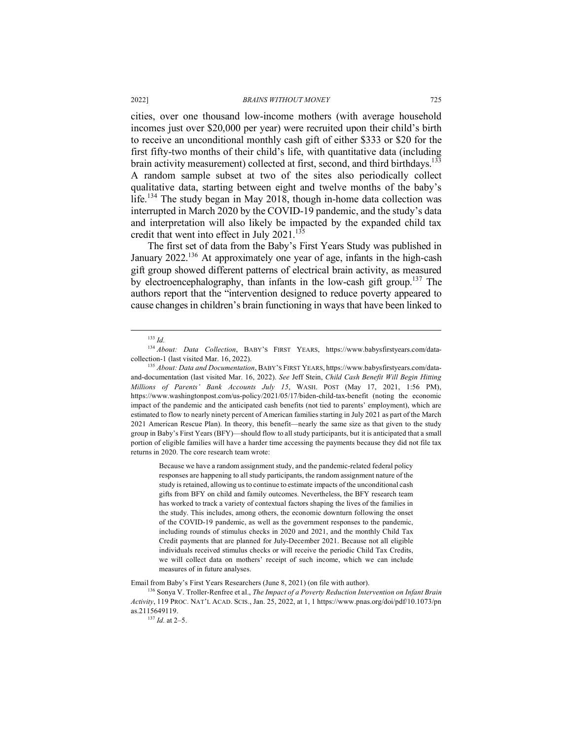cities, over one thousand low-income mothers (with average household incomes just over \$20,000 per year) were recruited upon their child's birth to receive an unconditional monthly cash gift of either \$333 or \$20 for the first fifty-two months of their child's life, with quantitative data (including brain activity measurement) collected at first, second, and third birthdays.<sup>133</sup> A random sample subset at two of the sites also periodically collect qualitative data, starting between eight and twelve months of the baby's life.<sup>134</sup> The study began in May 2018, though in-home data collection was interrupted in March 2020 by the COVID-19 pandemic, and the study's data and interpretation will also likely be impacted by the expanded child tax credit that went into effect in July 2021.<sup>135</sup>

The first set of data from the Baby's First Years Study was published in January 2022.<sup>136</sup> At approximately one year of age, infants in the high-cash gift group showed different patterns of electrical brain activity, as measured by electroencephalography, than infants in the low-cash gift group.137 The authors report that the "intervention designed to reduce poverty appeared to cause changes in children's brain functioning in ways that have been linked to

133 *Id.*

Because we have a random assignment study, and the pandemic-related federal policy responses are happening to all study participants, the random assignment nature of the study is retained, allowing us to continue to estimate impacts of the unconditional cash gifts from BFY on child and family outcomes. Nevertheless, the BFY research team has worked to track a variety of contextual factors shaping the lives of the families in the study. This includes, among others, the economic downturn following the onset of the COVID-19 pandemic, as well as the government responses to the pandemic, including rounds of stimulus checks in 2020 and 2021, and the monthly Child Tax Credit payments that are planned for July-December 2021. Because not all eligible individuals received stimulus checks or will receive the periodic Child Tax Credits, we will collect data on mothers' receipt of such income, which we can include measures of in future analyses.

Email from Baby's First Years Researchers (June 8, 2021) (on file with author).<br><sup>136</sup> Sonya V. Troller-Renfree et al., *The Impact of a Poverty Reduction Intervention on Infant Brain Activity*, 119 PROC. NAT'L ACAD. SCIS., Jan. 25, 2022, at 1, 1 https://www.pnas.org/doi/pdf/10.1073/pn as.2115649119.

<sup>137</sup> *Id.* at 2–5.

<sup>134</sup> *About: Data Collection*, BABY'S FIRST YEARS, https://www.babysfirstyears.com/datacollection-1 (last visited Mar. 16, 2022).

<sup>135</sup> *About: Data and Documentation*, BABY'S FIRST YEARS, https://www.babysfirstyears.com/dataand-documentation (last visited Mar. 16, 2022). *See* Jeff Stein, *Child Cash Benefit Will Begin Hitting Millions of Parents' Bank Accounts July 15*, WASH. POST (May 17, 2021, 1:56 PM), https://www.washingtonpost.com/us-policy/2021/05/17/biden-child-tax-benefit (noting the economic impact of the pandemic and the anticipated cash benefits (not tied to parents' employment), which are estimated to flow to nearly ninety percent of American families starting in July 2021 as part of the March 2021 American Rescue Plan). In theory, this benefit—nearly the same size as that given to the study group in Baby's First Years (BFY)—should flow to all study participants, but it is anticipated that a small portion of eligible families will have a harder time accessing the payments because they did not file tax returns in 2020. The core research team wrote: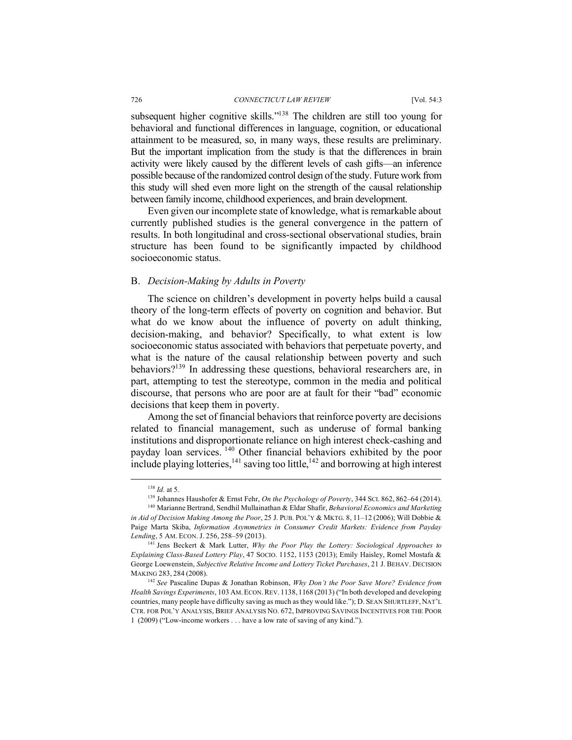subsequent higher cognitive skills."<sup>138</sup> The children are still too young for behavioral and functional differences in language, cognition, or educational attainment to be measured, so, in many ways, these results are preliminary. But the important implication from the study is that the differences in brain activity were likely caused by the different levels of cash gifts—an inference possible because of the randomized control design of the study. Future work from this study will shed even more light on the strength of the causal relationship between family income, childhood experiences, and brain development.

Even given our incomplete state of knowledge, what is remarkable about currently published studies is the general convergence in the pattern of results. In both longitudinal and cross-sectional observational studies, brain structure has been found to be significantly impacted by childhood socioeconomic status.

#### B. *Decision-Making by Adults in Poverty*

The science on children's development in poverty helps build a causal theory of the long-term effects of poverty on cognition and behavior. But what do we know about the influence of poverty on adult thinking, decision-making, and behavior? Specifically, to what extent is low socioeconomic status associated with behaviors that perpetuate poverty, and what is the nature of the causal relationship between poverty and such behaviors?139 In addressing these questions, behavioral researchers are, in part, attempting to test the stereotype, common in the media and political discourse, that persons who are poor are at fault for their "bad" economic decisions that keep them in poverty.

Among the set of financial behaviors that reinforce poverty are decisions related to financial management, such as underuse of formal banking institutions and disproportionate reliance on high interest check-cashing and payday loan services. <sup>140</sup> Other financial behaviors exhibited by the poor include playing lotteries, $141$  saving too little, $142$  and borrowing at high interest

 <sup>138</sup> *Id.* at 5.

<sup>139</sup> Johannes Haushofer & Ernst Fehr, *On the Psychology of Poverty*, 344 SCI. 862, 862–64 (2014). <sup>140</sup> Marianne Bertrand, Sendhil Mullainathan & Eldar Shafir, *Behavioral Economics and Marketing* 

*in Aid of Decision Making Among the Poor*, 25 J. PUB. POL'Y & MKTG. 8, 11–12 (2006); Will Dobbie & Paige Marta Skiba, *Information Asymmetries in Consumer Credit Markets: Evidence from Payday Lending*, 5 AM. ECON. J. 256, 258–59 (2013).

<sup>141</sup> Jens Beckert & Mark Lutter, *Why the Poor Play the Lottery: Sociological Approaches to Explaining Class-Based Lottery Play*, 47 SOCIO. 1152, 1153 (2013); Emily Haisley, Romel Mostafa & George Loewenstein, *Subjective Relative Income and Lottery Ticket Purchases*, 21 J. BEHAV. DECISION MAKING 283, 284 (2008).

<sup>142</sup> *See* Pascaline Dupas & Jonathan Robinson, *Why Don't the Poor Save More? Evidence from Health Savings Experiments*, 103 AM.ECON.REV. 1138, 1168 (2013) ("In both developed and developing countries, many people have difficulty saving as much as they would like."); D. SEAN SHURTLEFF, NAT'L CTR. FOR POL'Y ANALYSIS, BRIEF ANALYSIS NO. 672, IMPROVING SAVINGS INCENTIVES FOR THE POOR 1 (2009) ("Low-income workers . . . have a low rate of saving of any kind.").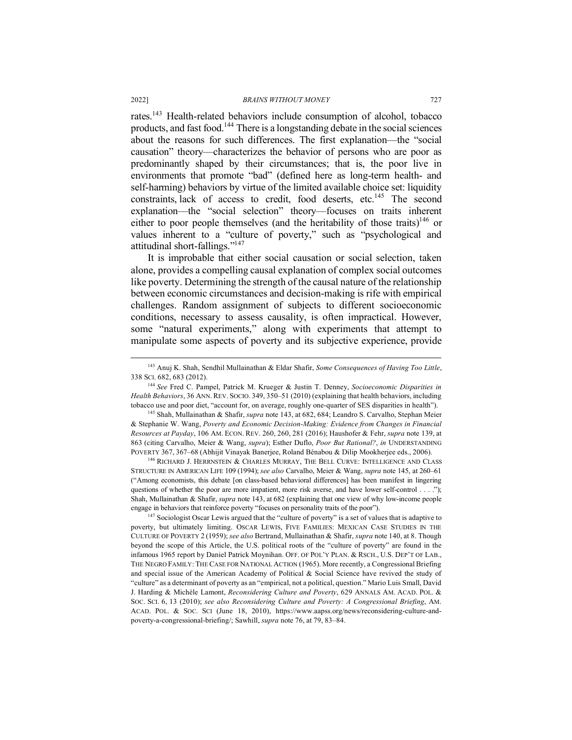rates.143 Health-related behaviors include consumption of alcohol, tobacco products, and fast food.144 There is a longstanding debate in the social sciences about the reasons for such differences. The first explanation—the "social causation" theory—characterizes the behavior of persons who are poor as predominantly shaped by their circumstances; that is, the poor live in environments that promote "bad" (defined here as long-term health- and self-harming) behaviors by virtue of the limited available choice set: liquidity constraints, lack of access to credit, food deserts, etc.<sup>145</sup> The second explanation—the "social selection" theory—focuses on traits inherent either to poor people themselves (and the heritability of those traits)<sup>146</sup> or values inherent to a "culture of poverty," such as "psychological and attitudinal short-fallings."147

It is improbable that either social causation or social selection, taken alone, provides a compelling causal explanation of complex social outcomes like poverty. Determining the strength of the causal nature of the relationship between economic circumstances and decision-making is rife with empirical challenges. Random assignment of subjects to different socioeconomic conditions, necessary to assess causality, is often impractical. However, some "natural experiments," along with experiments that attempt to manipulate some aspects of poverty and its subjective experience, provide

<sup>145</sup> Shah, Mullainathan & Shafir, *supra* note 143, at 682, 684; Leandro S. Carvalho, Stephan Meier & Stephanie W. Wang, *Poverty and Economic Decision-Making: Evidence from Changes in Financial Resources at Payday*, 106 AM. ECON. REV. 260, 260, 281 (2016); Haushofer & Fehr, *supra* note 139, at 863 (citing Carvalho, Meier & Wang, *supra*); Esther Duflo, *Poor But Rational?*, *in* UNDERSTANDING POVERTY 367, 367–68 (Abhijit Vinayak Banerjee, Roland Bénabou & Dilip Mookherjee eds., 2006).

 $^{146}$  RICHARD J. HERRNSTEIN & CHARLES MURRAY, THE BELL CURVE: INTELLIGENCE AND CLASS STRUCTURE IN AMERICAN LIFE 109 (1994); *see also* Carvalho, Meier & Wang, *supra* note 145, at 260–61 ("Among economists, this debate [on class-based behavioral differences] has been manifest in lingering questions of whether the poor are more impatient, more risk averse, and have lower self-control . . . ."); Shah, Mullainathan & Shafir, *supra* note 143, at 682 (explaining that one view of why low-income people engage in behaviors that reinforce poverty "focuses on personality traits of the poor").

<sup>147</sup> Sociologist Oscar Lewis argued that the "culture of poverty" is a set of values that is adaptive to poverty, but ultimately limiting. OSCAR LEWIS, FIVE FAMILIES: MEXICAN CASE STUDIES IN THE CULTURE OF POVERTY 2 (1959); *see also* Bertrand, Mullainathan & Shafir, *supra* note 140, at 8. Though beyond the scope of this Article, the U.S. political roots of the "culture of poverty" are found in the infamous 1965 report by Daniel Patrick Moynihan. OFF. OF POL'Y PLAN. & RSCH., U.S. DEP'T OF LAB., THE NEGRO FAMILY: THE CASE FOR NATIONAL ACTION (1965). More recently, a Congressional Briefing and special issue of the American Academy of Political & Social Science have revived the study of "culture" as a determinant of poverty as an "empirical, not a political, question." Mario Luis Small, David J. Harding & Michèle Lamont, *Reconsidering Culture and Poverty*, 629 ANNALS AM. ACAD. POL. & SOC. SCI. 6, 13 (2010); *see also Reconsidering Culture and Poverty: A Congressional Briefing*, AM. ACAD. POL. & SOC. SCI (June 18, 2010), https://www.aapss.org/news/reconsidering-culture-andpoverty-a-congressional-briefing/; Sawhill, *supra* note 76, at 79, 83–84.

 <sup>143</sup> Anuj K. Shah, Sendhil Mullainathan & Eldar Shafir, *Some Consequences of Having Too Little*, 338 SCI. 682, 683 (2012).

<sup>144</sup> *See* Fred C. Pampel, Patrick M. Krueger & Justin T. Denney, *Socioeconomic Disparities in Health Behaviors*, 36 ANN. REV. SOCIO. 349, 350–51 (2010) (explaining that health behaviors, including tobacco use and poor diet, "account for, on average, roughly one-quarter of SES disparities in health").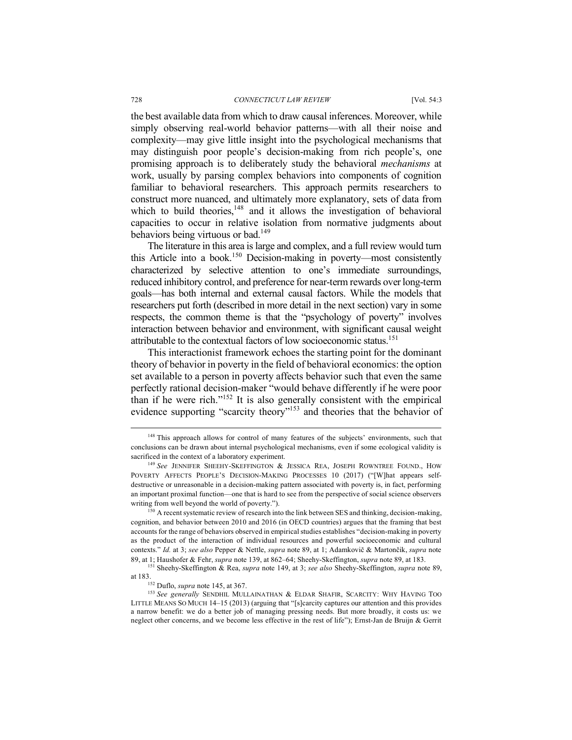the best available data from which to draw causal inferences. Moreover, while simply observing real-world behavior patterns—with all their noise and complexity—may give little insight into the psychological mechanisms that may distinguish poor people's decision-making from rich people's, one promising approach is to deliberately study the behavioral *mechanisms* at work, usually by parsing complex behaviors into components of cognition familiar to behavioral researchers. This approach permits researchers to construct more nuanced, and ultimately more explanatory, sets of data from which to build theories, $148$  and it allows the investigation of behavioral capacities to occur in relative isolation from normative judgments about behaviors being virtuous or bad.<sup>149</sup>

The literature in this area is large and complex, and a full review would turn this Article into a book.<sup>150</sup> Decision-making in poverty—most consistently characterized by selective attention to one's immediate surroundings, reduced inhibitory control, and preference for near-term rewards over long-term goals—has both internal and external causal factors. While the models that researchers put forth (described in more detail in the next section) vary in some respects, the common theme is that the "psychology of poverty" involves interaction between behavior and environment, with significant causal weight attributable to the contextual factors of low socioeconomic status.<sup>151</sup>

This interactionist framework echoes the starting point for the dominant theory of behavior in poverty in the field of behavioral economics: the option set available to a person in poverty affects behavior such that even the same perfectly rational decision-maker "would behave differently if he were poor than if he were rich."<sup>152</sup> It is also generally consistent with the empirical evidence supporting "scarcity theory"<sup>153</sup> and theories that the behavior of

<sup>&</sup>lt;sup>148</sup> This approach allows for control of many features of the subjects' environments, such that conclusions can be drawn about internal psychological mechanisms, even if some ecological validity is sacrificed in the context of a laboratory experiment.

<sup>149</sup> *See* JENNIFER SHEEHY-SKEFFINGTON & JESSICA REA, JOSEPH ROWNTREE FOUND., HOW POVERTY AFFECTS PEOPLE'S DECISION-MAKING PROCESSES 10 (2017) ("[W]hat appears selfdestructive or unreasonable in a decision-making pattern associated with poverty is, in fact, performing an important proximal function—one that is hard to see from the perspective of social science observers writing from well beyond the world of poverty.").

<sup>&</sup>lt;sup>150</sup> A recent systematic review of research into the link between SES and thinking, decision-making, cognition, and behavior between 2010 and 2016 (in OECD countries) argues that the framing that best accounts for the range of behaviors observed in empirical studies establishes "decision-making in poverty as the product of the interaction of individual resources and powerful socioeconomic and cultural contexts." *Id.* at 3; *see also* Pepper & Nettle, *supra* note 89, at 1; Adamkovič & Martončik, *supra* note 89, at 1; Haushofer & Fehr, *supra* note 139, at 862–64; Sheehy-Skeffington, *supra* note 89, at 183.

<sup>151</sup> Sheehy-Skeffington & Rea, *supra* note 149, at 3; *see also* Sheehy-Skeffington, *supra* note 89, at 183. 152 Duflo, *supra* note 145, at 367.

<sup>&</sup>lt;sup>153</sup> See generally SENDHIL MULLAINATHAN & ELDAR SHAFIR, SCARCITY: WHY HAVING TOO LITTLE MEANS SO MUCH 14–15 (2013) (arguing that "[s]carcity captures our attention and this provides a narrow benefit: we do a better job of managing pressing needs. But more broadly, it costs us: we neglect other concerns, and we become less effective in the rest of life"); Ernst-Jan de Bruijn & Gerrit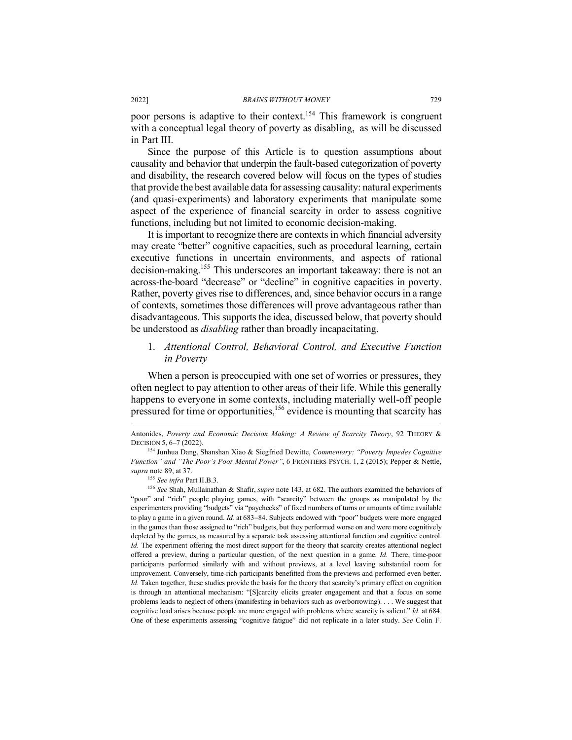poor persons is adaptive to their context.<sup>154</sup> This framework is congruent with a conceptual legal theory of poverty as disabling, as will be discussed in Part III.

Since the purpose of this Article is to question assumptions about causality and behavior that underpin the fault-based categorization of poverty and disability, the research covered below will focus on the types of studies that provide the best available data for assessing causality: natural experiments (and quasi-experiments) and laboratory experiments that manipulate some aspect of the experience of financial scarcity in order to assess cognitive functions, including but not limited to economic decision-making.

It is important to recognize there are contexts in which financial adversity may create "better" cognitive capacities, such as procedural learning, certain executive functions in uncertain environments, and aspects of rational decision-making.155 This underscores an important takeaway: there is not an across-the-board "decrease" or "decline" in cognitive capacities in poverty. Rather, poverty gives rise to differences, and, since behavior occurs in a range of contexts, sometimes those differences will prove advantageous rather than disadvantageous. This supports the idea, discussed below, that poverty should be understood as *disabling* rather than broadly incapacitating.

1. *Attentional Control, Behavioral Control, and Executive Function in Poverty*

When a person is preoccupied with one set of worries or pressures, they often neglect to pay attention to other areas of their life. While this generally happens to everyone in some contexts, including materially well-off people pressured for time or opportunities,<sup>156</sup> evidence is mounting that scarcity has

Antonides, *Poverty and Economic Decision Making: A Review of Scarcity Theory*, 92 THEORY & DECISION 5, 6–7 (2022).

<sup>154</sup> Junhua Dang, Shanshan Xiao & Siegfried Dewitte, *Commentary: "Poverty Impedes Cognitive Function" and "The Poor's Poor Mental Power"*, 6 FRONTIERS PSYCH. 1, 2 (2015); Pepper & Nettle, *supra* note 89, at 37.

<sup>155</sup> *See infra* Part II.B.3.

<sup>156</sup> *See* Shah, Mullainathan & Shafir, *supra* note 143, at 682. The authors examined the behaviors of "poor" and "rich" people playing games, with "scarcity" between the groups as manipulated by the experimenters providing "budgets" via "paychecks" of fixed numbers of turns or amounts of time available to play a game in a given round. *Id.* at 683-84. Subjects endowed with "poor" budgets were more engaged in the games than those assigned to "rich" budgets, but they performed worse on and were more cognitively depleted by the games, as measured by a separate task assessing attentional function and cognitive control. *Id.* The experiment offering the most direct support for the theory that scarcity creates attentional neglect offered a preview, during a particular question, of the next question in a game. *Id.* There, time-poor participants performed similarly with and without previews, at a level leaving substantial room for improvement. Conversely, time-rich participants benefitted from the previews and performed even better. *Id.* Taken together, these studies provide the basis for the theory that scarcity's primary effect on cognition is through an attentional mechanism: "[S]carcity elicits greater engagement and that a focus on some problems leads to neglect of others (manifesting in behaviors such as overborrowing). . . . We suggest that cognitive load arises because people are more engaged with problems where scarcity is salient." *Id.* at 684. One of these experiments assessing "cognitive fatigue" did not replicate in a later study. *See* Colin F.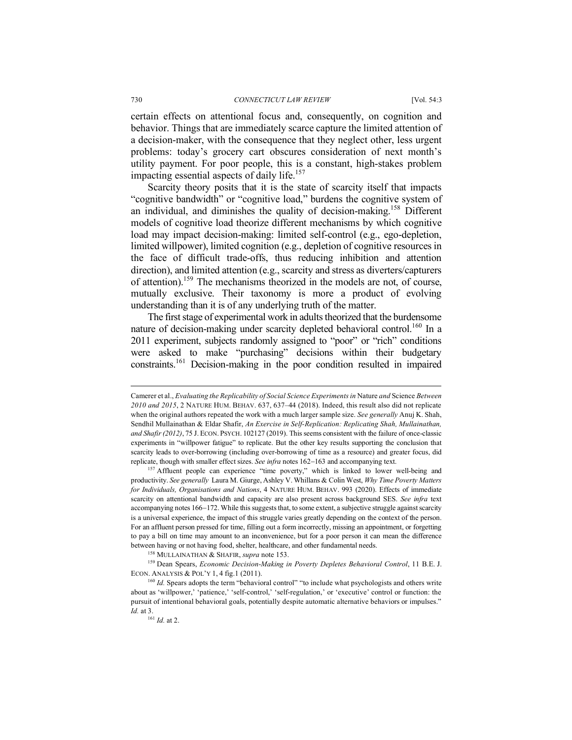certain effects on attentional focus and, consequently, on cognition and behavior. Things that are immediately scarce capture the limited attention of a decision-maker, with the consequence that they neglect other, less urgent problems: today's grocery cart obscures consideration of next month's utility payment. For poor people, this is a constant, high-stakes problem impacting essential aspects of daily life.<sup>157</sup>

Scarcity theory posits that it is the state of scarcity itself that impacts "cognitive bandwidth" or "cognitive load," burdens the cognitive system of an individual, and diminishes the quality of decision-making.158 Different models of cognitive load theorize different mechanisms by which cognitive load may impact decision-making: limited self-control (e.g., ego-depletion, limited willpower), limited cognition (e.g., depletion of cognitive resources in the face of difficult trade-offs, thus reducing inhibition and attention direction), and limited attention (e.g., scarcity and stress as diverters/capturers of attention).159 The mechanisms theorized in the models are not, of course, mutually exclusive. Their taxonomy is more a product of evolving understanding than it is of any underlying truth of the matter.

The first stage of experimental work in adults theorized that the burdensome nature of decision-making under scarcity depleted behavioral control.<sup>160</sup> In a 2011 experiment, subjects randomly assigned to "poor" or "rich" conditions were asked to make "purchasing" decisions within their budgetary constraints.161 Decision-making in the poor condition resulted in impaired

<sup>158</sup> MULLAINATHAN & SHAFIR, *supra* note 153.

<sup>159</sup> Dean Spears, *Economic Decision-Making in Poverty Depletes Behavioral Control*, 11 B.E. J. ECON. ANALYSIS & POL'Y 1, 4 fig.1 (2011).<br><sup>160</sup> *Id.* Spears adopts the term "behavioral control" "to include what psychologists and others write

Camerer et al., *Evaluating the Replicability of Social Science Experiments in* Nature *and* Science *Between 2010 and 2015*, 2 NATURE HUM. BEHAV. 637, 637–44 (2018). Indeed, this result also did not replicate when the original authors repeated the work with a much larger sample size. *See generally* Anuj K. Shah, Sendhil Mullainathan & Eldar Shafir, *An Exercise in Self-Replication: Replicating Shah, Mullainathan, and Shafir (2012)*, 75 J. ECON. PSYCH. 102127 (2019). This seems consistent with the failure of once-classic experiments in "willpower fatigue" to replicate. But the other key results supporting the conclusion that scarcity leads to over-borrowing (including over-borrowing of time as a resource) and greater focus, did replicate, though with smaller effect sizes. *See infra* notes 162-163 and accompanying text.

<sup>&</sup>lt;sup>157</sup> Affluent people can experience "time poverty," which is linked to lower well-being and productivity. *See generally* Laura M. Giurge, Ashley V. Whillans & Colin West, *Why Time Poverty Matters for Individuals, Organisations and Nations*, 4 NATURE HUM. BEHAV. 993 (2020). Effects of immediate scarcity on attentional bandwidth and capacity are also present across background SES. *See infra* text accompanying notes 166-172. While this suggests that, to some extent, a subjective struggle against scarcity is a universal experience, the impact of this struggle varies greatly depending on the context of the person. For an affluent person pressed for time, filling out a form incorrectly, missing an appointment, or forgetting to pay a bill on time may amount to an inconvenience, but for a poor person it can mean the difference between having or not having food, shelter, healthcare, and other fundamental needs.

about as 'willpower,' 'patience,' 'self-control,' 'self-regulation,' or 'executive' control or function: the pursuit of intentional behavioral goals, potentially despite automatic alternative behaviors or impulses." *Id.* at 3. <sup>161</sup> *Id.* at 2.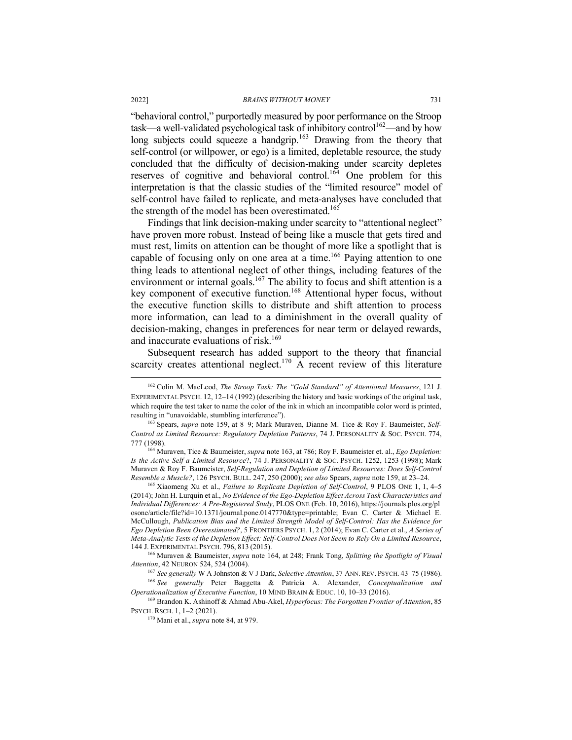"behavioral control," purportedly measured by poor performance on the Stroop task—a well-validated psychological task of inhibitory control<sup>162</sup>—and by how long subjects could squeeze a handgrip.<sup>163</sup> Drawing from the theory that self-control (or willpower, or ego) is a limited, depletable resource, the study concluded that the difficulty of decision-making under scarcity depletes reserves of cognitive and behavioral control.<sup>164</sup> One problem for this interpretation is that the classic studies of the "limited resource" model of self-control have failed to replicate, and meta-analyses have concluded that the strength of the model has been overestimated.<sup>165</sup>

Findings that link decision-making under scarcity to "attentional neglect" have proven more robust. Instead of being like a muscle that gets tired and must rest, limits on attention can be thought of more like a spotlight that is capable of focusing only on one area at a time.<sup>166</sup> Paying attention to one thing leads to attentional neglect of other things, including features of the environment or internal goals.<sup>167</sup> The ability to focus and shift attention is a key component of executive function.168 Attentional hyper focus, without the executive function skills to distribute and shift attention to process more information, can lead to a diminishment in the overall quality of decision-making, changes in preferences for near term or delayed rewards, and inaccurate evaluations of risk  $169$ 

Subsequent research has added support to the theory that financial scarcity creates attentional neglect.<sup>170</sup> A recent review of this literature

<sup>165</sup> Xiaomeng Xu et al., *Failure to Replicate Depletion of Self-Control*, 9 PLOS ONE 1, 1, 4-5 (2014); John H. Lurquin et al., *No Evidence of the Ego-Depletion Effect Across Task Characteristics and Individual Differences: A Pre-Registered Study*, PLOS ONE (Feb. 10, 2016), https://journals.plos.org/pl osone/article/file?id=10.1371/journal.pone.0147770&type=printable; Evan C. Carter & Michael E. McCullough, *Publication Bias and the Limited Strength Model of Self-Control: Has the Evidence for Ego Depletion Been Overestimated?*, 5 FRONTIERS PSYCH. 1, 2 (2014); Evan C. Carter et al., *A Series of Meta-Analytic Tests of the Depletion Effect: Self-Control Does Not Seem to Rely On a Limited Resource*, 144 J. EXPERIMENTAL PSYCH. 796, 813 (2015).

<sup>166</sup> Muraven & Baumeister, *supra* note 164, at 248; Frank Tong, *Splitting the Spotlight of Visual Attention*, 42 NEURON 524, 524 (2004). 167 *See generally* W A Johnston & V J Dark, *Selective Attention*, 37 ANN. REV. PSYCH. 43–75 (1986).

<sup>169</sup> Brandon K. Ashinoff & Ahmad Abu-Akel, *Hyperfocus: The Forgotten Frontier of Attention*, 85<br>PSYCH. RSCH. 1, 1-2 (2021).

<sup>170</sup> Mani et al., *supra* note 84, at 979.

 <sup>162</sup> Colin M. MacLeod, *The Stroop Task: The "Gold Standard" of Attentional Measures*, 121 J. EXPERIMENTAL PSYCH. 12, 12–14 (1992) (describing the history and basic workings of the original task. which require the test taker to name the color of the ink in which an incompatible color word is printed, resulting in "unavoidable, stumbling interference").

<sup>163</sup> Spears, *supra* note 159, at 8–9; Mark Muraven, Dianne M. Tice & Roy F. Baumeister, *Self-Control as Limited Resource: Regulatory Depletion Patterns*, 74 J. PERSONALITY & SOC. PSYCH. 774, 777 (1998). 164 Muraven, Tice & Baumeister, *supra* note 163, at 786; Roy F. Baumeister et. al., *Ego Depletion:* 

*Is the Active Self a Limited Resource*?, 74 J. PERSONALITY & SOC. PSYCH. 1252, 1253 (1998); Mark Muraven & Roy F. Baumeister, *Self-Regulation and Depletion of Limited Resources: Does Self-Control Resemble a Muscle*?, 126 PSYCH. BULL. 247, 250 (2000); see also Spears, supra note 159, at 23-24.

<sup>168</sup> *See generally* Peter Baggetta & Patricia A. Alexander, *Conceptualization and Operationalization of Executive Function*, 10 MIND BRAIN & EDUC. 10, 10–33 (2016).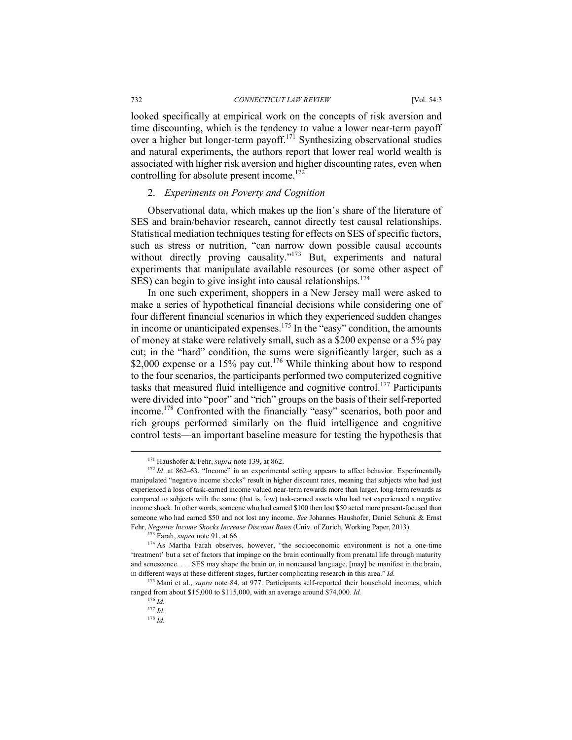looked specifically at empirical work on the concepts of risk aversion and time discounting, which is the tendency to value a lower near-term payoff over a higher but longer-term payoff.<sup>171</sup> Synthesizing observational studies and natural experiments, the authors report that lower real world wealth is associated with higher risk aversion and higher discounting rates, even when controlling for absolute present income.<sup>172</sup>

### 2. *Experiments on Poverty and Cognition*

Observational data, which makes up the lion's share of the literature of SES and brain/behavior research, cannot directly test causal relationships. Statistical mediation techniques testing for effects on SES of specific factors, such as stress or nutrition, "can narrow down possible causal accounts without directly proving causality."<sup>173</sup> But, experiments and natural experiments that manipulate available resources (or some other aspect of SES) can begin to give insight into causal relationships.<sup>174</sup>

In one such experiment, shoppers in a New Jersey mall were asked to make a series of hypothetical financial decisions while considering one of four different financial scenarios in which they experienced sudden changes in income or unanticipated expenses.<sup>175</sup> In the "easy" condition, the amounts of money at stake were relatively small, such as a \$200 expense or a 5% pay cut; in the "hard" condition, the sums were significantly larger, such as a \$2,000 expense or a 15% pay cut.<sup>176</sup> While thinking about how to respond to the four scenarios, the participants performed two computerized cognitive tasks that measured fluid intelligence and cognitive control.<sup>177</sup> Participants were divided into "poor" and "rich" groups on the basis of their self-reported income.178 Confronted with the financially "easy" scenarios, both poor and rich groups performed similarly on the fluid intelligence and cognitive control tests—an important baseline measure for testing the hypothesis that

<sup>&</sup>lt;sup>171</sup> Haushofer & Fehr, *supra* note 139, at 862.<br><sup>172</sup> *Id*. at 862–63. "Income" in an experimental setting appears to affect behavior. Experimentally manipulated "negative income shocks" result in higher discount rates, meaning that subjects who had just experienced a loss of task-earned income valued near-term rewards more than larger, long-term rewards as compared to subjects with the same (that is, low) task-earned assets who had not experienced a negative income shock. In other words, someone who had earned \$100 then lost \$50 acted more present-focused than someone who had earned \$50 and not lost any income. *See* Johannes Haushofer, Daniel Schunk & Ernst Fehr, *Negative Income Shocks Increase Discount Rates* (Univ. of Zurich, Working Paper, 2013). 173 Farah, *supra* note 91, at 66.

<sup>&</sup>lt;sup>174</sup> As Martha Farah observes, however, "the socioeconomic environment is not a one-time 'treatment' but a set of factors that impinge on the brain continually from prenatal life through maturity and senescence. . . . SES may shape the brain or, in noncausal language, [may] be manifest in the brain, in different ways at these different stages, further complicating research in this area." *Id.*

<sup>175</sup> Mani et al., *supra* note 84, at 977. Participants self-reported their household incomes, which ranged from about \$15,000 to \$115,000, with an average around \$74,000. *Id.*

<sup>176</sup> *Id.*

<sup>177</sup> *Id.*

<sup>178</sup> *Id.*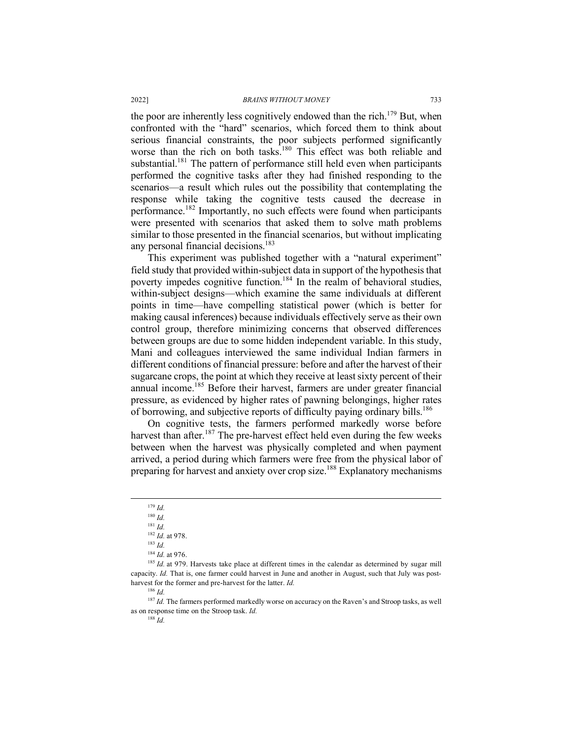the poor are inherently less cognitively endowed than the rich.<sup>179</sup> But, when confronted with the "hard" scenarios, which forced them to think about serious financial constraints, the poor subjects performed significantly worse than the rich on both tasks.<sup>180</sup> This effect was both reliable and substantial.<sup>181</sup> The pattern of performance still held even when participants performed the cognitive tasks after they had finished responding to the scenarios—a result which rules out the possibility that contemplating the response while taking the cognitive tests caused the decrease in performance.<sup>182</sup> Importantly, no such effects were found when participants were presented with scenarios that asked them to solve math problems similar to those presented in the financial scenarios, but without implicating any personal financial decisions.<sup>183</sup>

This experiment was published together with a "natural experiment" field study that provided within-subject data in support of the hypothesis that poverty impedes cognitive function.<sup>184</sup> In the realm of behavioral studies, within-subject designs—which examine the same individuals at different points in time—have compelling statistical power (which is better for making causal inferences) because individuals effectively serve as their own control group, therefore minimizing concerns that observed differences between groups are due to some hidden independent variable. In this study, Mani and colleagues interviewed the same individual Indian farmers in different conditions of financial pressure: before and after the harvest of their sugarcane crops, the point at which they receive at least sixty percent of their annual income.185 Before their harvest, farmers are under greater financial pressure, as evidenced by higher rates of pawning belongings, higher rates of borrowing, and subjective reports of difficulty paying ordinary bills.<sup>186</sup>

On cognitive tests, the farmers performed markedly worse before harvest than after.<sup>187</sup> The pre-harvest effect held even during the few weeks between when the harvest was physically completed and when payment arrived, a period during which farmers were free from the physical labor of preparing for harvest and anxiety over crop size.188 Explanatory mechanisms

<sup>184</sup> *Id.* at 976.

 <sup>179</sup> *Id.*

<sup>180</sup> *Id.*

<sup>181</sup> *Id.*

<sup>182</sup> *Id.* at 978.

<sup>183</sup> *Id.*

<sup>&</sup>lt;sup>185</sup> *Id.* at 979. Harvests take place at different times in the calendar as determined by sugar mill capacity. *Id.* That is, one farmer could harvest in June and another in August, such that July was postharvest for the former and pre-harvest for the latter. *Id.*

<sup>186</sup> *Id.*

<sup>&</sup>lt;sup>187</sup> *Id.* The farmers performed markedly worse on accuracy on the Raven's and Stroop tasks, as well as on response time on the Stroop task. *Id.*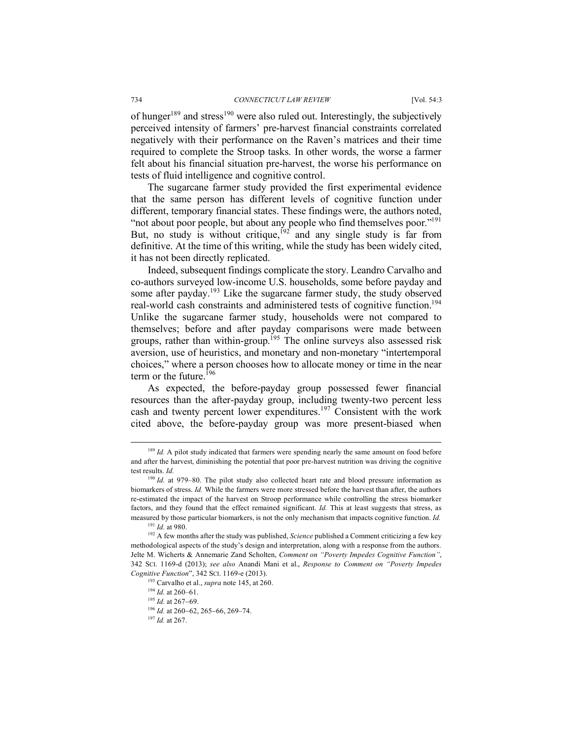of hunger<sup>189</sup> and stress<sup>190</sup> were also ruled out. Interestingly, the subjectively perceived intensity of farmers' pre-harvest financial constraints correlated negatively with their performance on the Raven's matrices and their time required to complete the Stroop tasks. In other words, the worse a farmer felt about his financial situation pre-harvest, the worse his performance on tests of fluid intelligence and cognitive control.

The sugarcane farmer study provided the first experimental evidence that the same person has different levels of cognitive function under different, temporary financial states. These findings were, the authors noted, "not about poor people, but about any people who find themselves poor."<sup>191</sup> But, no study is without critique,<sup>192</sup> and any single study is far from definitive. At the time of this writing, while the study has been widely cited, it has not been directly replicated.

Indeed, subsequent findings complicate the story. Leandro Carvalho and co-authors surveyed low-income U.S. households, some before payday and some after payday.<sup>193</sup> Like the sugarcane farmer study, the study observed real-world cash constraints and administered tests of cognitive function.194 Unlike the sugarcane farmer study, households were not compared to themselves; before and after payday comparisons were made between groups, rather than within-group.<sup>195</sup> The online surveys also assessed risk aversion, use of heuristics, and monetary and non-monetary "intertemporal choices," where a person chooses how to allocate money or time in the near term or the future.<sup>196</sup>

As expected, the before-payday group possessed fewer financial resources than the after-payday group, including twenty-two percent less cash and twenty percent lower expenditures.<sup>197</sup> Consistent with the work cited above, the before-payday group was more present-biased when

<sup>&</sup>lt;sup>189</sup> *Id.* A pilot study indicated that farmers were spending nearly the same amount on food before and after the harvest, diminishing the potential that poor pre-harvest nutrition was driving the cognitive test results. *Id.*

<sup>&</sup>lt;sup>190</sup> *Id.* at 979–80. The pilot study also collected heart rate and blood pressure information as biomarkers of stress. *Id.* While the farmers were more stressed before the harvest than after, the authors re-estimated the impact of the harvest on Stroop performance while controlling the stress biomarker factors, and they found that the effect remained significant. *Id.* This at least suggests that stress, as measured by those particular biomarkers, is not the only mechanism that impacts cognitive function. *Id.* <sup>191</sup> *Id* at 980

<sup>&</sup>lt;sup>192</sup> A few months after the study was published, *Science* published a Comment criticizing a few key methodological aspects of the study's design and interpretation, along with a response from the authors. Jelte M. Wicherts & Annemarie Zand Scholten, *Comment on "Poverty Impedes Cognitive Function"*, 342 SCI. 1169-d (2013); *see also* Anandi Mani et al., *Response to Comment on "Poverty Impedes Cognitive Function*", 342 SCI. 1169-e (2013).

<sup>193</sup> Carvalho et al., *supra* note 145, at 260.

<sup>194</sup> *Id.* at 260–61.

<sup>195</sup> *Id.* at 267-69.

<sup>196</sup> *Id.* at 260-62, 265-66, 269–74.

<sup>197</sup> *Id.* at 267.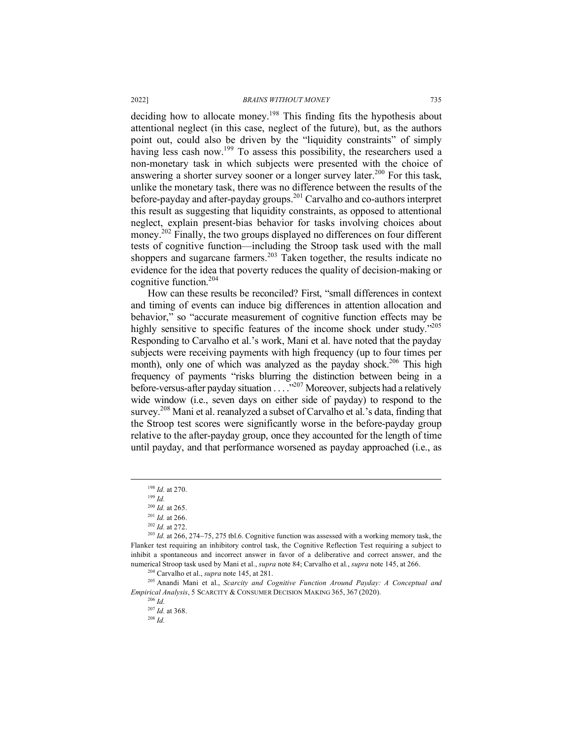deciding how to allocate money.<sup>198</sup> This finding fits the hypothesis about attentional neglect (in this case, neglect of the future), but, as the authors point out, could also be driven by the "liquidity constraints" of simply having less cash now.<sup>199</sup> To assess this possibility, the researchers used a non-monetary task in which subjects were presented with the choice of answering a shorter survey sooner or a longer survey later.<sup>200</sup> For this task, unlike the monetary task, there was no difference between the results of the before-payday and after-payday groups.<sup>201</sup> Carvalho and co-authors interpret this result as suggesting that liquidity constraints, as opposed to attentional neglect, explain present-bias behavior for tasks involving choices about money.<sup>202</sup> Finally, the two groups displayed no differences on four different tests of cognitive function—including the Stroop task used with the mall shoppers and sugarcane farmers.<sup>203</sup> Taken together, the results indicate no evidence for the idea that poverty reduces the quality of decision-making or cognitive function.204

How can these results be reconciled? First, "small differences in context and timing of events can induce big differences in attention allocation and behavior," so "accurate measurement of cognitive function effects may be highly sensitive to specific features of the income shock under study."205 Responding to Carvalho et al.'s work, Mani et al. have noted that the payday subjects were receiving payments with high frequency (up to four times per month), only one of which was analyzed as the payday shock.<sup>206</sup> This high frequency of payments "risks blurring the distinction between being in a before-versus-after payday situation . . . .<sup>3207</sup> Moreover, subjects had a relatively wide window (i.e., seven days on either side of payday) to respond to the survey.<sup>208</sup> Mani et al. reanalyzed a subset of Carvalho et al.'s data, finding that the Stroop test scores were significantly worse in the before-payday group relative to the after-payday group, once they accounted for the length of time until payday, and that performance worsened as payday approached (i.e., as

<sup>205</sup> Anandi Mani et al., *Scarcity and Cognitive Function Around Payday: A Conceptual and Empirical Analysis*, 5 SCARCITY & CONSUMER DECISION MAKING 365, 367 (2020).

 <sup>198</sup> *Id.* at 270.

 $199$  *Id.* 

<sup>200</sup> *Id.* at 265.

<sup>201</sup> *Id.* at 266.

<sup>202</sup> *Id.* at 272.

<sup>&</sup>lt;sup>203</sup> *Id.* at 266, 274–75, 275 tbl.6. Cognitive function was assessed with a working memory task, the Flanker test requiring an inhibitory control task, the Cognitive Reflection Test requiring a subject to inhibit a spontaneous and incorrect answer in favor of a deliberative and correct answer, and the numerical Stroop task used by Mani et al., *supra* note 84; Carvalho et al., *supra* note 145, at 266. 204 Carvalho et al., *supra* note 145, at 281.

<sup>206</sup> *Id.*

<sup>207</sup> *Id.* at 368. 208 *Id.*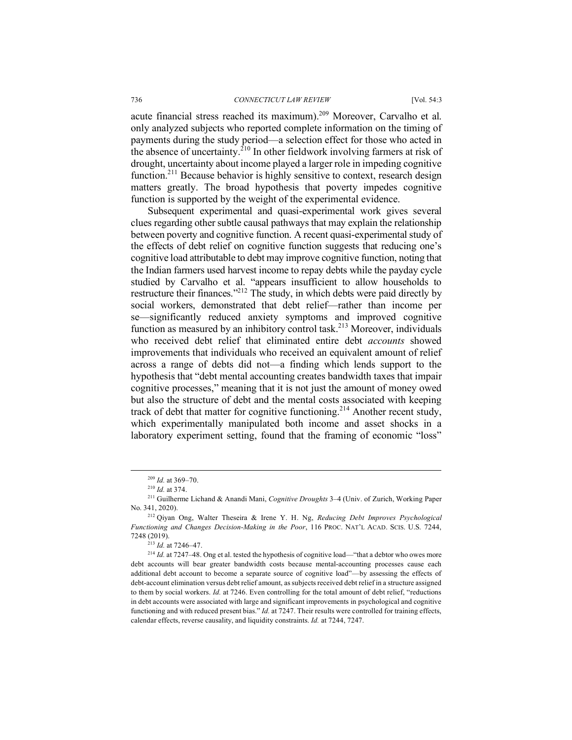acute financial stress reached its maximum). <sup>209</sup> Moreover, Carvalho et al. only analyzed subjects who reported complete information on the timing of payments during the study period—a selection effect for those who acted in the absence of uncertainty.<sup>210</sup> In other fieldwork involving farmers at risk of drought, uncertainty about income played a larger role in impeding cognitive function.<sup>211</sup> Because behavior is highly sensitive to context, research design matters greatly. The broad hypothesis that poverty impedes cognitive function is supported by the weight of the experimental evidence.

Subsequent experimental and quasi-experimental work gives several clues regarding other subtle causal pathways that may explain the relationship between poverty and cognitive function. A recent quasi-experimental study of the effects of debt relief on cognitive function suggests that reducing one's cognitive load attributable to debt may improve cognitive function, noting that the Indian farmers used harvest income to repay debts while the payday cycle studied by Carvalho et al. "appears insufficient to allow households to restructure their finances."212 The study, in which debts were paid directly by social workers, demonstrated that debt relief—rather than income per se—significantly reduced anxiety symptoms and improved cognitive function as measured by an inhibitory control task.<sup>213</sup> Moreover, individuals who received debt relief that eliminated entire debt *accounts* showed improvements that individuals who received an equivalent amount of relief across a range of debts did not—a finding which lends support to the hypothesis that "debt mental accounting creates bandwidth taxes that impair cognitive processes," meaning that it is not just the amount of money owed but also the structure of debt and the mental costs associated with keeping track of debt that matter for cognitive functioning.<sup>214</sup> Another recent study, which experimentally manipulated both income and asset shocks in a laboratory experiment setting, found that the framing of economic "loss"

<sup>213</sup> *Id.* at 7246–47.

 <sup>209</sup> *Id.* at 369–70.

<sup>210</sup> *Id.* at 374.

<sup>211</sup> Guilherme Lichand & Anandi Mani, *Cognitive Droughts* 3–4 (Univ. of Zurich, Working Paper No. 341, 2020).

<sup>212</sup> Qiyan Ong, Walter Theseira & Irene Y. H. Ng, *Reducing Debt Improves Psychological Functioning and Changes Decision-Making in the Poor*, 116 PROC. NAT'L ACAD. SCIS. U.S. 7244, 7248 (2019).

<sup>214</sup> *Id.* at 7247–48. Ong et al. tested the hypothesis of cognitive load—"that a debtor who owes more debt accounts will bear greater bandwidth costs because mental-accounting processes cause each additional debt account to become a separate source of cognitive load"—by assessing the effects of debt-account elimination versus debt relief amount, as subjects received debt relief in a structure assigned to them by social workers. *Id.* at 7246. Even controlling for the total amount of debt relief, "reductions in debt accounts were associated with large and significant improvements in psychological and cognitive functioning and with reduced present bias." *Id.* at 7247. Their results were controlled for training effects, calendar effects, reverse causality, and liquidity constraints. *Id.* at 7244, 7247.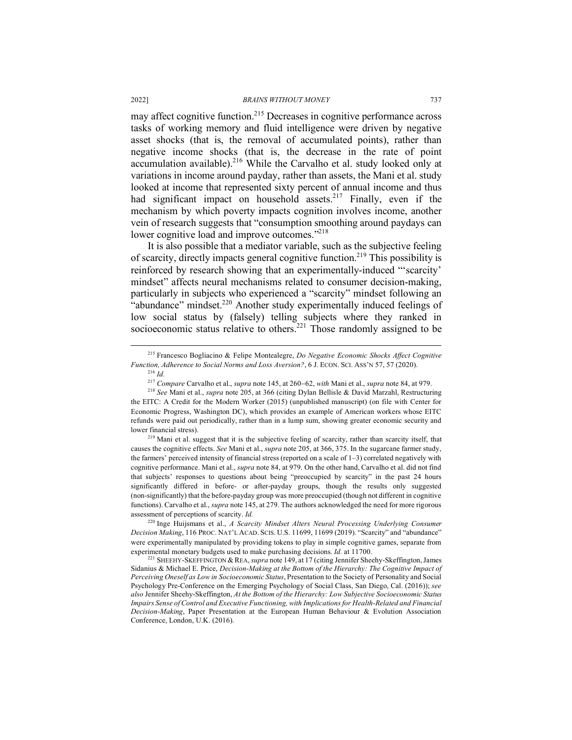may affect cognitive function.215 Decreases in cognitive performance across tasks of working memory and fluid intelligence were driven by negative asset shocks (that is, the removal of accumulated points), rather than negative income shocks (that is, the decrease in the rate of point accumulation available).<sup>216</sup> While the Carvalho et al. study looked only at variations in income around payday, rather than assets, the Mani et al. study looked at income that represented sixty percent of annual income and thus had significant impact on household assets.<sup>217</sup> Finally, even if the mechanism by which poverty impacts cognition involves income, another vein of research suggests that "consumption smoothing around paydays can lower cognitive load and improve outcomes."<sup>218</sup>

It is also possible that a mediator variable, such as the subjective feeling of scarcity, directly impacts general cognitive function.<sup>219</sup> This possibility is reinforced by research showing that an experimentally-induced "'scarcity' mindset" affects neural mechanisms related to consumer decision-making, particularly in subjects who experienced a "scarcity" mindset following an "abundance" mindset.<sup>220</sup> Another study experimentally induced feelings of low social status by (falsely) telling subjects where they ranked in socioeconomic status relative to others.<sup>221</sup> Those randomly assigned to be

<sup>219</sup> Mani et al. suggest that it is the subjective feeling of scarcity, rather than scarcity itself, that causes the cognitive effects. *See* Mani et al., *supra* note 205, at 366, 375. In the sugarcane farmer study, the farmers' perceived intensity of financial stress (reported on a scale of  $1-3$ ) correlated negatively with cognitive performance. Mani et al., *supra* note 84, at 979. On the other hand, Carvalho et al. did not find that subjects' responses to questions about being "preoccupied by scarcity" in the past 24 hours significantly differed in before- or after-payday groups, though the results only suggested (non-significantly) that the before-payday group was more preoccupied (though not different in cognitive functions). Carvalho et al., *supra* note 145, at 279. The authors acknowledged the need for more rigorous assessment of perceptions of scarcity. *Id.*

<sup>220</sup> Inge Huijsmans et al., *A Scarcity Mindset Alters Neural Processing Underlying Consumer Decision Making*, 116 PROC. NAT'L ACAD. SCIS. U.S. 11699, 11699 (2019). "Scarcity" and "abundance" were experimentally manipulated by providing tokens to play in simple cognitive games, separate from experimental monetary budgets used to make purchasing decisions. *Id.* at 11700.

<sup>221</sup> SHEEHY-SKEFFINGTON & REA, *supra* note 149, at 17 (citing Jennifer Sheehy-Skeffington, James Sidanius & Michael E. Price, *Decision-Making at the Bottom of the Hierarchy: The Cognitive Impact of Perceiving Oneself as Low in Socioeconomic Status*, Presentation to the Society of Personality and Social Psychology Pre-Conference on the Emerging Psychology of Social Class, San Diego, Cal. (2016)); *see also* Jennifer Sheehy-Skeffington, *At the Bottom of the Hierarchy: Low Subjective Socioeconomic Status Impairs Sense of Control and Executive Functioning, with Implications for Health-Related and Financial Decision-Making*, Paper Presentation at the European Human Behaviour & Evolution Association Conference, London, U.K. (2016).

 <sup>215</sup> Francesco Bogliacino & Felipe Montealegre, *Do Negative Economic Shocks Affect Cognitive Function, Adherence to Social Norms and Loss Aversion?*, 6 J. ECON. SCI. ASS'N 57, 57 (2020). <sup>216</sup> *Id.*

<sup>217</sup> *Compare* Carvalho et al., *supra* note 145, at 260-62, *with* Mani et al., *supra* note 84, at 979.

<sup>218</sup> *See* Mani et al., *supra* note 205, at 366 (citing Dylan Bellisle & David Marzahl, Restructuring the EITC: A Credit for the Modern Worker (2015) (unpublished manuscript) (on file with Center for Economic Progress, Washington DC), which provides an example of American workers whose EITC refunds were paid out periodically, rather than in a lump sum, showing greater economic security and lower financial stress).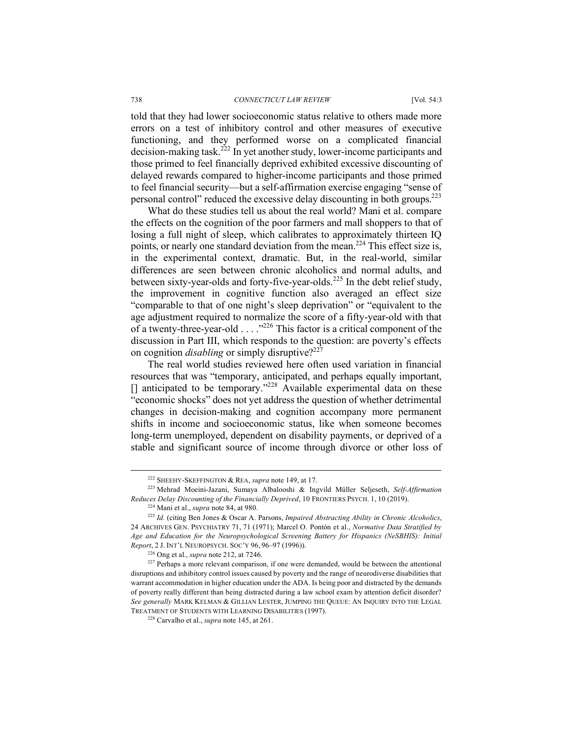told that they had lower socioeconomic status relative to others made more errors on a test of inhibitory control and other measures of executive functioning, and they performed worse on a complicated financial decision-making task.<sup>222</sup> In yet another study, lower-income participants and those primed to feel financially deprived exhibited excessive discounting of delayed rewards compared to higher-income participants and those primed to feel financial security—but a self-affirmation exercise engaging "sense of personal control" reduced the excessive delay discounting in both groups.223

What do these studies tell us about the real world? Mani et al. compare the effects on the cognition of the poor farmers and mall shoppers to that of losing a full night of sleep, which calibrates to approximately thirteen IQ points, or nearly one standard deviation from the mean.<sup>224</sup> This effect size is, in the experimental context, dramatic. But, in the real-world, similar differences are seen between chronic alcoholics and normal adults, and between sixty-year-olds and forty-five-year-olds.<sup>225</sup> In the debt relief study, the improvement in cognitive function also averaged an effect size "comparable to that of one night's sleep deprivation" or "equivalent to the age adjustment required to normalize the score of a fifty-year-old with that of a twenty-three-year-old  $\ldots$   $\frac{1}{226}$  This factor is a critical component of the discussion in Part III, which responds to the question: are poverty's effects on cognition *disabling* or simply disruptive?<sup>227</sup>

The real world studies reviewed here often used variation in financial resources that was "temporary, anticipated, and perhaps equally important,  $\Box$  anticipated to be temporary."<sup>228</sup> Available experimental data on these "economic shocks" does not yet address the question of whether detrimental changes in decision-making and cognition accompany more permanent shifts in income and socioeconomic status, like when someone becomes long-term unemployed, dependent on disability payments, or deprived of a stable and significant source of income through divorce or other loss of

 <sup>222</sup> SHEEHY-SKEFFINGTON & REA, *supra* note 149, at 17.

<sup>223</sup> Mehrad Moeini-Jazani, Sumaya Albalooshi & Ingvild Müller Seljeseth, *Self-Affirmation Reduces Delay Discounting of the Financially Deprived*, 10 FRONTIERS PSYCH. 1, 10 (2019). 224 Mani et al., *supra* note 84, at 980.

<sup>225</sup> *Id.* (citing Ben Jones & Oscar A. Parsons, *Impaired Abstracting Ability in Chronic Alcoholics*, 24 ARCHIVES GEN. PSYCHIATRY 71, 71 (1971); Marcel O. Pontón et al., *Normative Data Stratified by Age and Education for the Neuropsychological Screening Battery for Hispanics (NeSBHIS): Initial Report*, 2 J. INT'L NEUROPSYCH. SOC'Y 96, 96–97 (1996)).

<sup>&</sup>lt;sup>226</sup> Ong et al., *supra* note 212, at 7246.<br><sup>227</sup> Perhaps a more relevant comparison, if one were demanded, would be between the attentional disruptions and inhibitory control issues caused by poverty and the range of neurodiverse disabilities that warrant accommodation in higher education under the ADA. Is being poor and distracted by the demands of poverty really different than being distracted during a law school exam by attention deficit disorder? *See generally* MARK KELMAN & GILLIAN LESTER, JUMPING THE QUEUE: AN INQUIRY INTO THE LEGAL TREATMENT OF STUDENTS WITH LEARNING DISABILITIES (1997).

<sup>228</sup> Carvalho et al., *supra* note 145, at 261.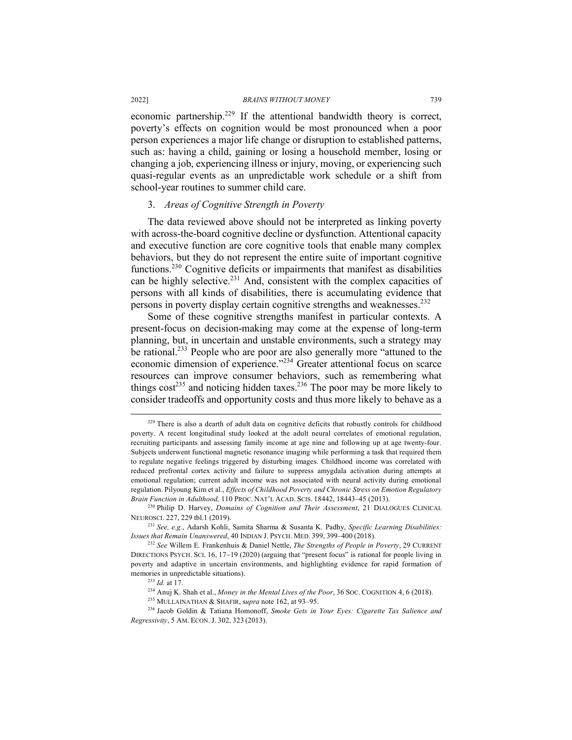economic partnership.<sup>229</sup> If the attentional bandwidth theory is correct, poverty's effects on cognition would be most pronounced when a poor person experiences a major life change or disruption to established patterns, such as: having a child, gaining or losing a household member, losing or changing a job, experiencing illness or injury, moving, or experiencing such quasi-regular events as an unpredictable work schedule or a shift from school-year routines to summer child care.

### 3. *Areas of Cognitive Strength in Poverty*

The data reviewed above should not be interpreted as linking poverty with across-the-board cognitive decline or dysfunction. Attentional capacity and executive function are core cognitive tools that enable many complex behaviors, but they do not represent the entire suite of important cognitive functions.230 Cognitive deficits or impairments that manifest as disabilities can be highly selective. $231$  And, consistent with the complex capacities of persons with all kinds of disabilities, there is accumulating evidence that persons in poverty display certain cognitive strengths and weaknesses.<sup>232</sup>

Some of these cognitive strengths manifest in particular contexts. A present-focus on decision-making may come at the expense of long-term planning, but, in uncertain and unstable environments, such a strategy may be rational.<sup>233</sup> People who are poor are also generally more "attuned to the economic dimension of experience."234 Greater attentional focus on scarce resources can improve consumer behaviors, such as remembering what things  $cost^{235}$  and noticing hidden taxes.<sup>236</sup> The poor may be more likely to consider tradeoffs and opportunity costs and thus more likely to behave as a

<sup>&</sup>lt;sup>229</sup> There is also a dearth of adult data on cognitive deficits that robustly controls for childhood poverty. A recent longitudinal study looked at the adult neural correlates of emotional regulation, recruiting participants and assessing family income at age nine and following up at age twenty-four. Subjects underwent functional magnetic resonance imaging while performing a task that required them to regulate negative feelings triggered by disturbing images. Childhood income was correlated with reduced prefrontal cortex activity and failure to suppress amygdala activation during attempts at emotional regulation; current adult income was not associated with neural activity during emotional regulation. Pilyoung Kim et al., *Effects of Childhood Poverty and Chronic Stress on Emotion Regulatory Brain Function in Adulthood,* 110 PROC. NAT'L ACAD. SCIS. 18442, 18443–45 (2013). 230 Philip D. Harvey, *Domains of Cognition and Their Assessment*, 21 DIALOGUES CLINICAL

NEUROSCI. 227, 229 tbl.1 (2019).

<sup>231</sup> *See, e.g.*, Adarsh Kohli, Samita Sharma & Susanta K. Padhy, *Specific Learning Disabilities: Issues that Remain Unanswered*, 40 INDIAN J. PSYCH. MED. 399, 399–400 (2018).

<sup>232</sup> *See* Willem E. Frankenhuis & Daniel Nettle, *The Strengths of People in Poverty*, 29 CURRENT DIRECTIONS PSYCH. SCI. 16, 17-19 (2020) (arguing that "present focus" is rational for people living in poverty and adaptive in uncertain environments, and highlighting evidence for rapid formation of memories in unpredictable situations). 233 *Id.* at 17.

<sup>234</sup> Anuj K. Shah et al., *Money in the Mental Lives of the Poor*, 36 SOC. COGNITION 4, 6 (2018).

<sup>235</sup> MULLAINATHAN & SHAFIR, s*upra* note 162, at 93–95.

<sup>236</sup> Jacob Goldin & Tatiana Homonoff, *Smoke Gets in Your Eyes: Cigarette Tax Salience and Regressivity*, 5 AM. ECON. J. 302, 323 (2013).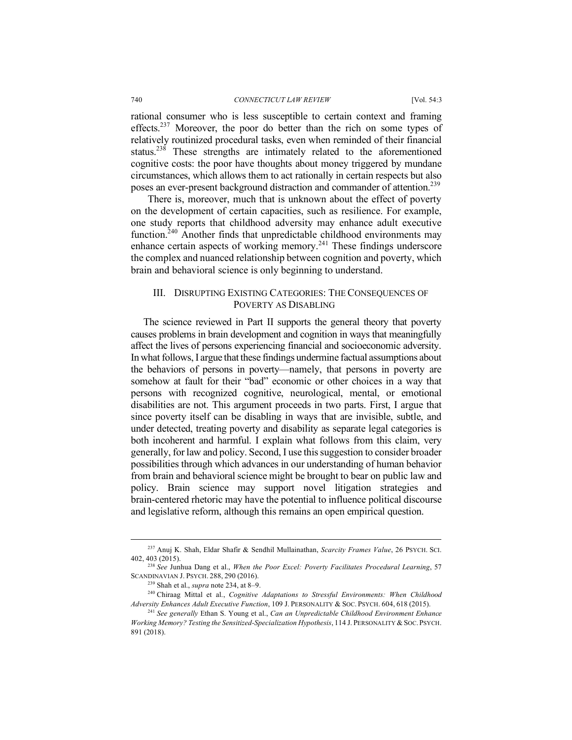rational consumer who is less susceptible to certain context and framing effects.<sup>237</sup> Moreover, the poor do better than the rich on some types of relatively routinized procedural tasks, even when reminded of their financial status.<sup>238</sup> These strengths are intimately related to the aforementioned cognitive costs: the poor have thoughts about money triggered by mundane circumstances, which allows them to act rationally in certain respects but also poses an ever-present background distraction and commander of attention.<sup>239</sup>

There is, moreover, much that is unknown about the effect of poverty on the development of certain capacities, such as resilience. For example, one study reports that childhood adversity may enhance adult executive function.<sup>240</sup> Another finds that unpredictable childhood environments may enhance certain aspects of working memory.<sup>241</sup> These findings underscore the complex and nuanced relationship between cognition and poverty, which brain and behavioral science is only beginning to understand.

# III. DISRUPTING EXISTING CATEGORIES: THE CONSEQUENCES OF POVERTY AS DISABLING

The science reviewed in Part II supports the general theory that poverty causes problems in brain development and cognition in ways that meaningfully affect the lives of persons experiencing financial and socioeconomic adversity. In what follows, I argue that these findings undermine factual assumptions about the behaviors of persons in poverty—namely, that persons in poverty are somehow at fault for their "bad" economic or other choices in a way that persons with recognized cognitive, neurological, mental, or emotional disabilities are not. This argument proceeds in two parts. First, I argue that since poverty itself can be disabling in ways that are invisible, subtle, and under detected, treating poverty and disability as separate legal categories is both incoherent and harmful. I explain what follows from this claim, very generally, for law and policy. Second, I use this suggestion to consider broader possibilities through which advances in our understanding of human behavior from brain and behavioral science might be brought to bear on public law and policy. Brain science may support novel litigation strategies and brain-centered rhetoric may have the potential to influence political discourse and legislative reform, although this remains an open empirical question.

 <sup>237</sup> Anuj K. Shah, Eldar Shafir & Sendhil Mullainathan, *Scarcity Frames Value*, 26 PSYCH. SCI. 402, 403 (2015).

<sup>238</sup> *See* Junhua Dang et al., *When the Poor Excel: Poverty Facilitates Procedural Learning*, 57 SCANDINAVIAN J. PSYCH. 288, 290 (2016).

<sup>239</sup> Shah et al., *supra* note 234, at 8–9.

<sup>240</sup> Chiraag Mittal et al., *Cognitive Adaptations to Stressful Environments: When Childhood Adversity Enhances Adult Executive Function*, 109 J. PERSONALITY & SOC. PSYCH. 604, 618 (2015).

<sup>241</sup> *See generally* Ethan S. Young et al., *Can an Unpredictable Childhood Environment Enhance Working Memory? Testing the Sensitized-Specialization Hypothesis*, 114 J. PERSONALITY & SOC. PSYCH. 891 (2018).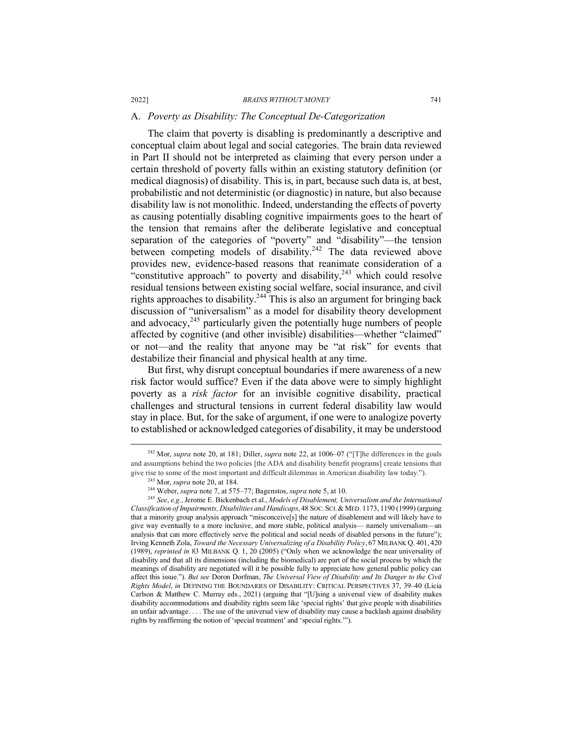#### A. *Poverty as Disability: The Conceptual De-Categorization*

The claim that poverty is disabling is predominantly a descriptive and conceptual claim about legal and social categories. The brain data reviewed in Part II should not be interpreted as claiming that every person under a certain threshold of poverty falls within an existing statutory definition (or medical diagnosis) of disability. This is, in part, because such data is, at best, probabilistic and not deterministic (or diagnostic) in nature, but also because disability law is not monolithic. Indeed, understanding the effects of poverty as causing potentially disabling cognitive impairments goes to the heart of the tension that remains after the deliberate legislative and conceptual separation of the categories of "poverty" and "disability"—the tension between competing models of disability.<sup>242</sup> The data reviewed above provides new, evidence-based reasons that reanimate consideration of a "constitutive approach" to poverty and disability,  $243$  which could resolve residual tensions between existing social welfare, social insurance, and civil rights approaches to disability.<sup>244</sup> This is also an argument for bringing back discussion of "universalism" as a model for disability theory development and advocacy, $245$  particularly given the potentially huge numbers of people affected by cognitive (and other invisible) disabilities—whether "claimed" or not—and the reality that anyone may be "at risk" for events that destabilize their financial and physical health at any time.

But first, why disrupt conceptual boundaries if mere awareness of a new risk factor would suffice? Even if the data above were to simply highlight poverty as a *risk factor* for an invisible cognitive disability, practical challenges and structural tensions in current federal disability law would stay in place. But, for the sake of argument, if one were to analogize poverty to established or acknowledged categories of disability, it may be understood

 <sup>242</sup> Mor, *supra* note 20, at 181; Diller, *supra* note 22, at 1006–07 ("[T]he differences in the goals and assumptions behind the two policies [the ADA and disability benefit programs] create tensions that give rise to some of the most important and difficult dilemmas in American disability law today.").

<sup>243</sup> Mor, *supra* note 20, at 184.

<sup>244</sup> Weber, *supra* note 7, at 575–77; Bagenstos, *supra* note 5, at 10.

<sup>245</sup> *See*, *e.g.*, Jerome E. Bickenbach et al., *Models of Disablement, Universalism and the International Classification of Impairments, Disabilities and Handicaps*, 48 SOC. SCI.& MED. 1173, 1190 (1999) (arguing that a minority group analysis approach "misconceive[s] the nature of disablement and will likely have to give way eventually to a more inclusive, and more stable, political analysis— namely universalism—an analysis that can more effectively serve the political and social needs of disabled persons in the future"); Irving Kenneth Zola, *Toward the Necessary Universalizing of a Disability Policy*, 67 MILBANK Q. 401, 420 (1989), *reprinted in* 83 MILBANK Q. 1, 20 (2005) ("Only when we acknowledge the near universality of disability and that all its dimensions (including the biomedical) are part of the social process by which the meanings of disability are negotiated will it be possible fully to appreciate how general public policy can affect this issue."). *But see* Doron Dorfman, *The Universal View of Disability and Its Danger to the Civil Rights Model*, *in* DEFINING THE BOUNDARIES OF DISABILITY: CRITICAL PERSPECTIVES 37, 39–40 (Licia Carlson & Matthew C. Murray eds., 2021) (arguing that "[U]sing a universal view of disability makes disability accommodations and disability rights seem like 'special rights' that give people with disabilities an unfair advantage. . . . The use of the universal view of disability may cause a backlash against disability rights by reaffirming the notion of 'special treatment' and 'special rights.'").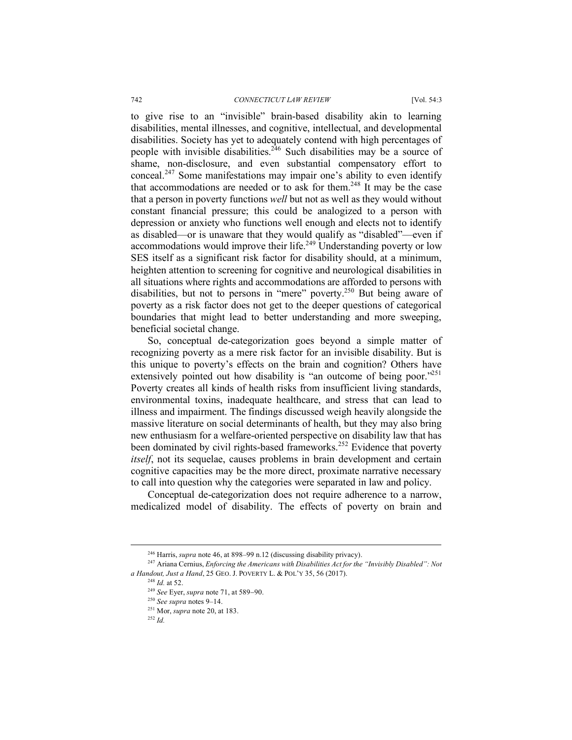to give rise to an "invisible" brain-based disability akin to learning disabilities, mental illnesses, and cognitive, intellectual, and developmental disabilities. Society has yet to adequately contend with high percentages of people with invisible disabilities.<sup>246</sup> Such disabilities may be a source of shame, non-disclosure, and even substantial compensatory effort to conceal.<sup>247</sup> Some manifestations may impair one's ability to even identify that accommodations are needed or to ask for them.<sup>248</sup> It may be the case that a person in poverty functions *well* but not as well as they would without constant financial pressure; this could be analogized to a person with depression or anxiety who functions well enough and elects not to identify as disabled—or is unaware that they would qualify as "disabled"—even if accommodations would improve their life.<sup>249</sup> Understanding poverty or low SES itself as a significant risk factor for disability should, at a minimum, heighten attention to screening for cognitive and neurological disabilities in all situations where rights and accommodations are afforded to persons with disabilities, but not to persons in "mere" poverty.250 But being aware of poverty as a risk factor does not get to the deeper questions of categorical boundaries that might lead to better understanding and more sweeping, beneficial societal change.

So, conceptual de-categorization goes beyond a simple matter of recognizing poverty as a mere risk factor for an invisible disability. But is this unique to poverty's effects on the brain and cognition? Others have extensively pointed out how disability is "an outcome of being poor."<sup>251</sup> Poverty creates all kinds of health risks from insufficient living standards. environmental toxins, inadequate healthcare, and stress that can lead to illness and impairment. The findings discussed weigh heavily alongside the massive literature on social determinants of health, but they may also bring new enthusiasm for a welfare-oriented perspective on disability law that has been dominated by civil rights-based frameworks.<sup>252</sup> Evidence that poverty *itself*, not its sequelae, causes problems in brain development and certain cognitive capacities may be the more direct, proximate narrative necessary to call into question why the categories were separated in law and policy.

Conceptual de-categorization does not require adherence to a narrow, medicalized model of disability. The effects of poverty on brain and

<sup>248</sup> *Id.* at 52.

#### <sup>252</sup> *Id.*

 <sup>246</sup> Harris, *supra* note 46, at 898–99 n.12 (discussing disability privacy).

<sup>247</sup> Ariana Cernius, *Enforcing the Americans with Disabilities Act for the "Invisibly Disabled": Not a Handout, Just a Hand*, 25 GEO. J. POVERTY L. & POL'Y 35, 56 (2017).

<sup>249</sup> *See* Eyer, *supra* note 71, at 589-90.

<sup>250</sup> *See supra* notes 9–14.

<sup>251</sup> Mor, *supra* note 20, at 183.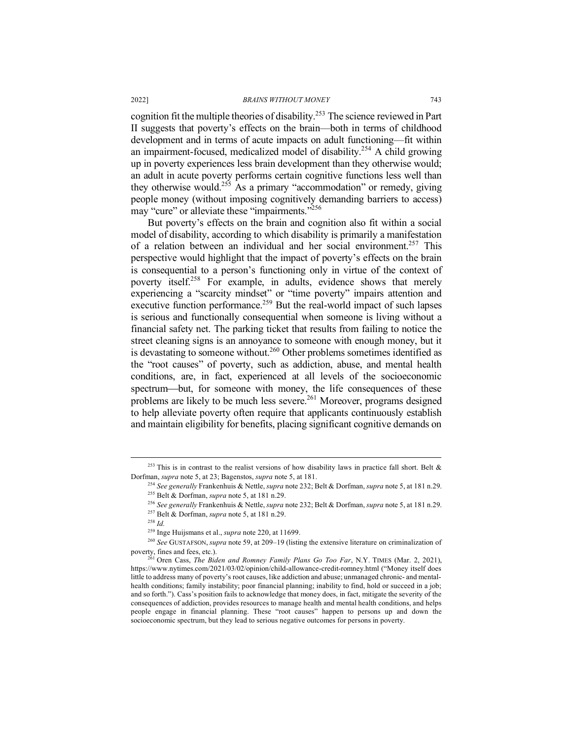cognition fit the multiple theories of disability.253 The science reviewed in Part II suggests that poverty's effects on the brain—both in terms of childhood development and in terms of acute impacts on adult functioning—fit within an impairment-focused, medicalized model of disability.<sup>254</sup> A child growing up in poverty experiences less brain development than they otherwise would; an adult in acute poverty performs certain cognitive functions less well than they otherwise would.255 As a primary "accommodation" or remedy, giving people money (without imposing cognitively demanding barriers to access) may "cure" or alleviate these "impairments."<sup>256</sup>

But poverty's effects on the brain and cognition also fit within a social model of disability, according to which disability is primarily a manifestation of a relation between an individual and her social environment.<sup>257</sup> This perspective would highlight that the impact of poverty's effects on the brain is consequential to a person's functioning only in virtue of the context of poverty itself.<sup>258</sup> For example, in adults, evidence shows that merely experiencing a "scarcity mindset" or "time poverty" impairs attention and executive function performance.<sup>259</sup> But the real-world impact of such lapses is serious and functionally consequential when someone is living without a financial safety net. The parking ticket that results from failing to notice the street cleaning signs is an annoyance to someone with enough money, but it is devastating to someone without.<sup>260</sup> Other problems sometimes identified as the "root causes" of poverty, such as addiction, abuse, and mental health conditions, are, in fact, experienced at all levels of the socioeconomic spectrum—but, for someone with money, the life consequences of these problems are likely to be much less severe.<sup>261</sup> Moreover, programs designed to help alleviate poverty often require that applicants continuously establish and maintain eligibility for benefits, placing significant cognitive demands on

<sup>&</sup>lt;sup>253</sup> This is in contrast to the realist versions of how disability laws in practice fall short. Belt  $\&$ Dorfman, *supra* note 5, at 23; Bagenstos, *supra* note 5, at 181. 254 *See generally* Frankenhuis & Nettle, *supra* note 232; Belt & Dorfman, *supra* note 5, at 181 n.29.

<sup>255</sup> Belt & Dorfman, *supra* note 5, at 181 n.29.

<sup>256</sup> *See generally* Frankenhuis & Nettle, *supra* note 232; Belt & Dorfman, *supra* note 5, at 181 n.29.

<sup>257</sup> Belt & Dorfman, *supra* note 5, at 181 n.29.

<sup>258</sup> *Id.*

<sup>259</sup> Inge Huijsmans et al., *supra* note 220, at 11699.

<sup>260</sup> *See* GUSTAFSON, *supra* note 59, at 209–19 (listing the extensive literature on criminalization of poverty, fines and fees, etc.).

<sup>261</sup> Oren Cass, *The Biden and Romney Family Plans Go Too Far*, N.Y. TIMES (Mar. 2, 2021), https://www.nytimes.com/2021/03/02/opinion/child-allowance-credit-romney.html ("Money itself does little to address many of poverty's root causes, like addiction and abuse; unmanaged chronic- and mentalhealth conditions; family instability; poor financial planning; inability to find, hold or succeed in a job; and so forth."). Cass's position fails to acknowledge that money does, in fact, mitigate the severity of the consequences of addiction, provides resources to manage health and mental health conditions, and helps people engage in financial planning. These "root causes" happen to persons up and down the socioeconomic spectrum, but they lead to serious negative outcomes for persons in poverty.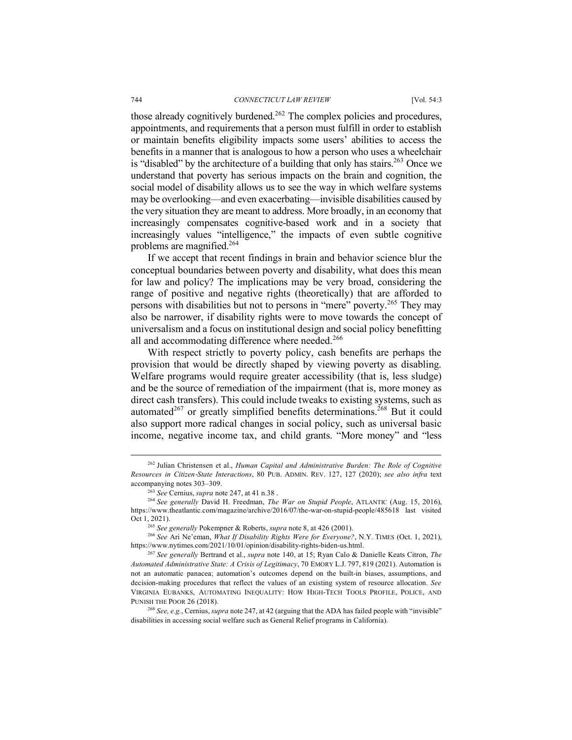those already cognitively burdened.<sup>262</sup> The complex policies and procedures, appointments, and requirements that a person must fulfill in order to establish or maintain benefits eligibility impacts some users' abilities to access the benefits in a manner that is analogous to how a person who uses a wheelchair is "disabled" by the architecture of a building that only has stairs.<sup>263</sup> Once we understand that poverty has serious impacts on the brain and cognition, the social model of disability allows us to see the way in which welfare systems may be overlooking—and even exacerbating—invisible disabilities caused by the very situation they are meant to address. More broadly, in an economy that increasingly compensates cognitive-based work and in a society that increasingly values "intelligence," the impacts of even subtle cognitive problems are magnified.264

If we accept that recent findings in brain and behavior science blur the conceptual boundaries between poverty and disability, what does this mean for law and policy? The implications may be very broad, considering the range of positive and negative rights (theoretically) that are afforded to persons with disabilities but not to persons in "mere" poverty.<sup>265</sup> They may also be narrower, if disability rights were to move towards the concept of universalism and a focus on institutional design and social policy benefitting all and accommodating difference where needed.<sup>266</sup>

With respect strictly to poverty policy, cash benefits are perhaps the provision that would be directly shaped by viewing poverty as disabling. Welfare programs would require greater accessibility (that is, less sludge) and be the source of remediation of the impairment (that is, more money as direct cash transfers). This could include tweaks to existing systems, such as automated<sup>267</sup> or greatly simplified benefits determinations.<sup>268</sup> But it could also support more radical changes in social policy, such as universal basic income, negative income tax, and child grants. "More money" and "less

 <sup>262</sup> Julian Christensen et al., *Human Capital and Administrative Burden: The Role of Cognitive Resources in Citizen*-*State Interactions*, 80 PUB. ADMIN. REV. 127, 127 (2020); *see also infra* text accompanying notes 303–309.

<sup>263</sup> *See* Cernius, *supra* note 247, at 41 n.38 .

<sup>264</sup> *See generally* David H. Freedman, *The War on Stupid People*, ATLANTIC (Aug. 15, 2016), https://www.theatlantic.com/magazine/archive/2016/07/the-war-on-stupid-people/485618 last visited Oct 1, 2021).

<sup>265</sup> *See generally* Pokempner & Roberts, *supra* note 8, at 426 (2001). 266 *See* Ari Ne'eman, *What If Disability Rights Were for Everyone?*, N.Y. TIMES (Oct. 1, 2021), https://www.nytimes.com/2021/10/01/opinion/disability-rights-biden-us.html.

<sup>267</sup> *See generally* Bertrand et al., *supra* note 140, at 15; Ryan Calo & Danielle Keats Citron, *The Automated Administrative State: A Crisis of Legitimacy*, 70 EMORY L.J. 797, 819 (2021). Automation is not an automatic panacea; automation's outcomes depend on the built-in biases, assumptions, and decision-making procedures that reflect the values of an existing system of resource allocation. *See* VIRGINIA EUBANKS, AUTOMATING INEQUALITY: HOW HIGH-TECH TOOLS PROFILE, POLICE, AND PUNISH THE POOR 26 (2018). 268 *See, e.g.*, Cernius, *supra* note 247, at 42 (arguing that the ADA has failed people with "invisible"

disabilities in accessing social welfare such as General Relief programs in California).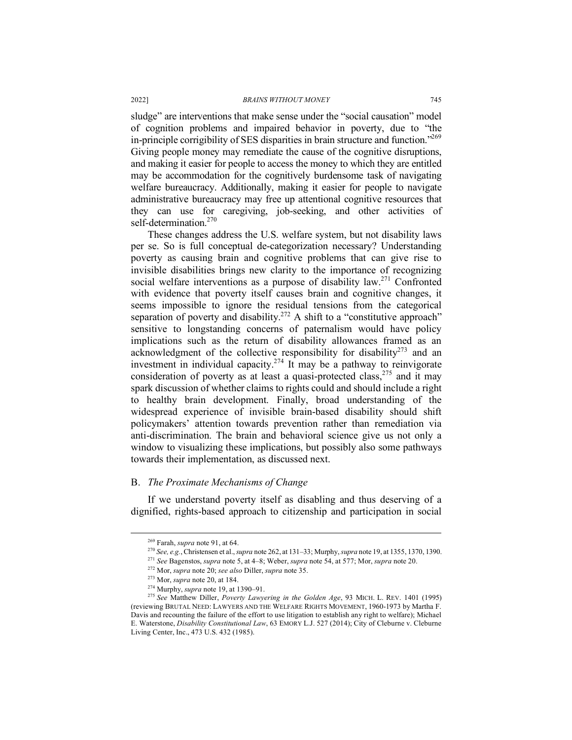sludge" are interventions that make sense under the "social causation" model of cognition problems and impaired behavior in poverty, due to "the in-principle corrigibility of SES disparities in brain structure and function."269 Giving people money may remediate the cause of the cognitive disruptions, and making it easier for people to access the money to which they are entitled may be accommodation for the cognitively burdensome task of navigating welfare bureaucracy. Additionally, making it easier for people to navigate administrative bureaucracy may free up attentional cognitive resources that they can use for caregiving, job-seeking, and other activities of self-determination.<sup>270</sup>

These changes address the U.S. welfare system, but not disability laws per se. So is full conceptual de-categorization necessary? Understanding poverty as causing brain and cognitive problems that can give rise to invisible disabilities brings new clarity to the importance of recognizing social welfare interventions as a purpose of disability law.<sup>271</sup> Confronted with evidence that poverty itself causes brain and cognitive changes, it seems impossible to ignore the residual tensions from the categorical separation of poverty and disability.<sup>272</sup> A shift to a "constitutive approach" sensitive to longstanding concerns of paternalism would have policy implications such as the return of disability allowances framed as an acknowledgment of the collective responsibility for disability<sup>273</sup> and an investment in individual capacity.<sup>274</sup> It may be a pathway to reinvigorate consideration of poverty as at least a quasi-protected class,<sup>275</sup> and it may spark discussion of whether claims to rights could and should include a right to healthy brain development. Finally, broad understanding of the widespread experience of invisible brain-based disability should shift policymakers' attention towards prevention rather than remediation via anti-discrimination. The brain and behavioral science give us not only a window to visualizing these implications, but possibly also some pathways towards their implementation, as discussed next.

### B. *The Proximate Mechanisms of Change*

If we understand poverty itself as disabling and thus deserving of a dignified, rights-based approach to citizenship and participation in social

 <sup>269</sup> Farah, *supra* note 91, at 64.

<sup>270</sup> *See, e.g.*, Christensen et al., *supra* note 262, at 131–33; Murphy, *supra* note 19, at 1355, 1370, 1390.

<sup>271</sup> *See* Bagenstos, *supra* note 5, at 4–8; Weber, *supra* note 54, at 577; Mor, *supra* note 20.

<sup>272</sup> Mor, *supra* note 20; *see also* Diller, *supra* note 35.

<sup>273</sup> Mor, *supra* note 20, at 184.

<sup>274</sup> Murphy, *supra* note 19, at 1390–91.

<sup>275</sup> *See* Matthew Diller, *Poverty Lawyering in the Golden Age*, 93 MICH. L. REV. 1401 (1995) (reviewing BRUTAL NEED: LAWYERS AND THE WELFARE RIGHTS MOVEMENT, 1960-1973 by Martha F. Davis and recounting the failure of the effort to use litigation to establish any right to welfare); Michael E. Waterstone, *Disability Constitutional Law*, 63 EMORY L.J. 527 (2014); City of Cleburne v. Cleburne Living Center, Inc., 473 U.S. 432 (1985).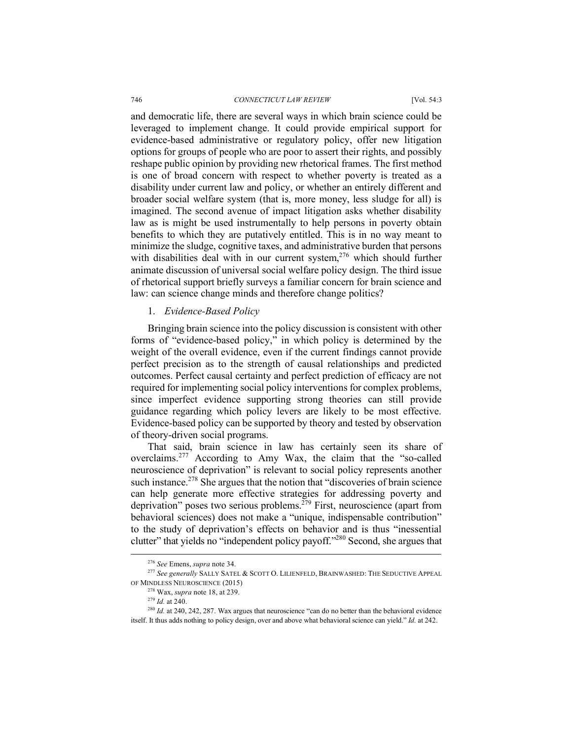#### 746 *CONNECTICUT LAW REVIEW* [Vol. 54:3

and democratic life, there are several ways in which brain science could be leveraged to implement change. It could provide empirical support for evidence-based administrative or regulatory policy, offer new litigation options for groups of people who are poor to assert their rights, and possibly reshape public opinion by providing new rhetorical frames. The first method is one of broad concern with respect to whether poverty is treated as a disability under current law and policy, or whether an entirely different and broader social welfare system (that is, more money, less sludge for all) is imagined. The second avenue of impact litigation asks whether disability law as is might be used instrumentally to help persons in poverty obtain benefits to which they are putatively entitled. This is in no way meant to minimize the sludge, cognitive taxes, and administrative burden that persons with disabilities deal with in our current system.<sup>276</sup> which should further animate discussion of universal social welfare policy design. The third issue of rhetorical support briefly surveys a familiar concern for brain science and law: can science change minds and therefore change politics?

### 1. *Evidence-Based Policy*

Bringing brain science into the policy discussion is consistent with other forms of "evidence-based policy," in which policy is determined by the weight of the overall evidence, even if the current findings cannot provide perfect precision as to the strength of causal relationships and predicted outcomes. Perfect causal certainty and perfect prediction of efficacy are not required for implementing social policy interventions for complex problems, since imperfect evidence supporting strong theories can still provide guidance regarding which policy levers are likely to be most effective. Evidence-based policy can be supported by theory and tested by observation of theory-driven social programs.

That said, brain science in law has certainly seen its share of overclaims.<sup>277</sup> According to Amy Wax, the claim that the "so-called neuroscience of deprivation" is relevant to social policy represents another such instance.<sup>278</sup> She argues that the notion that "discoveries of brain science" can help generate more effective strategies for addressing poverty and deprivation" poses two serious problems.<sup>279</sup> First, neuroscience (apart from behavioral sciences) does not make a "unique, indispensable contribution" to the study of deprivation's effects on behavior and is thus "inessential clutter" that yields no "independent policy payoff."280 Second, she argues that

 <sup>276</sup> *See* Emens, *supra* note 34.

<sup>277</sup> *See generally* SALLY SATEL & SCOTT O. LILIENFELD, BRAINWASHED: THE SEDUCTIVE APPEAL OF MINDLESS NEUROSCIENCE (2015)

<sup>278</sup> Wax, *supra* note 18, at 239.

<sup>279</sup> *Id.* at 240.

<sup>&</sup>lt;sup>280</sup> *Id.* at 240, 242, 287. Wax argues that neuroscience "can do no better than the behavioral evidence itself. It thus adds nothing to policy design, over and above what behavioral science can yield." *Id.* at 242.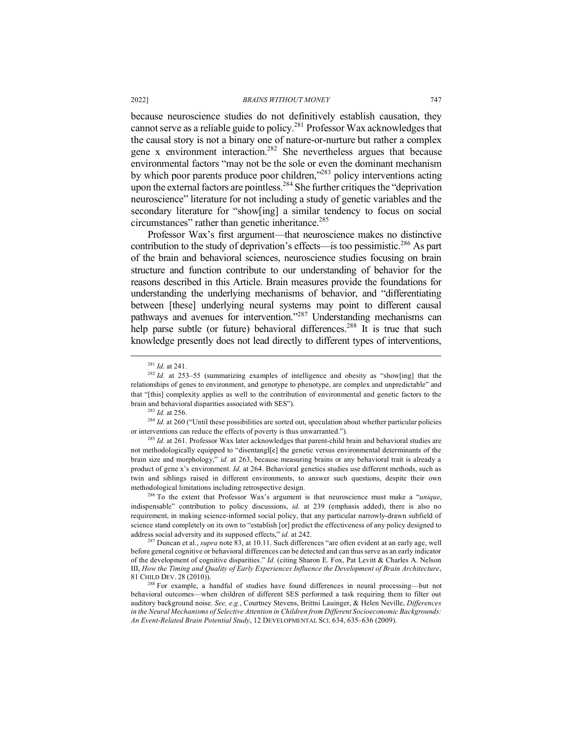because neuroscience studies do not definitively establish causation, they cannot serve as a reliable guide to policy.281 Professor Wax acknowledges that the causal story is not a binary one of nature-or-nurture but rather a complex gene x environment interaction.<sup>282</sup> She nevertheless argues that because environmental factors "may not be the sole or even the dominant mechanism by which poor parents produce poor children,"<sup>283</sup> policy interventions acting upon the external factors are pointless.<sup>284</sup> She further critiques the "deprivation" neuroscience" literature for not including a study of genetic variables and the secondary literature for "show[ing] a similar tendency to focus on social circumstances" rather than genetic inheritance.<sup>285</sup>

Professor Wax's first argument—that neuroscience makes no distinctive contribution to the study of deprivation's effects—is too pessimistic.<sup>286</sup> As part of the brain and behavioral sciences, neuroscience studies focusing on brain structure and function contribute to our understanding of behavior for the reasons described in this Article. Brain measures provide the foundations for understanding the underlying mechanisms of behavior, and "differentiating between [these] underlying neural systems may point to different causal pathways and avenues for intervention."287 Understanding mechanisms can help parse subtle (or future) behavioral differences.<sup>288</sup> It is true that such knowledge presently does not lead directly to different types of interventions,

<sup>283</sup> *Id.* at 256.

<sup>284</sup> *Id.* at 260 ("Until these possibilities are sorted out, speculation about whether particular policies or interventions can reduce the effects of poverty is thus unwarranted.").

<sup>285</sup> *Id.* at 261. Professor Wax later acknowledges that parent-child brain and behavioral studies are not methodologically equipped to "disentangl[e] the genetic versus environmental determinants of the brain size and morphology," *id.* at 263, because measuring brains or any behavioral trait is already a product of gene x's environment. *Id.* at 264. Behavioral genetics studies use different methods, such as twin and siblings raised in different environments, to answer such questions, despite their own methodological limitations including retrospective design.

<sup>286</sup> To the extent that Professor Wax's argument is that neuroscience must make a "*unique*, indispensable" contribution to policy discussions, *id.* at 239 (emphasis added), there is also no requirement, in making science-informed social policy, that any particular narrowly-drawn subfield of science stand completely on its own to "establish [or] predict the effectiveness of any policy designed to address social adversity and its supposed effects," *id.* at 242.

<sup>287</sup> Duncan et al., *supra* note 83, at 10.11. Such differences "are often evident at an early age, well before general cognitive or behavioral differences can be detected and can thus serve as an early indicator of the development of cognitive disparities." *Id.* (citing Sharon E. Fox, Pat Levitt & Charles A. Nelson III, *How the Timing and Quality of Early Experiences Influence the Development of Brain Architecture*, 81 CHILD DEV. 28 (2010)).

<sup>288</sup> For example, a handful of studies have found differences in neural processing—but not behavioral outcomes—when children of different SES performed a task requiring them to filter out auditory background noise. *See, e.g.*, Courtney Stevens, Brittni Lauinger, & Helen Neville, *Differences in the Neural Mechanisms of Selective Attention in Children from Different Socioeconomic Backgrounds: An Event-Related Brain Potential Study*, 12 DEVELOPMENTAL SCI. 634, 635–636 (2009).

 <sup>281</sup> *Id.* at 241.

<sup>&</sup>lt;sup>282</sup> *Id.* at 253–55 (summarizing examples of intelligence and obesity as "show[ing] that the relationships of genes to environment, and genotype to phenotype, are complex and unpredictable" and that "[this] complexity applies as well to the contribution of environmental and genetic factors to the brain and behavioral disparities associated with SES").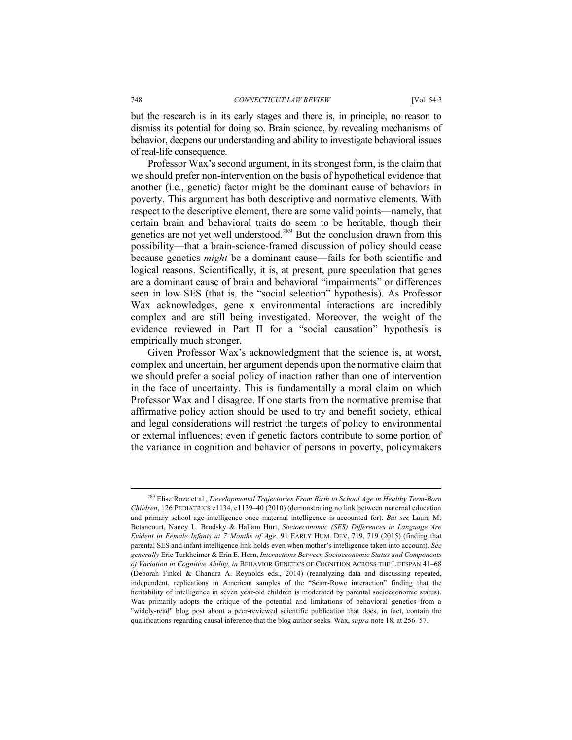but the research is in its early stages and there is, in principle, no reason to dismiss its potential for doing so. Brain science, by revealing mechanisms of behavior, deepens our understanding and ability to investigate behavioral issues of real-life consequence.

Professor Wax's second argument, in its strongest form, is the claim that we should prefer non-intervention on the basis of hypothetical evidence that another (i.e., genetic) factor might be the dominant cause of behaviors in poverty. This argument has both descriptive and normative elements. With respect to the descriptive element, there are some valid points—namely, that certain brain and behavioral traits do seem to be heritable, though their genetics are not yet well understood.<sup>289</sup> But the conclusion drawn from this possibility—that a brain-science-framed discussion of policy should cease because genetics *might* be a dominant cause—fails for both scientific and logical reasons. Scientifically, it is, at present, pure speculation that genes are a dominant cause of brain and behavioral "impairments" or differences seen in low SES (that is, the "social selection" hypothesis). As Professor Wax acknowledges, gene x environmental interactions are incredibly complex and are still being investigated. Moreover, the weight of the evidence reviewed in Part II for a "social causation" hypothesis is empirically much stronger.

Given Professor Wax's acknowledgment that the science is, at worst, complex and uncertain, her argument depends upon the normative claim that we should prefer a social policy of inaction rather than one of intervention in the face of uncertainty. This is fundamentally a moral claim on which Professor Wax and I disagree. If one starts from the normative premise that affirmative policy action should be used to try and benefit society, ethical and legal considerations will restrict the targets of policy to environmental or external influences; even if genetic factors contribute to some portion of the variance in cognition and behavior of persons in poverty, policymakers

 <sup>289</sup> Elise Roze et al., *Developmental Trajectories From Birth to School Age in Healthy Term-Born Children*, 126 PEDIATRICS e1134, e1139–40 (2010) (demonstrating no link between maternal education and primary school age intelligence once maternal intelligence is accounted for). *But see* Laura M. Betancourt, Nancy L. Brodsky & Hallam Hurt, *Socioeconomic (SES) Differences in Language Are Evident in Female Infants at 7 Months of Age*, 91 EARLY HUM. DEV. 719, 719 (2015) (finding that parental SES and infant intelligence link holds even when mother's intelligence taken into account). *See generally* Eric Turkheimer & Erin E. Horn, *Interactions Between Socioeconomic Status and Components of Variation in Cognitive Ability*, *in* BEHAVIOR GENETICS OF COGNITION ACROSS THE LIFESPAN 41–68 (Deborah Finkel & Chandra A. Reynolds eds., 2014) (reanalyzing data and discussing repeated, independent, replications in American samples of the "Scarr-Rowe interaction" finding that the heritability of intelligence in seven year-old children is moderated by parental socioeconomic status). Wax primarily adopts the critique of the potential and limitations of behavioral genetics from a "widely-read" blog post about a peer-reviewed scientific publication that does, in fact, contain the qualifications regarding causal inference that the blog author seeks. Wax, *supra* note 18, at 256–57.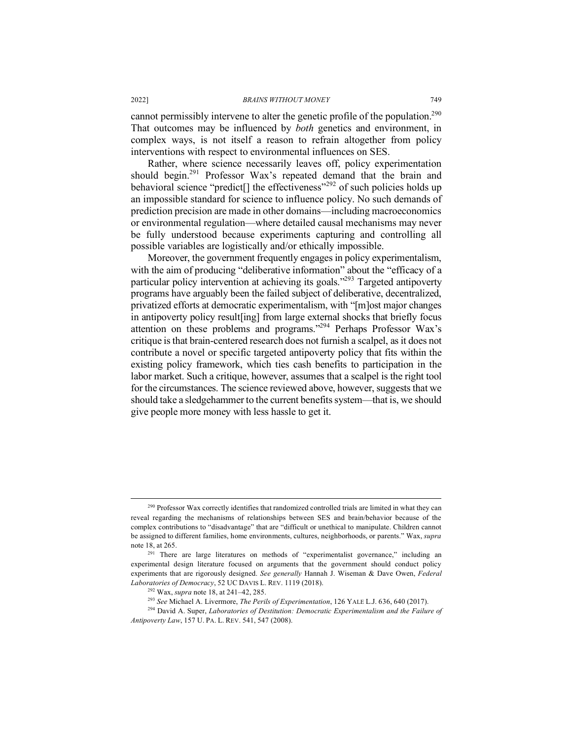cannot permissibly intervene to alter the genetic profile of the population.<sup>290</sup> That outcomes may be influenced by *both* genetics and environment, in complex ways, is not itself a reason to refrain altogether from policy interventions with respect to environmental influences on SES.

Rather, where science necessarily leaves off, policy experimentation should begin.<sup>291</sup> Professor Wax's repeated demand that the brain and behavioral science "predict<sup>[]</sup> the effectiveness"<sup>292</sup> of such policies holds up an impossible standard for science to influence policy. No such demands of prediction precision are made in other domains—including macroeconomics or environmental regulation—where detailed causal mechanisms may never be fully understood because experiments capturing and controlling all possible variables are logistically and/or ethically impossible.

Moreover, the government frequently engages in policy experimentalism, with the aim of producing "deliberative information" about the "efficacy of a particular policy intervention at achieving its goals."<sup>293</sup> Targeted antipoverty programs have arguably been the failed subject of deliberative, decentralized, privatized efforts at democratic experimentalism, with "[m]ost major changes in antipoverty policy result[ing] from large external shocks that briefly focus attention on these problems and programs."294 Perhaps Professor Wax's critique is that brain-centered research does not furnish a scalpel, as it does not contribute a novel or specific targeted antipoverty policy that fits within the existing policy framework, which ties cash benefits to participation in the labor market. Such a critique, however, assumes that a scalpel is the right tool for the circumstances. The science reviewed above, however, suggests that we should take a sledgehammer to the current benefits system—that is, we should give people more money with less hassle to get it.

<sup>&</sup>lt;sup>290</sup> Professor Wax correctly identifies that randomized controlled trials are limited in what they can reveal regarding the mechanisms of relationships between SES and brain/behavior because of the complex contributions to "disadvantage" that are "difficult or unethical to manipulate. Children cannot be assigned to different families, home environments, cultures, neighborhoods, or parents." Wax, *supra*  note 18, at 265.

<sup>&</sup>lt;sup>291</sup> There are large literatures on methods of "experimentalist governance," including an experimental design literature focused on arguments that the government should conduct policy experiments that are rigorously designed. *See generally* Hannah J. Wiseman & Dave Owen, *Federal Laboratories of Democracy*, 52 UC DAVIS L. REV. 1119 (2018).

<sup>&</sup>lt;sup>292</sup> Wax, *supra* note 18, at 241–42, 285.<br><sup>293</sup> See Michael A. Livermore, *The Perils of Experimentation*, 126 YALE L.J. 636, 640 (2017).<br><sup>294</sup> David A. Super, *Laboratories of Destitution: Democratic Experimentalism an Antipoverty Law*, 157 U. PA. L. REV. 541, 547 (2008).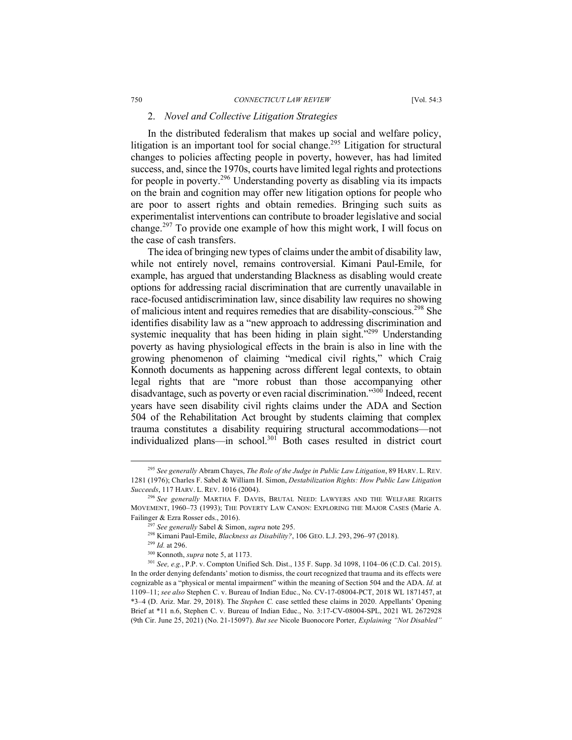### 2. *Novel and Collective Litigation Strategies*

In the distributed federalism that makes up social and welfare policy, litigation is an important tool for social change.<sup>295</sup> Litigation for structural changes to policies affecting people in poverty, however, has had limited success, and, since the 1970s, courts have limited legal rights and protections for people in poverty.296 Understanding poverty as disabling via its impacts on the brain and cognition may offer new litigation options for people who are poor to assert rights and obtain remedies. Bringing such suits as experimentalist interventions can contribute to broader legislative and social change.<sup>297</sup> To provide one example of how this might work, I will focus on the case of cash transfers.

The idea of bringing new types of claims under the ambit of disability law, while not entirely novel, remains controversial. Kimani Paul-Emile, for example, has argued that understanding Blackness as disabling would create options for addressing racial discrimination that are currently unavailable in race-focused antidiscrimination law, since disability law requires no showing of malicious intent and requires remedies that are disability-conscious.298 She identifies disability law as a "new approach to addressing discrimination and systemic inequality that has been hiding in plain sight."<sup>299</sup> Understanding poverty as having physiological effects in the brain is also in line with the growing phenomenon of claiming "medical civil rights," which Craig Konnoth documents as happening across different legal contexts, to obtain legal rights that are "more robust than those accompanying other disadvantage, such as poverty or even racial discrimination."300 Indeed, recent years have seen disability civil rights claims under the ADA and Section 504 of the Rehabilitation Act brought by students claiming that complex trauma constitutes a disability requiring structural accommodations—not individualized plans—in school.301 Both cases resulted in district court

 <sup>295</sup> *See generally* Abram Chayes, *The Role of the Judge in Public Law Litigation*, 89 HARV. L. REV. 1281 (1976); Charles F. Sabel & William H. Simon, *Destabilization Rights: How Public Law Litigation Succeeds*, 117 HARV. L. REV. 1016 (2004).

<sup>296</sup> *See generally* MARTHA F. DAVIS, BRUTAL NEED: LAWYERS AND THE WELFARE RIGHTS MOVEMENT, 1960–73 (1993); THE POVERTY LAW CANON: EXPLORING THE MAJOR CASES (Marie A. Failinger & Ezra Rosser eds., 2016).

<sup>297</sup> *See generally* Sabel & Simon, *supra* note 295.

<sup>298</sup> Kimani Paul-Emile, *Blackness as Disability?*, 106 GEO. L.J. 293, 296–97 (2018).

<sup>299</sup> *Id.* at 296.

<sup>300</sup> Konnoth, *supra* note 5, at 1173.

<sup>301</sup> *See, e.g.*, P.P. v. Compton Unified Sch. Dist., 135 F. Supp. 3d 1098, 1104–06 (C.D. Cal. 2015). In the order denying defendants' motion to dismiss, the court recognized that trauma and its effects were cognizable as a "physical or mental impairment" within the meaning of Section 504 and the ADA. *Id.* at 1109–11; *see also* Stephen C. v. Bureau of Indian Educ., No. CV-17-08004-PCT, 2018 WL 1871457, at \*3–4 (D. Ariz. Mar. 29, 2018). The *Stephen C.* case settled these claims in 2020. Appellants' Opening Brief at \*11 n.6, Stephen C. v. Bureau of Indian Educ., No. 3:17-CV-08004-SPL, 2021 WL 2672928 (9th Cir. June 25, 2021) (No. 21-15097). *But see* Nicole Buonocore Porter, *Explaining "Not Disabled"*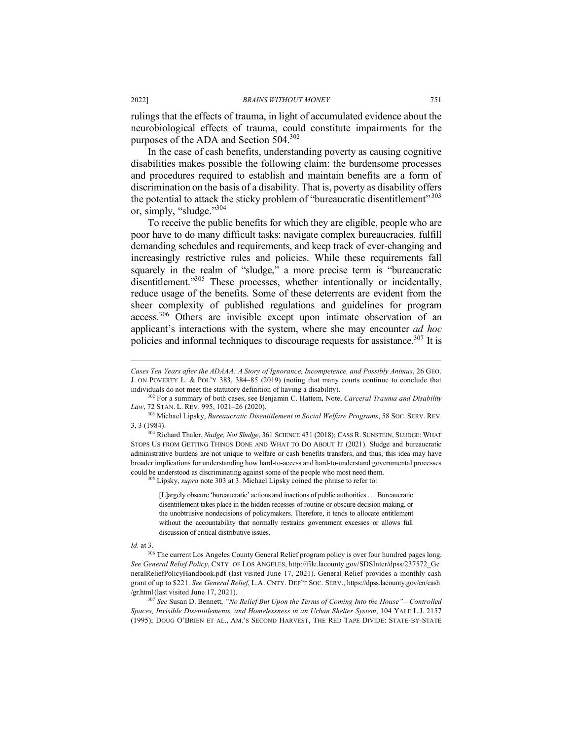rulings that the effects of trauma, in light of accumulated evidence about the neurobiological effects of trauma, could constitute impairments for the purposes of the ADA and Section 504.302

In the case of cash benefits, understanding poverty as causing cognitive disabilities makes possible the following claim: the burdensome processes and procedures required to establish and maintain benefits are a form of discrimination on the basis of a disability. That is, poverty as disability offers the potential to attack the sticky problem of "bureaucratic disentitlement"<sup>303</sup> or, simply, "sludge."304

To receive the public benefits for which they are eligible, people who are poor have to do many difficult tasks: navigate complex bureaucracies, fulfill demanding schedules and requirements, and keep track of ever-changing and increasingly restrictive rules and policies. While these requirements fall squarely in the realm of "sludge," a more precise term is "bureaucratic disentitlement."<sup>305</sup> These processes, whether intentionally or incidentally, reduce usage of the benefits. Some of these deterrents are evident from the sheer complexity of published regulations and guidelines for program access.<sup>306</sup> Others are invisible except upon intimate observation of an applicant's interactions with the system, where she may encounter *ad hoc* policies and informal techniques to discourage requests for assistance.<sup>307</sup> It is

<sup>305</sup> Lipsky, *supra* note 303 at 3. Michael Lipsky coined the phrase to refer to:

[L]argely obscure 'bureaucratic' actions and inactions of public authorities . . . Bureaucratic disentitlement takes place in the hidden recesses of routine or obscure decision making, or the unobtrusive nondecisions of policymakers. Therefore, it tends to allocate entitlement without the accountability that normally restrains government excesses or allows full discussion of critical distributive issues.

*Id.* at 3.

 $\overline{a}$ 

<sup>306</sup> The current Los Angeles County General Relief program policy is over four hundred pages long. *See General Relief Policy*, CNTY. OF LOS ANGELES, http://file.lacounty.gov/SDSInter/dpss/237572\_Ge neralReliefPolicyHandbook.pdf (last visited June 17, 2021). General Relief provides a monthly cash grant of up to \$221. *See General Relief*, L.A. CNTY. DEP'T SOC. SERV., https://dpss.lacounty.gov/en/cash /gr.html(last visited June 17, 2021). 307 *See* Susan D. Bennett, *"No Relief But Upon the Terms of Coming Into the House"—Controlled* 

*Spaces, Invisible Disentitlements, and Homelessness in an Urban Shelter System*, 104 YALE L.J. 2157 (1995); DOUG O'BRIEN ET AL., AM.'S SECOND HARVEST, THE RED TAPE DIVIDE: STATE-BY-STATE

*Cases Ten Years after the ADAAA: A Story of Ignorance, Incompetence, and Possibly Animus*, 26 GEO. J. ON POVERTY L. & POL'Y 383, 384–85 (2019) (noting that many courts continue to conclude that individuals do not meet the statutory definition of having a disability).

<sup>302</sup> For a summary of both cases, see Benjamin C. Hattem, Note, *Carceral Trauma and Disability Law*, 72 STAN. L. REV. 995, 1021–26 (2020).

<sup>303</sup> Michael Lipsky, *Bureaucratic Disentitlement in Social Welfare Programs*, 58 SOC. SERV. REV. 3, 3 (1984). 304 Richard Thaler, *Nudge, Not Sludge*, 361 SCIENCE 431 (2018); CASS R. SUNSTEIN, SLUDGE: WHAT

STOPS US FROM GETTING THINGS DONE AND WHAT TO DO ABOUT IT (2021). Sludge and bureaucratic administrative burdens are not unique to welfare or cash benefits transfers, and thus, this idea may have broader implications for understanding how hard-to-access and hard-to-understand governmental processes could be understood as discriminating against some of the people who most need them.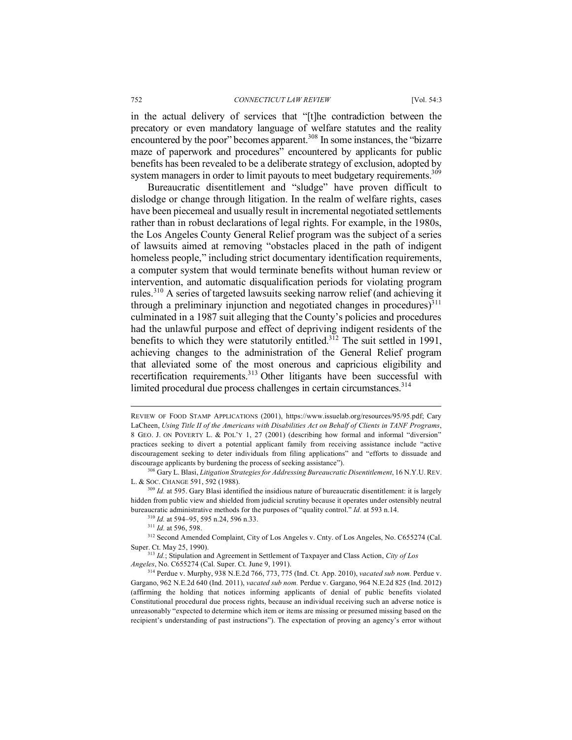in the actual delivery of services that "[t]he contradiction between the precatory or even mandatory language of welfare statutes and the reality encountered by the poor" becomes apparent.<sup>308</sup> In some instances, the "bizarre maze of paperwork and procedures<sup>3</sup> encountered by applicants for public benefits has been revealed to be a deliberate strategy of exclusion, adopted by system managers in order to limit payouts to meet budgetary requirements.<sup>309</sup>

Bureaucratic disentitlement and "sludge" have proven difficult to dislodge or change through litigation. In the realm of welfare rights, cases have been piecemeal and usually result in incremental negotiated settlements rather than in robust declarations of legal rights. For example, in the 1980s, the Los Angeles County General Relief program was the subject of a series of lawsuits aimed at removing "obstacles placed in the path of indigent homeless people," including strict documentary identification requirements, a computer system that would terminate benefits without human review or intervention, and automatic disqualification periods for violating program rules.<sup>310</sup> A series of targeted lawsuits seeking narrow relief (and achieving it through a preliminary injunction and negotiated changes in procedures $\tilde{J}^{311}$ culminated in a 1987 suit alleging that the County's policies and procedures had the unlawful purpose and effect of depriving indigent residents of the benefits to which they were statutorily entitled.<sup>312</sup> The suit settled in 1991, achieving changes to the administration of the General Relief program that alleviated some of the most onerous and capricious eligibility and recertification requirements.<sup>313</sup> Other litigants have been successful with limited procedural due process challenges in certain circumstances. $314$ 

REVIEW OF FOOD STAMP APPLICATIONS (2001), https://www.issuelab.org/resources/95/95.pdf; Cary LaCheen, *Using Title II of the Americans with Disabilities Act on Behalf of Clients in TANF Programs*, 8 GEO. J. ON POVERTY L. & POL'Y 1, 27 (2001) (describing how formal and informal "diversion" practices seeking to divert a potential applicant family from receiving assistance include "active discouragement seeking to deter individuals from filing applications" and "efforts to dissuade and discourage applicants by burdening the process of seeking assistance").

<sup>&</sup>lt;sup>308</sup> Gary L. Blasi, *Litigation Strategies for Addressing Bureaucratic Disentitlement*, 16 N.Y.U. REV. L. & SOC. CHANGE 591, 592 (1988).

<sup>&</sup>lt;sup>309</sup> *Id.* at 595. Gary Blasi identified the insidious nature of bureaucratic disentitlement: it is largely hidden from public view and shielded from judicial scrutiny because it operates under ostensibly neutral bureaucratic administrative methods for the purposes of "quality control." *Id.* at 593 n.14. <sup>310</sup> *Id.* at 594–95, 595 n.24, 596 n.33.<br><sup>311</sup> *Id.* at 596. 598.

<sup>&</sup>lt;sup>312</sup> Second Amended Complaint, City of Los Angeles v. Cnty. of Los Angeles, No. C655274 (Cal. Super. Ct. May 25, 1990). 313 *Id.*; Stipulation and Agreement in Settlement of Taxpayer and Class Action, *City of Los* 

*Angeles*, No. C655274 (Cal. Super. Ct. June 9, 1991).

<sup>314</sup> Perdue v. Murphy, 938 N.E.2d 766, 773, 775 (Ind. Ct. App. 2010), *vacated sub nom.* Perdue v. Gargano, 962 N.E.2d 640 (Ind. 2011), *vacated sub nom.* Perdue v. Gargano, 964 N.E.2d 825 (Ind. 2012) (affirming the holding that notices informing applicants of denial of public benefits violated Constitutional procedural due process rights, because an individual receiving such an adverse notice is unreasonably "expected to determine which item or items are missing or presumed missing based on the recipient's understanding of past instructions"). The expectation of proving an agency's error without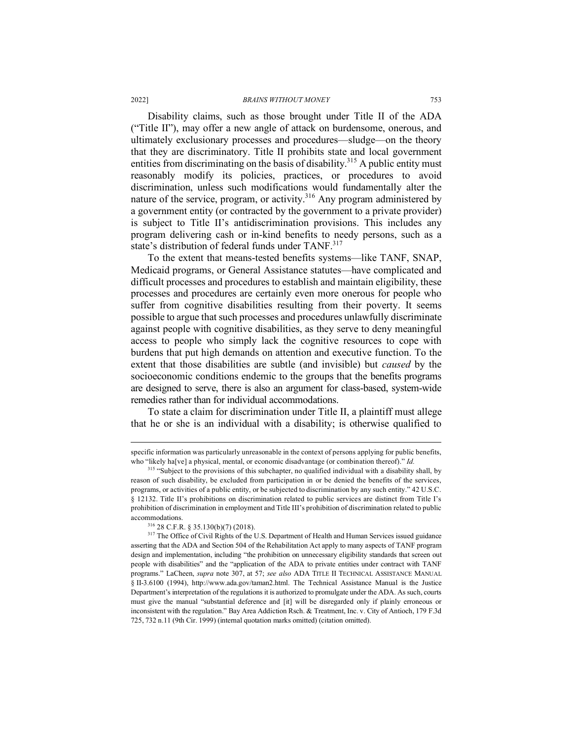Disability claims, such as those brought under Title II of the ADA ("Title II"), may offer a new angle of attack on burdensome, onerous, and ultimately exclusionary processes and procedures—sludge—on the theory that they are discriminatory. Title II prohibits state and local government entities from discriminating on the basis of disability.<sup>315</sup> A public entity must reasonably modify its policies, practices, or procedures to avoid discrimination, unless such modifications would fundamentally alter the nature of the service, program, or activity.<sup>316</sup> Any program administered by a government entity (or contracted by the government to a private provider) is subject to Title II's antidiscrimination provisions. This includes any program delivering cash or in-kind benefits to needy persons, such as a state's distribution of federal funds under TANF.<sup>317</sup>

To the extent that means-tested benefits systems—like TANF, SNAP, Medicaid programs, or General Assistance statutes—have complicated and difficult processes and procedures to establish and maintain eligibility, these processes and procedures are certainly even more onerous for people who suffer from cognitive disabilities resulting from their poverty. It seems possible to argue that such processes and procedures unlawfully discriminate against people with cognitive disabilities, as they serve to deny meaningful access to people who simply lack the cognitive resources to cope with burdens that put high demands on attention and executive function. To the extent that those disabilities are subtle (and invisible) but *caused* by the socioeconomic conditions endemic to the groups that the benefits programs are designed to serve, there is also an argument for class-based, system-wide remedies rather than for individual accommodations.

To state a claim for discrimination under Title II, a plaintiff must allege that he or she is an individual with a disability; is otherwise qualified to

specific information was particularly unreasonable in the context of persons applying for public benefits, who "likely halvel a physical, mental, or economic disadvantage (or combination thereof)." *Id.* 

<sup>&</sup>lt;sup>315</sup> "Subject to the provisions of this subchapter, no qualified individual with a disability shall, by reason of such disability, be excluded from participation in or be denied the benefits of the services, programs, or activities of a public entity, or be subjected to discrimination by any such entity." 42 U.S.C. § 12132. Title II's prohibitions on discrimination related to public services are distinct from Title I's prohibition of discrimination in employment and Title III's prohibition of discrimination related to public accommodations.

<sup>316</sup> 28 C.F.R. § 35.130(b)(7) (2018).

<sup>&</sup>lt;sup>317</sup> The Office of Civil Rights of the U.S. Department of Health and Human Services issued guidance asserting that the ADA and Section 504 of the Rehabilitation Act apply to many aspects of TANF program design and implementation, including "the prohibition on unnecessary eligibility standards that screen out people with disabilities" and the "application of the ADA to private entities under contract with TANF programs." LaCheen, *supra* note 307, at 57; *see also* ADA TITLE II TECHNICAL ASSISTANCE MANUAL § II-3.6100 (1994), http://www.ada.gov/taman2.html. The Technical Assistance Manual is the Justice Department's interpretation of the regulations it is authorized to promulgate under the ADA. As such, courts must give the manual "substantial deference and [it] will be disregarded only if plainly erroneous or inconsistent with the regulation." Bay Area Addiction Rsch. & Treatment, Inc. v. City of Antioch, 179 F.3d 725, 732 n.11 (9th Cir. 1999) (internal quotation marks omitted) (citation omitted).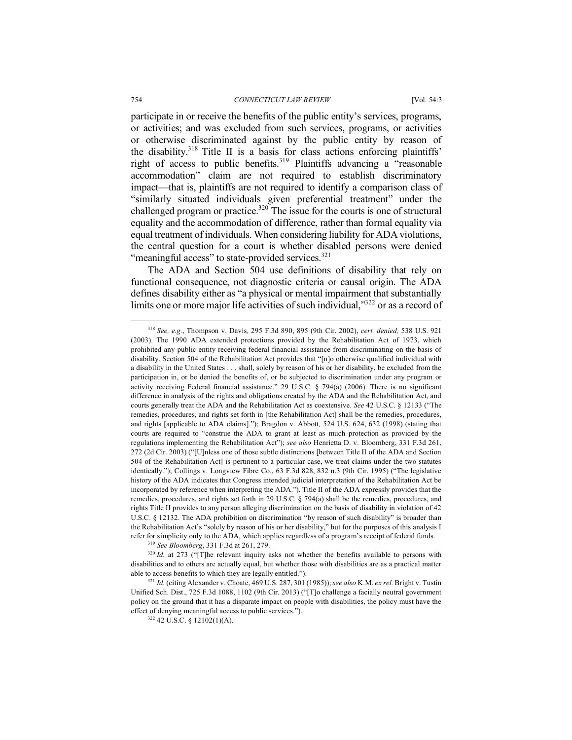#### 754 *CONNECTICUT LAW REVIEW* [Vol. 54:3

participate in or receive the benefits of the public entity's services, programs, or activities; and was excluded from such services, programs, or activities or otherwise discriminated against by the public entity by reason of the disability.<sup>318</sup> Title II is a basis for class actions enforcing plaintiffs' right of access to public benefits.319 Plaintiffs advancing a "reasonable accommodation" claim are not required to establish discriminatory impact—that is, plaintiffs are not required to identify a comparison class of "similarly situated individuals given preferential treatment" under the challenged program or practice.<sup>320</sup> The issue for the courts is one of structural equality and the accommodation of difference, rather than formal equality via equal treatment of individuals. When considering liability for ADA violations, the central question for a court is whether disabled persons were denied "meaningful access" to state-provided services. $321$ 

The ADA and Section 504 use definitions of disability that rely on functional consequence, not diagnostic criteria or causal origin. The ADA defines disability either as "a physical or mental impairment that substantially limits one or more major life activities of such individual,"<sup>322</sup> or as a record of

<sup>319</sup> *See Bloomberg*, 331 F.3d at 261, 279.

<sup>320</sup> *Id.* at 273 ("The relevant inquiry asks not whether the benefits available to persons with disabilities and to others are actually equal, but whether those with disabilities are as a practical matter able to access benefits to which they are legally entitled.").

<sup>321</sup> *Id.* (citing Alexander v. Choate, 469 U.S. 287, 301 (1985)); *see also* K.M. *ex rel.* Bright v. Tustin Unified Sch. Dist., 725 F.3d 1088, 1102 (9th Cir. 2013) ("[T]o challenge a facially neutral government policy on the ground that it has a disparate impact on people with disabilities, the policy must have the effect of denying meaningful access to public services.").

<sup>322</sup> 42 U.S.C. § 12102(1)(A).

 <sup>318</sup> *See, e.g.*, Thompson v. Davis*,* 295 F.3d 890, 895 (9th Cir. 2002), *cert. denied,* 538 U.S. 921 (2003). The 1990 ADA extended protections provided by the Rehabilitation Act of 1973, which prohibited any public entity receiving federal financial assistance from discriminating on the basis of disability. Section 504 of the Rehabilitation Act provides that "[n]o otherwise qualified individual with a disability in the United States . . . shall, solely by reason of his or her disability, be excluded from the participation in, or be denied the benefits of, or be subjected to discrimination under any program or activity receiving Federal financial assistance." 29 U.S.C. § 794(a) (2006). There is no significant difference in analysis of the rights and obligations created by the ADA and the Rehabilitation Act, and courts generally treat the ADA and the Rehabilitation Act as coextensive. *See* 42 U.S.C. § 12133 ("The remedies, procedures, and rights set forth in [the Rehabilitation Act] shall be the remedies, procedures, and rights [applicable to ADA claims]."); Bragdon v. Abbott*,* 524 U.S. 624, 632 (1998) (stating that courts are required to "construe the ADA to grant at least as much protection as provided by the regulations implementing the Rehabilitation Act"); *see also* Henrietta D. v. Bloomberg, 331 F.3d 261, 272 (2d Cir. 2003) ("[U]nless one of those subtle distinctions [between Title II of the ADA and Section 504 of the Rehabilitation Act] is pertinent to a particular case, we treat claims under the two statutes identically."); Collings v. Longview Fibre Co., 63 F.3d 828, 832 n.3 (9th Cir. 1995) ("The legislative history of the ADA indicates that Congress intended judicial interpretation of the Rehabilitation Act be incorporated by reference when interpreting the ADA."). Title II of the ADA expressly provides that the remedies, procedures, and rights set forth in 29 U.S.C. § 794(a) shall be the remedies, procedures, and rights Title II provides to any person alleging discrimination on the basis of disability in violation of 42 U.S.C. § 12132. The ADA prohibition on discrimination "by reason of such disability" is broader than the Rehabilitation Act's "solely by reason of his or her disability," but for the purposes of this analysis I refer for simplicity only to the ADA, which applies regardless of a program's receipt of federal funds.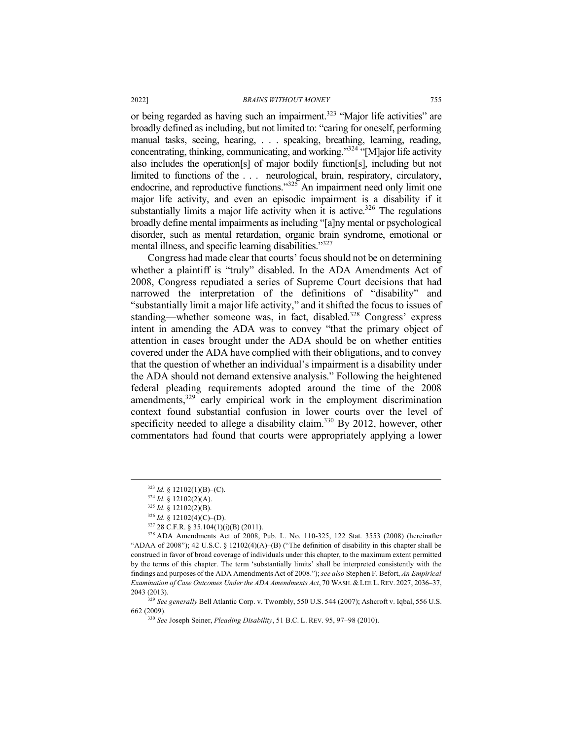or being regarded as having such an impairment.<sup>323</sup> "Major life activities" are broadly defined as including, but not limited to: "caring for oneself, performing manual tasks, seeing, hearing, . . . speaking, breathing, learning, reading, concentrating, thinking, communicating, and working."324 "[M]ajor life activity also includes the operation[s] of major bodily function[s], including but not limited to functions of the ... neurological, brain, respiratory, circulatory, endocrine, and reproductive functions."<sup>325</sup> An impairment need only limit one major life activity, and even an episodic impairment is a disability if it substantially limits a major life activity when it is active.<sup>326</sup> The regulations broadly define mental impairments as including "[a]ny mental or psychological disorder, such as mental retardation, organic brain syndrome, emotional or mental illness, and specific learning disabilities."<sup>327</sup>

Congress had made clear that courts' focus should not be on determining whether a plaintiff is "truly" disabled. In the ADA Amendments Act of 2008, Congress repudiated a series of Supreme Court decisions that had narrowed the interpretation of the definitions of "disability" and "substantially limit a major life activity," and it shifted the focus to issues of standing—whether someone was, in fact, disabled.<sup>328</sup> Congress' express intent in amending the ADA was to convey "that the primary object of attention in cases brought under the ADA should be on whether entities covered under the ADA have complied with their obligations, and to convey that the question of whether an individual's impairment is a disability under the ADA should not demand extensive analysis." Following the heightened federal pleading requirements adopted around the time of the 2008 amendments, $329$  early empirical work in the employment discrimination context found substantial confusion in lower courts over the level of specificity needed to allege a disability claim.<sup>330</sup> By 2012, however, other commentators had found that courts were appropriately applying a lower

<sup>329</sup> See generally Bell Atlantic Corp. v. Twombly, 550 U.S. 544 (2007); Ashcroft v. Iqbal, 556 U.S. 662 (2009).

 $323$  *Id.* § 12102(1)(B)–(C).

<sup>324</sup> *Id.* § 12102(2)(A).

 $325$  *Id.* § 12102(2)(B).

 $326$  *Id.* § 12102(4)(C)–(D).

 $327$  28 C.F.R. § 35.104(1)(i)(B) (2011).

<sup>328</sup> ADA Amendments Act of 2008, Pub. L. No. 110-325, 122 Stat. 3553 (2008) (hereinafter "ADAA of 2008"); 42 U.S.C. § 12102(4)(A)–(B) ("The definition of disability in this chapter shall be construed in favor of broad coverage of individuals under this chapter, to the maximum extent permitted by the terms of this chapter. The term 'substantially limits' shall be interpreted consistently with the findings and purposes of the ADA Amendments Act of 2008."); *see also* Stephen F. Befort, *An Empirical Examination of Case Outcomes Under the ADA Amendments Act*, 70 WASH.& LEE L.REV. 2027, 2036–37, 2043 (2013).

<sup>330</sup> *See* Joseph Seiner, *Pleading Disability*, 51 B.C. L. REV. 95, 97–98 (2010).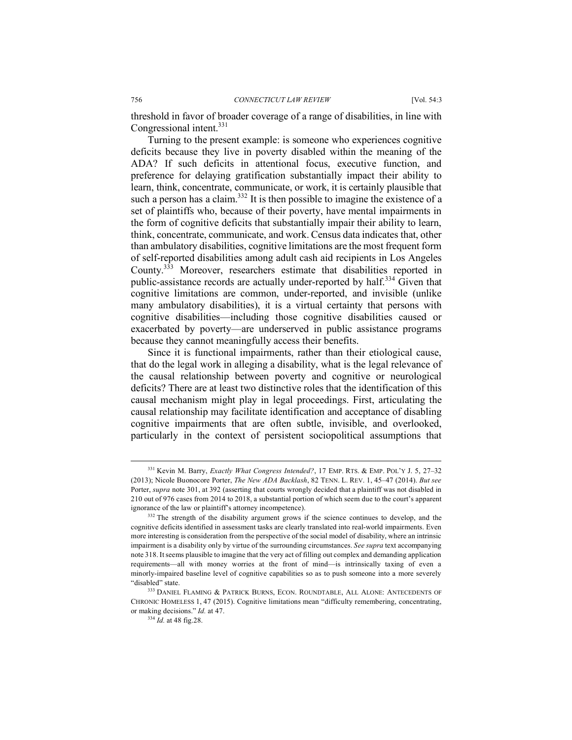threshold in favor of broader coverage of a range of disabilities, in line with Congressional intent.<sup>331</sup>

Turning to the present example: is someone who experiences cognitive deficits because they live in poverty disabled within the meaning of the ADA? If such deficits in attentional focus, executive function, and preference for delaying gratification substantially impact their ability to learn, think, concentrate, communicate, or work, it is certainly plausible that such a person has a claim.<sup>332</sup> It is then possible to imagine the existence of a set of plaintiffs who, because of their poverty, have mental impairments in the form of cognitive deficits that substantially impair their ability to learn, think, concentrate, communicate, and work. Census data indicates that, other than ambulatory disabilities, cognitive limitations are the most frequent form of self-reported disabilities among adult cash aid recipients in Los Angeles County.333 Moreover, researchers estimate that disabilities reported in public-assistance records are actually under-reported by half.<sup>334</sup> Given that cognitive limitations are common, under-reported, and invisible (unlike many ambulatory disabilities), it is a virtual certainty that persons with cognitive disabilities—including those cognitive disabilities caused or exacerbated by poverty—are underserved in public assistance programs because they cannot meaningfully access their benefits.

Since it is functional impairments, rather than their etiological cause, that do the legal work in alleging a disability, what is the legal relevance of the causal relationship between poverty and cognitive or neurological deficits? There are at least two distinctive roles that the identification of this causal mechanism might play in legal proceedings. First, articulating the causal relationship may facilitate identification and acceptance of disabling cognitive impairments that are often subtle, invisible, and overlooked, particularly in the context of persistent sociopolitical assumptions that

 <sup>331</sup> Kevin M. Barry, *Exactly What Congress Intended?*, 17 EMP. RTS. & EMP. POL'Y J. 5, 27–32 (2013); Nicole Buonocore Porter, *The New ADA Backlash*, 82 TENN. L. REV. 1, 45–47 (2014). *But see*  Porter, *supra* note 301, at 392 (asserting that courts wrongly decided that a plaintiff was not disabled in 210 out of 976 cases from 2014 to 2018, a substantial portion of which seem due to the court's apparent ignorance of the law or plaintiff's attorney incompetence).

<sup>&</sup>lt;sup>332</sup> The strength of the disability argument grows if the science continues to develop, and the cognitive deficits identified in assessment tasks are clearly translated into real-world impairments. Even more interesting is consideration from the perspective of the social model of disability, where an intrinsic impairment is a disability only by virtue of the surrounding circumstances. *See supra* text accompanying note 318. It seems plausible to imagine that the very act of filling out complex and demanding application requirements—all with money worries at the front of mind—is intrinsically taxing of even a minorly-impaired baseline level of cognitive capabilities so as to push someone into a more severely "disabled" state.

<sup>333</sup> DANIEL FLAMING & PATRICK BURNS, ECON. ROUNDTABLE, ALL ALONE: ANTECEDENTS OF CHRONIC HOMELESS 1, 47 (2015). Cognitive limitations mean "difficulty remembering, concentrating, or making decisions." *Id.* at 47.

<sup>334</sup> *Id.* at 48 fig.28.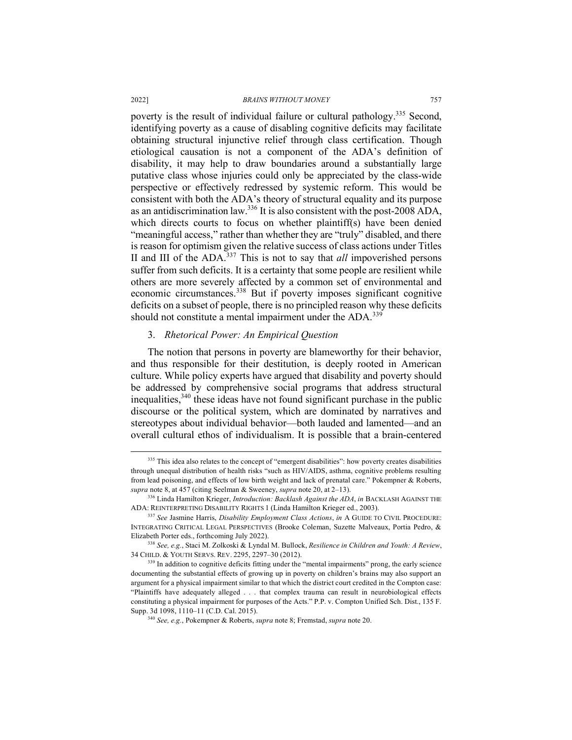poverty is the result of individual failure or cultural pathology.<sup>335</sup> Second, identifying poverty as a cause of disabling cognitive deficits may facilitate obtaining structural injunctive relief through class certification. Though etiological causation is not a component of the ADA's definition of disability, it may help to draw boundaries around a substantially large putative class whose injuries could only be appreciated by the class-wide perspective or effectively redressed by systemic reform. This would be consistent with both the ADA's theory of structural equality and its purpose as an antidiscrimination law.<sup>336</sup> It is also consistent with the post-2008 ADA, which directs courts to focus on whether plaintiff(s) have been denied "meaningful access," rather than whether they are "truly" disabled, and there is reason for optimism given the relative success of class actions under Titles II and III of the ADA.<sup>337</sup> This is not to say that *all* impoverished persons suffer from such deficits. It is a certainty that some people are resilient while others are more severely affected by a common set of environmental and economic circumstances.<sup>338</sup> But if poverty imposes significant cognitive deficits on a subset of people, there is no principled reason why these deficits should not constitute a mental impairment under the ADA.<sup>339</sup>

### 3. *Rhetorical Power: An Empirical Question*

The notion that persons in poverty are blameworthy for their behavior, and thus responsible for their destitution, is deeply rooted in American culture. While policy experts have argued that disability and poverty should be addressed by comprehensive social programs that address structural inequalities,340 these ideas have not found significant purchase in the public discourse or the political system, which are dominated by narratives and stereotypes about individual behavior—both lauded and lamented—and an overall cultural ethos of individualism. It is possible that a brain-centered

<sup>&</sup>lt;sup>335</sup> This idea also relates to the concept of "emergent disabilities": how poverty creates disabilities through unequal distribution of health risks "such as HIV/AIDS, asthma, cognitive problems resulting from lead poisoning, and effects of low birth weight and lack of prenatal care." Pokempner & Roberts, *supra* note 8, at 457 (citing Seelman & Sweeney, *supra* note 20, at 2–13). 336 Linda Hamilton Krieger, *Introduction: Backlash Against the ADA*, *in* BACKLASH AGAINST THE

ADA: REINTERPRETING DISABILITY RIGHTS 1 (Linda Hamilton Krieger ed., 2003).

<sup>337</sup> *See* Jasmine Harris, *Disability Employment Class Actions*, *in* A GUIDE TO CIVIL PROCEDURE: INTEGRATING CRITICAL LEGAL PERSPECTIVES (Brooke Coleman, Suzette Malveaux, Portia Pedro, & Elizabeth Porter eds., forthcoming July 2022). 338 *See, e.g.*, Staci M. Zolkoski & Lyndal M. Bullock, *Resilience in Children and Youth: A Review*,

<sup>34</sup> CHILD. & YOUTH SERVS. REV. 2295, 2297–30 (2012).

<sup>&</sup>lt;sup>339</sup> In addition to cognitive deficits fitting under the "mental impairments" prong, the early science documenting the substantial effects of growing up in poverty on children's brains may also support an argument for a physical impairment similar to that which the district court credited in the Compton case: "Plaintiffs have adequately alleged . . . that complex trauma can result in neurobiological effects constituting a physical impairment for purposes of the Acts." P.P. v. Compton Unified Sch. Dist., 135 F. Supp. 3d 1098, 1110–11 (C.D. Cal. 2015). 340 *See, e.g.*, Pokempner & Roberts, *supra* note 8; Fremstad, *supra* note 20.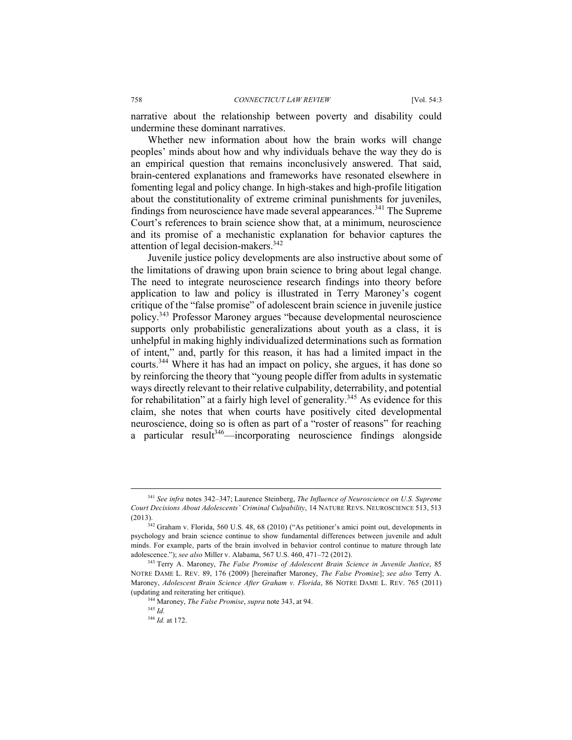narrative about the relationship between poverty and disability could undermine these dominant narratives.

Whether new information about how the brain works will change peoples' minds about how and why individuals behave the way they do is an empirical question that remains inconclusively answered. That said, brain-centered explanations and frameworks have resonated elsewhere in fomenting legal and policy change. In high-stakes and high-profile litigation about the constitutionality of extreme criminal punishments for juveniles, findings from neuroscience have made several appearances.<sup>341</sup> The Supreme Court's references to brain science show that, at a minimum, neuroscience and its promise of a mechanistic explanation for behavior captures the attention of legal decision-makers.<sup>342</sup>

Juvenile justice policy developments are also instructive about some of the limitations of drawing upon brain science to bring about legal change. The need to integrate neuroscience research findings into theory before application to law and policy is illustrated in Terry Maroney's cogent critique of the "false promise" of adolescent brain science in juvenile justice policy.343 Professor Maroney argues "because developmental neuroscience supports only probabilistic generalizations about youth as a class, it is unhelpful in making highly individualized determinations such as formation of intent," and, partly for this reason, it has had a limited impact in the courts.<sup>344</sup> Where it has had an impact on policy, she argues, it has done so by reinforcing the theory that "young people differ from adults in systematic ways directly relevant to their relative culpability, deterrability, and potential for rehabilitation" at a fairly high level of generality.<sup>345</sup> As evidence for this claim, she notes that when courts have positively cited developmental neuroscience, doing so is often as part of a "roster of reasons" for reaching a particular result<sup>346</sup>—incorporating neuroscience findings alongside

 <sup>341</sup> *See infra* notes 342–347; Laurence Steinberg, *The Influence of Neuroscience on U.S. Supreme Court Decisions About Adolescents' Criminal Culpability*, 14 NATURE REVS. NEUROSCIENCE 513, 513 (2013).

<sup>&</sup>lt;sup>342</sup> Graham v. Florida, 560 U.S. 48, 68 (2010) ("As petitioner's amici point out, developments in psychology and brain science continue to show fundamental differences between juvenile and adult minds. For example, parts of the brain involved in behavior control continue to mature through late adolescence."); *see also* Miller v. Alabama, 567 U.S. 460, 471–72 (2012).<br><sup>343</sup> Terry A. Maroney, *The False Promise of Adolescent Brain Science in Juvenile Justice*, 85

NOTRE DAME L. REV. 89, 176 (2009) [hereinafter Maroney, *The False Promise*]; *see also* Terry A. Maroney, *Adolescent Brain Science After Graham v. Florida*, 86 NOTRE DAME L. REV. 765 (2011) (updating and reiterating her critique). 344 Maroney, *The False Promise*, *supra* note 343, at 94.

<sup>345</sup> *Id.*

<sup>346</sup> *Id.* at 172.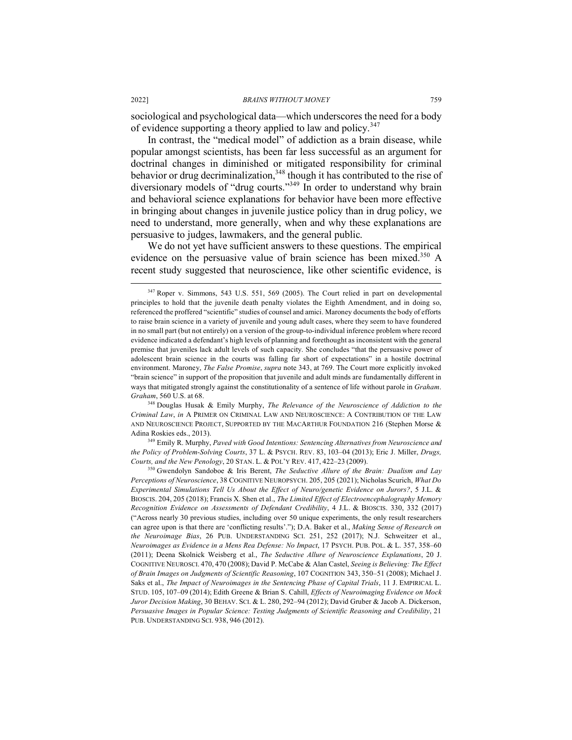sociological and psychological data—which underscores the need for a body of evidence supporting a theory applied to law and policy.<sup>347</sup>

In contrast, the "medical model" of addiction as a brain disease, while popular amongst scientists, has been far less successful as an argument for doctrinal changes in diminished or mitigated responsibility for criminal behavior or drug decriminalization,<sup>348</sup> though it has contributed to the rise of diversionary models of "drug courts."<sup>349</sup> In order to understand why brain and behavioral science explanations for behavior have been more effective in bringing about changes in juvenile justice policy than in drug policy, we need to understand, more generally, when and why these explanations are persuasive to judges, lawmakers, and the general public.

We do not yet have sufficient answers to these questions. The empirical evidence on the persuasive value of brain science has been mixed.<sup>350</sup> A recent study suggested that neuroscience, like other scientific evidence, is

<sup>348</sup> Douglas Husak & Emily Murphy, *The Relevance of the Neuroscience of Addiction to the Criminal Law*, *in* A PRIMER ON CRIMINAL LAW AND NEUROSCIENCE: A CONTRIBUTION OF THE LAW AND NEUROSCIENCE PROJECT, SUPPORTED BY THE MACARTHUR FOUNDATION 216 (Stephen Morse & Adina Roskies eds., 2013).

<sup>349</sup> Emily R. Murphy, *Paved with Good Intentions: Sentencing Alternatives from Neuroscience and the Policy of Problem-Solving Courts*, 37 L. & PSYCH. REV. 83, 103–04 (2013); Eric J. Miller, *Drugs, Courts, and the New Penology*, 20 STAN. L. & POL'Y REV. 417, 422–23 (2009).

<sup>350</sup> Gwendolyn Sandoboe & Iris Berent, *The Seductive Allure of the Brain: Dualism and Lay Perceptions of Neuroscience*, 38 COGNITIVE NEUROPSYCH. 205, 205 (2021); Nicholas Scurich, *What Do Experimental Simulations Tell Us About the Effect of Neuro/genetic Evidence on Jurors?*, 5 J.L. & BIOSCIS. 204, 205 (2018); Francis X. Shen et al., *The Limited Effect of Electroencephalography Memory Recognition Evidence on Assessments of Defendant Credibility*, 4 J.L. & BIOSCIS. 330, 332 (2017) ("Across nearly 30 previous studies, including over 50 unique experiments, the only result researchers can agree upon is that there are 'conflicting results'."); D.A. Baker et al., *Making Sense of Research on the Neuroimage Bias*, 26 PUB. UNDERSTANDING SCI. 251, 252 (2017); N.J. Schweitzer et al., *Neuroimages as Evidence in a Mens Rea Defense: No Impact*, 17 PSYCH. PUB. POL. & L. 357, 358–60 (2011); Deena Skolnick Weisberg et al., *The Seductive Allure of Neuroscience Explanations*, 20 J. COGNITIVE NEUROSCI. 470, 470 (2008); David P. McCabe & Alan Castel, *Seeing is Believing: The Effect of Brain Images on Judgments of Scientific Reasoning*, 107 COGNITION 343, 350–51 (2008); Michael J. Saks et al., *The Impact of Neuroimages in the Sentencing Phase of Capital Trials*, 11 J. EMPIRICAL L. STUD. 105, 107–09 (2014); Edith Greene & Brian S. Cahill, *Effects of Neuroimaging Evidence on Mock Juror Decision Making*, 30 BEHAV. SCI. & L. 280, 292–94 (2012); David Gruber & Jacob A. Dickerson, *Persuasive Images in Popular Science: Testing Judgments of Scientific Reasoning and Credibility*, 21 PUB. UNDERSTANDING SCI. 938, 946 (2012).

<sup>&</sup>lt;sup>347</sup> Roper v. Simmons, 543 U.S. 551, 569 (2005). The Court relied in part on developmental principles to hold that the juvenile death penalty violates the Eighth Amendment, and in doing so, referenced the proffered "scientific" studies of counsel and amici. Maroney documents the body of efforts to raise brain science in a variety of juvenile and young adult cases, where they seem to have foundered in no small part (but not entirely) on a version of the group-to-individual inference problem where record evidence indicated a defendant's high levels of planning and forethought as inconsistent with the general premise that juveniles lack adult levels of such capacity. She concludes "that the persuasive power of adolescent brain science in the courts was falling far short of expectations" in a hostile doctrinal environment. Maroney, *The False Promise*, *supra* note 343, at 769. The Court more explicitly invoked "brain science" in support of the proposition that juvenile and adult minds are fundamentally different in ways that mitigated strongly against the constitutionality of a sentence of life without parole in *Graham*. *Graham*, 560 U.S. at 68.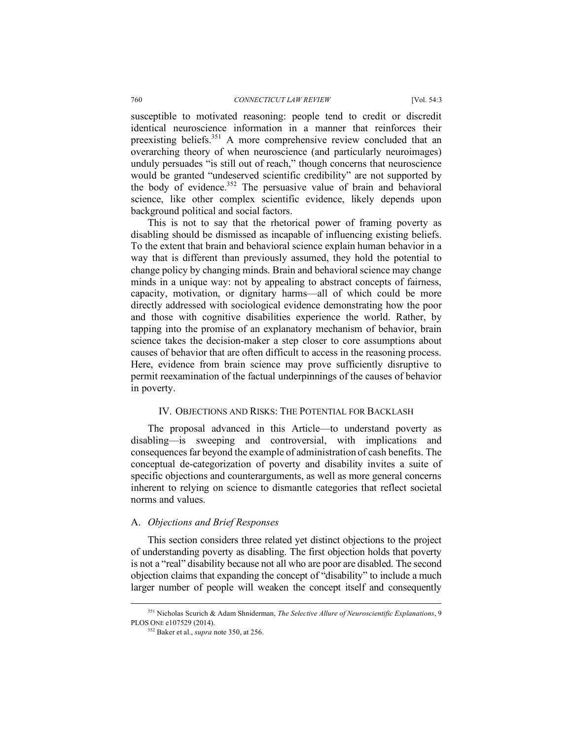susceptible to motivated reasoning: people tend to credit or discredit identical neuroscience information in a manner that reinforces their preexisting beliefs.351 A more comprehensive review concluded that an overarching theory of when neuroscience (and particularly neuroimages) unduly persuades "is still out of reach," though concerns that neuroscience would be granted "undeserved scientific credibility" are not supported by the body of evidence.<sup>352</sup> The persuasive value of brain and behavioral science, like other complex scientific evidence, likely depends upon background political and social factors.

This is not to say that the rhetorical power of framing poverty as disabling should be dismissed as incapable of influencing existing beliefs. To the extent that brain and behavioral science explain human behavior in a way that is different than previously assumed, they hold the potential to change policy by changing minds. Brain and behavioral science may change minds in a unique way: not by appealing to abstract concepts of fairness, capacity, motivation, or dignitary harms—all of which could be more directly addressed with sociological evidence demonstrating how the poor and those with cognitive disabilities experience the world. Rather, by tapping into the promise of an explanatory mechanism of behavior, brain science takes the decision-maker a step closer to core assumptions about causes of behavior that are often difficult to access in the reasoning process. Here, evidence from brain science may prove sufficiently disruptive to permit reexamination of the factual underpinnings of the causes of behavior in poverty.

## IV. OBJECTIONS AND RISKS: THE POTENTIAL FOR BACKLASH

The proposal advanced in this Article—to understand poverty as disabling—is sweeping and controversial, with implications and consequences far beyond the example of administration of cash benefits. The conceptual de-categorization of poverty and disability invites a suite of specific objections and counterarguments, as well as more general concerns inherent to relying on science to dismantle categories that reflect societal norms and values.

### A. *Objections and Brief Responses*

This section considers three related yet distinct objections to the project of understanding poverty as disabling. The first objection holds that poverty is not a "real" disability because not all who are poor are disabled. The second objection claims that expanding the concept of "disability" to include a much larger number of people will weaken the concept itself and consequently

 <sup>351</sup> Nicholas Scurich & Adam Shniderman, *The Selective Allure of Neuroscientific Explanations*, 9 PLOS ONE e107529 (2014). 352 Baker et al., *supra* note 350, at 256.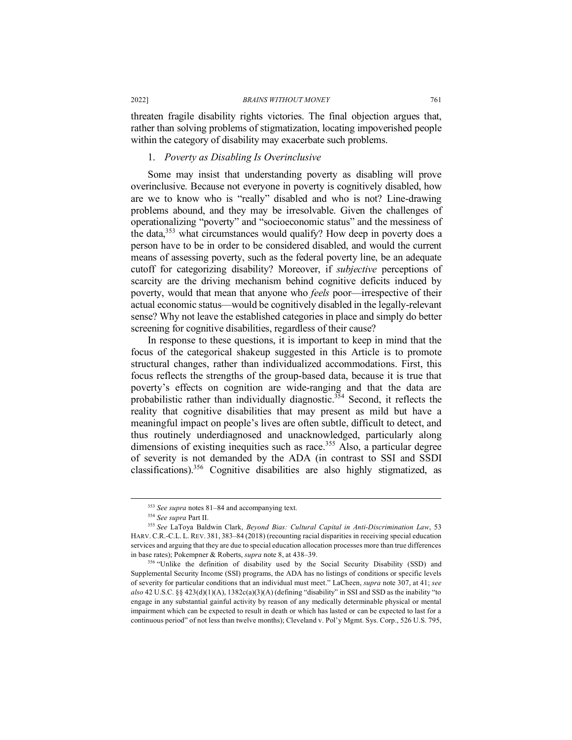threaten fragile disability rights victories. The final objection argues that, rather than solving problems of stigmatization, locating impoverished people within the category of disability may exacerbate such problems.

### 1. *Poverty as Disabling Is Overinclusive*

Some may insist that understanding poverty as disabling will prove overinclusive. Because not everyone in poverty is cognitively disabled, how are we to know who is "really" disabled and who is not? Line-drawing problems abound, and they may be irresolvable. Given the challenges of operationalizing "poverty" and "socioeconomic status" and the messiness of the data,353 what circumstances would qualify? How deep in poverty does a person have to be in order to be considered disabled, and would the current means of assessing poverty, such as the federal poverty line, be an adequate cutoff for categorizing disability? Moreover, if *subjective* perceptions of scarcity are the driving mechanism behind cognitive deficits induced by poverty, would that mean that anyone who *feels* poor—irrespective of their actual economic status—would be cognitively disabled in the legally-relevant sense? Why not leave the established categories in place and simply do better screening for cognitive disabilities, regardless of their cause?

In response to these questions, it is important to keep in mind that the focus of the categorical shakeup suggested in this Article is to promote structural changes, rather than individualized accommodations. First, this focus reflects the strengths of the group-based data, because it is true that poverty's effects on cognition are wide-ranging and that the data are probabilistic rather than individually diagnostic.<sup>354</sup> Second, it reflects the reality that cognitive disabilities that may present as mild but have a meaningful impact on people's lives are often subtle, difficult to detect, and thus routinely underdiagnosed and unacknowledged, particularly along dimensions of existing inequities such as race.<sup>355</sup> Also, a particular degree of severity is not demanded by the ADA (in contrast to SSI and SSDI classifications).356 Cognitive disabilities are also highly stigmatized, as

<sup>356</sup> "Unlike the definition of disability used by the Social Security Disability (SSD) and Supplemental Security Income (SSI) programs, the ADA has no listings of conditions or specific levels of severity for particular conditions that an individual must meet." LaCheen, *supra* note 307, at 41; *see also* 42 U.S.C. §§ 423(d)(1)(A), 1382c(a)(3)(A) (defining "disability" in SSI and SSD as the inability "to engage in any substantial gainful activity by reason of any medically determinable physical or mental impairment which can be expected to result in death or which has lasted or can be expected to last for a continuous period" of not less than twelve months); Cleveland v. Pol'y Mgmt. Sys. Corp., 526 U.S. 795,

 <sup>353</sup> *See supra* notes 81–84 and accompanying text.

<sup>354</sup> *See supra* Part II.

<sup>355</sup> *See* LaToya Baldwin Clark, *Beyond Bias: Cultural Capital in Anti-Discrimination Law*, 53 HARV. C.R.-C.L. L. REV. 381, 383–84 (2018) (recounting racial disparities in receiving special education services and arguing that they are due to special education allocation processes more than true differences in base rates); Pokempner & Roberts, *supra* note 8, at 438–39.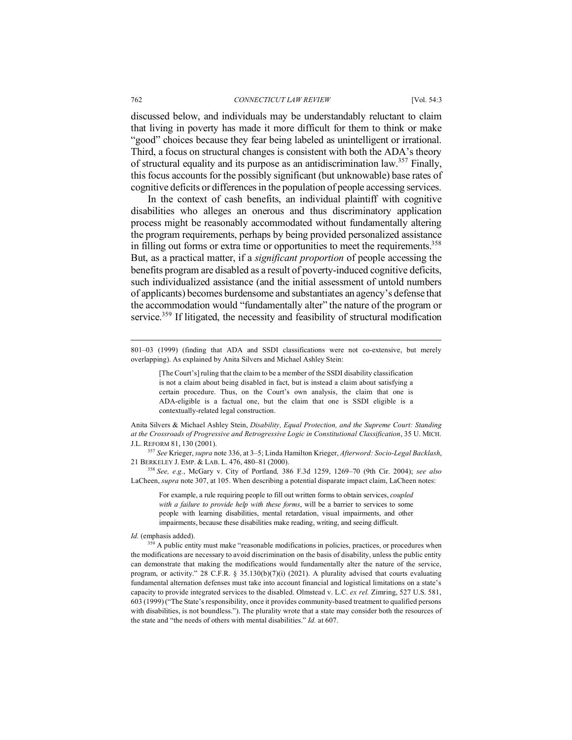#### 762 *CONNECTICUT LAW REVIEW* [Vol. 54:3

discussed below, and individuals may be understandably reluctant to claim that living in poverty has made it more difficult for them to think or make "good" choices because they fear being labeled as unintelligent or irrational. Third, a focus on structural changes is consistent with both the ADA's theory of structural equality and its purpose as an antidiscrimination law.<sup>357</sup> Finally, this focus accounts for the possibly significant (but unknowable) base rates of cognitive deficits or differences in the population of people accessing services.

In the context of cash benefits, an individual plaintiff with cognitive disabilities who alleges an onerous and thus discriminatory application process might be reasonably accommodated without fundamentally altering the program requirements, perhaps by being provided personalized assistance in filling out forms or extra time or opportunities to meet the requirements.<sup>358</sup> But, as a practical matter, if a *significant proportion* of people accessing the benefits program are disabled as a result of poverty-induced cognitive deficits, such individualized assistance (and the initial assessment of untold numbers of applicants) becomes burdensome and substantiates an agency's defense that the accommodation would "fundamentally alter" the nature of the program or service.<sup>359</sup> If litigated, the necessity and feasibility of structural modification

[The Court's] ruling that the claim to be a member of the SSDI disability classification is not a claim about being disabled in fact, but is instead a claim about satisfying a certain procedure. Thus, on the Court's own analysis, the claim that one is ADA-eligible is a factual one, but the claim that one is SSDI eligible is a contextually-related legal construction.

Anita Silvers & Michael Ashley Stein, *Disability, Equal Protection, and the Supreme Court: Standing at the Crossroads of Progressive and Retrogressive Logic in Constitutional Classification*, 35 U. MICH. J.L. REFORM 81, 130 (2001).

<sup>357</sup> *See* Krieger, *supra* note 336, at 3–5; Linda Hamilton Krieger, *Afterword: Socio-Legal Backlash*, 21 BERKELEY J. EMP. & LAB. L. 476, 480–81 (2000).

<sup>358</sup> *See, e.g.*, McGary v. City of Portland*,* 386 F.3d 1259, 1269–70 (9th Cir. 2004); *see also* LaCheen, *supra* note 307, at 105. When describing a potential disparate impact claim, LaCheen notes:

For example, a rule requiring people to fill out written forms to obtain services, *coupled with a failure to provide help with these forms*, will be a barrier to services to some people with learning disabilities, mental retardation, visual impairments, and other impairments, because these disabilities make reading, writing, and seeing difficult.

 <sup>801–03 (1999) (</sup>finding that ADA and SSDI classifications were not co-extensive, but merely overlapping). As explained by Anita Silvers and Michael Ashley Stein:

*Id.* (emphasis added).<br><sup>359</sup> A public entity must make "reasonable modifications in policies, practices, or procedures when the modifications are necessary to avoid discrimination on the basis of disability, unless the public entity can demonstrate that making the modifications would fundamentally alter the nature of the service, program, or activity." 28 C.F.R. § 35.130(b)(7)(i) (2021). A plurality advised that courts evaluating fundamental alternation defenses must take into account financial and logistical limitations on a state's capacity to provide integrated services to the disabled. Olmstead v. L.C. *ex rel.* Zimring, 527 U.S. 581, 603 (1999) ("The State's responsibility, once it provides community-based treatment to qualified persons with disabilities, is not boundless."). The plurality wrote that a state may consider both the resources of the state and "the needs of others with mental disabilities." *Id.* at 607.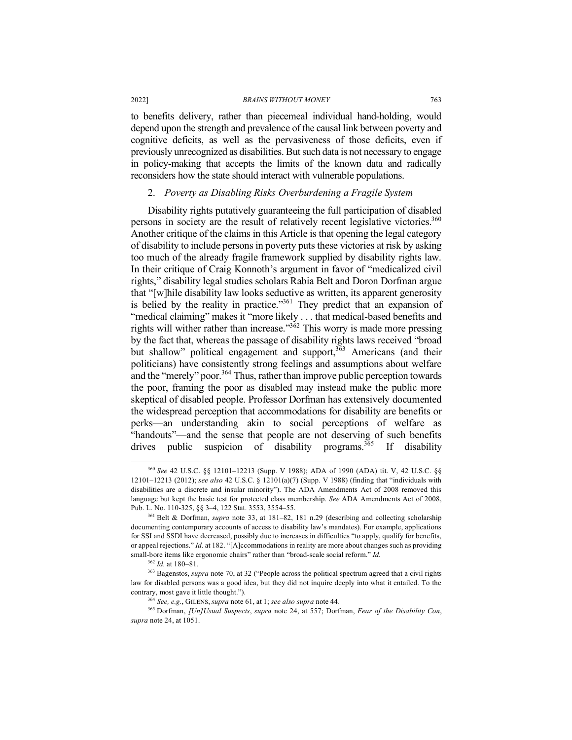to benefits delivery, rather than piecemeal individual hand-holding, would depend upon the strength and prevalence of the causal link between poverty and cognitive deficits, as well as the pervasiveness of those deficits, even if previously unrecognized as disabilities. But such data is not necessary to engage in policy-making that accepts the limits of the known data and radically reconsiders how the state should interact with vulnerable populations.

## 2. *Poverty as Disabling Risks Overburdening a Fragile System*

Disability rights putatively guaranteeing the full participation of disabled persons in society are the result of relatively recent legislative victories.<sup>360</sup> Another critique of the claims in this Article is that opening the legal category of disability to include persons in poverty puts these victories at risk by asking too much of the already fragile framework supplied by disability rights law. In their critique of Craig Konnoth's argument in favor of "medicalized civil rights," disability legal studies scholars Rabia Belt and Doron Dorfman argue that "[w]hile disability law looks seductive as written, its apparent generosity is belied by the reality in practice."<sup>361</sup> They predict that an expansion of "medical claiming" makes it "more likely . . . that medical-based benefits and rights will wither rather than increase."<sup>362</sup> This worry is made more pressing by the fact that, whereas the passage of disability rights laws received "broad but shallow" political engagement and support,<sup>363</sup> Americans (and their politicians) have consistently strong feelings and assumptions about welfare and the "merely" poor.<sup>364</sup> Thus, rather than improve public perception towards the poor, framing the poor as disabled may instead make the public more skeptical of disabled people. Professor Dorfman has extensively documented the widespread perception that accommodations for disability are benefits or perks—an understanding akin to social perceptions of welfare as "handouts"—and the sense that people are not deserving of such benefits  $\frac{1}{2}$  drives public suspicion of disability programs.<sup>365</sup> If disability

 <sup>360</sup> *See* 42 U.S.C. §§ 12101–12213 (Supp. V 1988); ADA of 1990 (ADA) tit. V, 42 U.S.C. §§ 12101–12213 (2012); *see also* 42 U.S.C. § 12101(a)(7) (Supp. V 1988) (finding that "individuals with disabilities are a discrete and insular minority"). The ADA Amendments Act of 2008 removed this language but kept the basic test for protected class membership. *See* ADA Amendments Act of 2008, Pub. L. No. 110-325, §§ 3–4, 122 Stat. 3553, 3554–55. 361 Belt & Dorfman, *supra* note 33, at 181–82, 181 n.29 (describing and collecting scholarship

documenting contemporary accounts of access to disability law's mandates). For example, applications for SSI and SSDI have decreased, possibly due to increases in difficulties "to apply, qualify for benefits, or appeal rejections." *Id.* at 182. "[A]ccommodations in reality are more about changes such as providing small-bore items like ergonomic chairs" rather than "broad-scale social reform." *Id.* 

<sup>362</sup> *Id.* at 180–81.

<sup>363</sup> Bagenstos, *supra* note 70, at 32 ("People across the political spectrum agreed that a civil rights law for disabled persons was a good idea, but they did not inquire deeply into what it entailed. To the contrary, most gave it little thought.").<br> $364 \text{ See.}$  e.g.. GILENS. *supra* note 61. at 1: *see also supra* note 44.

<sup>364</sup> *See, e.g.*, GILENS, *supra* note 61, at 1; *see also supra* note 44. 365 Dorfman, *[Un]Usual Suspects*, *supra* note 24, at 557; Dorfman, *Fear of the Disability Con*, *supra* note 24, at 1051.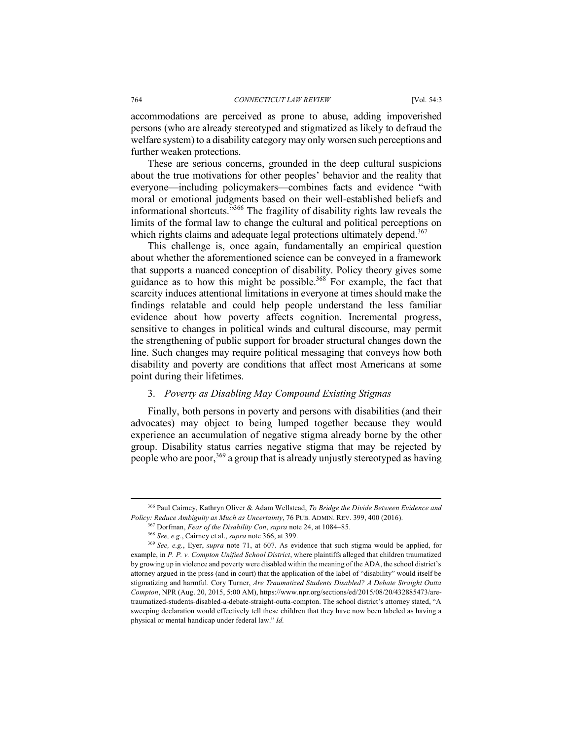accommodations are perceived as prone to abuse, adding impoverished persons (who are already stereotyped and stigmatized as likely to defraud the welfare system) to a disability category may only worsen such perceptions and further weaken protections.

These are serious concerns, grounded in the deep cultural suspicions about the true motivations for other peoples' behavior and the reality that everyone—including policymakers—combines facts and evidence "with moral or emotional judgments based on their well-established beliefs and informational shortcuts."366 The fragility of disability rights law reveals the limits of the formal law to change the cultural and political perceptions on which rights claims and adequate legal protections ultimately depend.<sup>367</sup>

This challenge is, once again, fundamentally an empirical question about whether the aforementioned science can be conveyed in a framework that supports a nuanced conception of disability. Policy theory gives some guidance as to how this might be possible.<sup>368</sup> For example, the fact that scarcity induces attentional limitations in everyone at times should make the findings relatable and could help people understand the less familiar evidence about how poverty affects cognition. Incremental progress, sensitive to changes in political winds and cultural discourse, may permit the strengthening of public support for broader structural changes down the line. Such changes may require political messaging that conveys how both disability and poverty are conditions that affect most Americans at some point during their lifetimes.

## 3. *Poverty as Disabling May Compound Existing Stigmas*

Finally, both persons in poverty and persons with disabilities (and their advocates) may object to being lumped together because they would experience an accumulation of negative stigma already borne by the other group. Disability status carries negative stigma that may be rejected by people who are poor,  $369$  a group that is already unjustly stereotyped as having

 <sup>366</sup> Paul Cairney, Kathryn Oliver & Adam Wellstead, *To Bridge the Divide Between Evidence and*  Policy: Reduce Ambiguity as Much as Uncertainty, 76 PUB. ADMIN. REV. 399, 400 (2016).<br><sup>367</sup> Dorfman, *Fear of the Disability Con*, *supra* note 24, at 1084–85.<br><sup>368</sup> See, e.g., Cairney et al., *supra* note 366, at 399.

<sup>369</sup> *See, e.g.*, Eyer, *supra* note 71, at 607. As evidence that such stigma would be applied, for example, in *P. P. v. Compton Unified School District*, where plaintiffs alleged that children traumatized by growing up in violence and poverty were disabled within the meaning of the ADA, the school district's attorney argued in the press (and in court) that the application of the label of "disability" would itself be stigmatizing and harmful. Cory Turner, *Are Traumatized Students Disabled? A Debate Straight Outta Compton*, NPR (Aug. 20, 2015, 5:00 AM), https://www.npr.org/sections/ed/2015/08/20/432885473/aretraumatized-students-disabled-a-debate-straight-outta-compton. The school district's attorney stated, "A sweeping declaration would effectively tell these children that they have now been labeled as having a physical or mental handicap under federal law." *Id.*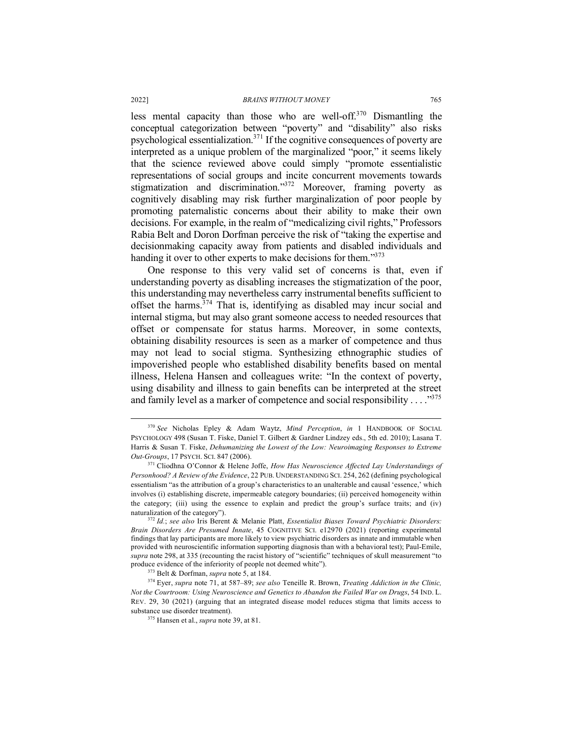less mental capacity than those who are well-off. $370$  Dismantling the conceptual categorization between "poverty" and "disability" also risks psychological essentialization.371 If the cognitive consequences of poverty are interpreted as a unique problem of the marginalized "poor," it seems likely that the science reviewed above could simply "promote essentialistic representations of social groups and incite concurrent movements towards stigmatization and discrimination."372 Moreover, framing poverty as cognitively disabling may risk further marginalization of poor people by promoting paternalistic concerns about their ability to make their own decisions. For example, in the realm of "medicalizing civil rights," Professors Rabia Belt and Doron Dorfman perceive the risk of "taking the expertise and decisionmaking capacity away from patients and disabled individuals and handing it over to other experts to make decisions for them."<sup>373</sup>

One response to this very valid set of concerns is that, even if understanding poverty as disabling increases the stigmatization of the poor, this understanding may nevertheless carry instrumental benefits sufficient to offset the harms. $374$  That is, identifying as disabled may incur social and internal stigma, but may also grant someone access to needed resources that offset or compensate for status harms. Moreover, in some contexts, obtaining disability resources is seen as a marker of competence and thus may not lead to social stigma. Synthesizing ethnographic studies of impoverished people who established disability benefits based on mental illness, Helena Hansen and colleagues write: "In the context of poverty, using disability and illness to gain benefits can be interpreted at the street and family level as a marker of competence and social responsibility . . . ."375

 <sup>370</sup> *See* Nicholas Epley & Adam Waytz, *Mind Perception*, *in* 1 HANDBOOK OF SOCIAL PSYCHOLOGY 498 (Susan T. Fiske, Daniel T. Gilbert & Gardner Lindzey eds., 5th ed. 2010); Lasana T. Harris & Susan T. Fiske, *Dehumanizing the Lowest of the Low: Neuroimaging Responses to Extreme Out-Groups*, 17 PSYCH. SCI. 847 (2006).

<sup>371</sup> Cliodhna O'Connor & Helene Joffe, *How Has Neuroscience Affected Lay Understandings of Personhood? A Review of the Evidence*, 22 PUB. UNDERSTANDING SCI. 254, 262 (defining psychological essentialism "as the attribution of a group's characteristics to an unalterable and causal 'essence,' which involves (i) establishing discrete, impermeable category boundaries; (ii) perceived homogeneity within the category; (iii) using the essence to explain and predict the group's surface traits; and (iv) naturalization of the category").

<sup>372</sup> *Id.*; *see also* Iris Berent & Melanie Platt, *Essentialist Biases Toward Psychiatric Disorders: Brain Disorders Are Presumed Innate*, 45 COGNITIVE SCI. e12970 (2021) (reporting experimental findings that lay participants are more likely to view psychiatric disorders as innate and immutable when provided with neuroscientific information supporting diagnosis than with a behavioral test); Paul-Emile, *supra* note 298, at 335 (recounting the racist history of "scientific" techniques of skull measurement "to produce evidence of the inferiority of people not deemed white").

<sup>373</sup> Belt & Dorfman, *supra* note 5, at 184. 374 Eyer, *supra* note 71, at 587–89; *see also* Teneille R. Brown, *Treating Addiction in the Clinic, Not the Courtroom: Using Neuroscience and Genetics to Abandon the Failed War on Drugs*, 54 IND. L. REV. 29, 30 (2021) (arguing that an integrated disease model reduces stigma that limits access to substance use disorder treatment).

<sup>375</sup> Hansen et al., *supra* note 39, at 81.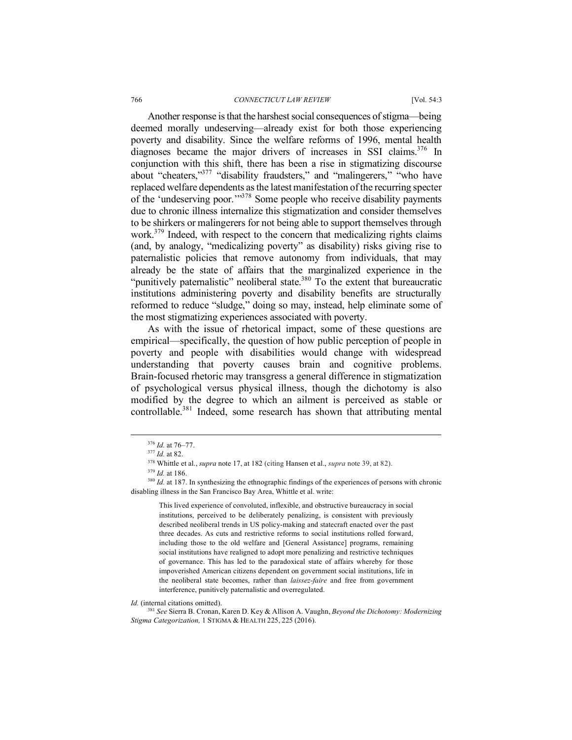Another response is that the harshest social consequences of stigma—being deemed morally undeserving—already exist for both those experiencing poverty and disability. Since the welfare reforms of 1996, mental health diagnoses became the major drivers of increases in SSI claims.<sup>376</sup> In conjunction with this shift, there has been a rise in stigmatizing discourse about "cheaters,"<sup>377</sup> "disability fraudsters," and "malingerers," "who have replaced welfare dependents as the latest manifestation of the recurring specter of the 'undeserving poor.'"378 Some people who receive disability payments due to chronic illness internalize this stigmatization and consider themselves to be shirkers or malingerers for not being able to support themselves through work.379 Indeed, with respect to the concern that medicalizing rights claims (and, by analogy, "medicalizing poverty" as disability) risks giving rise to paternalistic policies that remove autonomy from individuals, that may already be the state of affairs that the marginalized experience in the "punitively paternalistic" neoliberal state. $380$  To the extent that bureaucratic institutions administering poverty and disability benefits are structurally reformed to reduce "sludge," doing so may, instead, help eliminate some of the most stigmatizing experiences associated with poverty.

As with the issue of rhetorical impact, some of these questions are empirical—specifically, the question of how public perception of people in poverty and people with disabilities would change with widespread understanding that poverty causes brain and cognitive problems. Brain-focused rhetoric may transgress a general difference in stigmatization of psychological versus physical illness, though the dichotomy is also modified by the degree to which an ailment is perceived as stable or controllable.<sup>381</sup> Indeed, some research has shown that attributing mental

This lived experience of convoluted, inflexible, and obstructive bureaucracy in social institutions, perceived to be deliberately penalizing, is consistent with previously described neoliberal trends in US policy-making and statecraft enacted over the past three decades. As cuts and restrictive reforms to social institutions rolled forward, including those to the old welfare and [General Assistance] programs, remaining social institutions have realigned to adopt more penalizing and restrictive techniques of governance. This has led to the paradoxical state of affairs whereby for those impoverished American citizens dependent on government social institutions, life in the neoliberal state becomes, rather than *laissez-faire* and free from government interference, punitively paternalistic and overregulated.

*Id.* (internal citations omitted). 381 *See* Sierra B. Cronan, Karen D. Key & Allison A. Vaughn, *Beyond the Dichotomy: Modernizing Stigma Categorization,* 1 STIGMA & HEALTH 225, 225 (2016).

<sup>376</sup> *Id.* at 76–77. 377 *Id.* at 82.

<sup>378</sup> Whittle et al., *supra* note 17, at 182 (citing Hansen et al., *supra* note 39, at 82).

<sup>379</sup> *Id.* at 186.

<sup>&</sup>lt;sup>380</sup> *Id.* at 187. In synthesizing the ethnographic findings of the experiences of persons with chronic disabling illness in the San Francisco Bay Area, Whittle et al. write: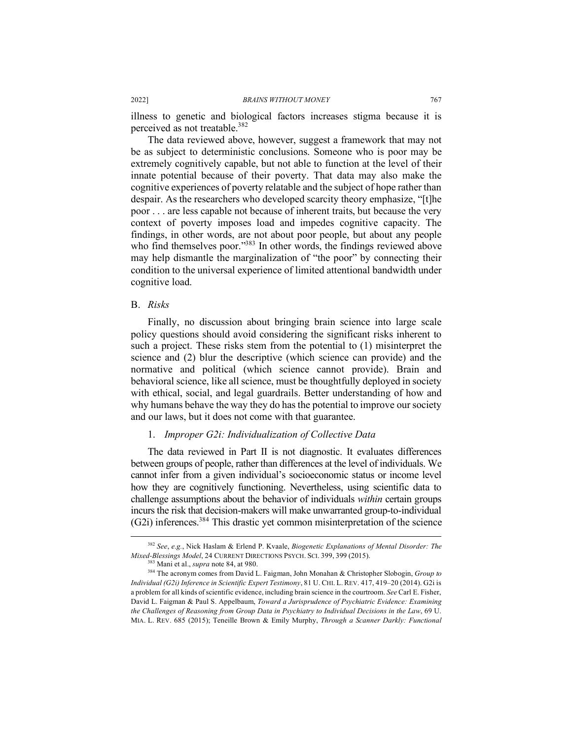illness to genetic and biological factors increases stigma because it is perceived as not treatable.<sup>382</sup>

The data reviewed above, however, suggest a framework that may not be as subject to deterministic conclusions. Someone who is poor may be extremely cognitively capable, but not able to function at the level of their innate potential because of their poverty. That data may also make the cognitive experiences of poverty relatable and the subject of hope rather than despair. As the researchers who developed scarcity theory emphasize, "[t]he poor . . . are less capable not because of inherent traits, but because the very context of poverty imposes load and impedes cognitive capacity. The findings, in other words, are not about poor people, but about any people who find themselves poor."<sup>383</sup> In other words, the findings reviewed above may help dismantle the marginalization of "the poor" by connecting their condition to the universal experience of limited attentional bandwidth under cognitive load.

## B. *Risks*

Finally, no discussion about bringing brain science into large scale policy questions should avoid considering the significant risks inherent to such a project. These risks stem from the potential to (1) misinterpret the science and (2) blur the descriptive (which science can provide) and the normative and political (which science cannot provide). Brain and behavioral science, like all science, must be thoughtfully deployed in society with ethical, social, and legal guardrails. Better understanding of how and why humans behave the way they do has the potential to improve our society and our laws, but it does not come with that guarantee.

## 1. *Improper G2i: Individualization of Collective Data*

The data reviewed in Part II is not diagnostic. It evaluates differences between groups of people, rather than differences at the level of individuals. We cannot infer from a given individual's socioeconomic status or income level how they are cognitively functioning. Nevertheless, using scientific data to challenge assumptions about the behavior of individuals *within* certain groups incurs the risk that decision-makers will make unwarranted group-to-individual (G2i) inferences.384 This drastic yet common misinterpretation of the science

 <sup>382</sup> *See*, *e.g.*, Nick Haslam & Erlend P. Kvaale, *Biogenetic Explanations of Mental Disorder: The Mixed-Blessings Model*, 24 CURRENT DIRECTIONS PSYCH. SCI. 399, 399 (2015).

<sup>383</sup> Mani et al., *supra* note 84, at 980.

<sup>384</sup> The acronym comes from David L. Faigman, John Monahan & Christopher Slobogin, *Group to Individual (G2i) Inference in Scientific Expert Testimony*, 81 U. CHI. L. REV. 417, 419–20 (2014). G2i is a problem for all kinds of scientific evidence, including brain science in the courtroom. *See* Carl E. Fisher, David L. Faigman & Paul S. Appelbaum, *Toward a Jurisprudence of Psychiatric Evidence: Examining the Challenges of Reasoning from Group Data in Psychiatry to Individual Decisions in the Law*, 69 U. MIA. L. REV. 685 (2015); Teneille Brown & Emily Murphy, *Through a Scanner Darkly: Functional*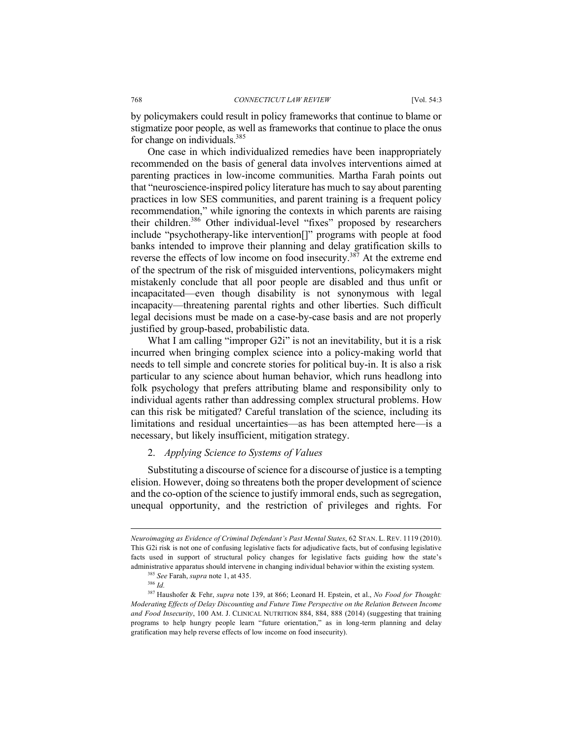by policymakers could result in policy frameworks that continue to blame or stigmatize poor people, as well as frameworks that continue to place the onus for change on individuals.<sup>385</sup>

One case in which individualized remedies have been inappropriately recommended on the basis of general data involves interventions aimed at parenting practices in low-income communities. Martha Farah points out that "neuroscience-inspired policy literature has much to say about parenting practices in low SES communities, and parent training is a frequent policy recommendation," while ignoring the contexts in which parents are raising their children.386 Other individual-level "fixes" proposed by researchers include "psychotherapy-like intervention[]" programs with people at food banks intended to improve their planning and delay gratification skills to reverse the effects of low income on food insecurity.<sup>387</sup> At the extreme end of the spectrum of the risk of misguided interventions, policymakers might mistakenly conclude that all poor people are disabled and thus unfit or incapacitated—even though disability is not synonymous with legal incapacity—threatening parental rights and other liberties. Such difficult legal decisions must be made on a case-by-case basis and are not properly justified by group-based, probabilistic data.

What I am calling "improper G2i" is not an inevitability, but it is a risk incurred when bringing complex science into a policy-making world that needs to tell simple and concrete stories for political buy-in. It is also a risk particular to any science about human behavior, which runs headlong into folk psychology that prefers attributing blame and responsibility only to individual agents rather than addressing complex structural problems. How can this risk be mitigated? Careful translation of the science, including its limitations and residual uncertainties—as has been attempted here—is a necessary, but likely insufficient, mitigation strategy.

### 2. *Applying Science to Systems of Values*

Substituting a discourse of science for a discourse of justice is a tempting elision. However, doing so threatens both the proper development of science and the co-option of the science to justify immoral ends, such as segregation, unequal opportunity, and the restriction of privileges and rights. For

<u>.</u>

*Neuroimaging as Evidence of Criminal Defendant's Past Mental States*, 62 STAN. L. REV. 1119 (2010). This G2i risk is not one of confusing legislative facts for adjudicative facts, but of confusing legislative facts used in support of structural policy changes for legislative facts guiding how the state's administrative apparatus should intervene in changing individual behavior within the existing system.

<sup>385</sup> *See* Farah, *supra* note 1, at 435. 386 *Id.*

<sup>387</sup> Haushofer & Fehr, *supra* note 139, at 866; Leonard H. Epstein, et al., *No Food for Thought: Moderating Effects of Delay Discounting and Future Time Perspective on the Relation Between Income and Food Insecurity*, 100 AM. J. CLINICAL NUTRITION 884, 884, 888 (2014) (suggesting that training programs to help hungry people learn "future orientation," as in long-term planning and delay gratification may help reverse effects of low income on food insecurity).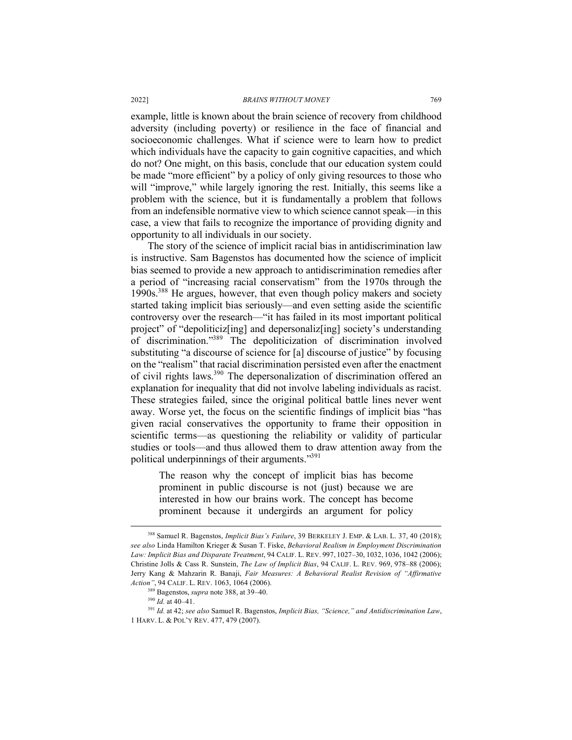example, little is known about the brain science of recovery from childhood adversity (including poverty) or resilience in the face of financial and socioeconomic challenges. What if science were to learn how to predict which individuals have the capacity to gain cognitive capacities, and which do not? One might, on this basis, conclude that our education system could be made "more efficient" by a policy of only giving resources to those who will "improve," while largely ignoring the rest. Initially, this seems like a problem with the science, but it is fundamentally a problem that follows from an indefensible normative view to which science cannot speak—in this case, a view that fails to recognize the importance of providing dignity and opportunity to all individuals in our society.

The story of the science of implicit racial bias in antidiscrimination law is instructive. Sam Bagenstos has documented how the science of implicit bias seemed to provide a new approach to antidiscrimination remedies after a period of "increasing racial conservatism" from the 1970s through the 1990s.388 He argues, however, that even though policy makers and society started taking implicit bias seriously—and even setting aside the scientific controversy over the research—"it has failed in its most important political project" of "depoliticiz[ing] and depersonaliz[ing] society's understanding of discrimination."389 The depoliticization of discrimination involved substituting "a discourse of science for [a] discourse of justice" by focusing on the "realism" that racial discrimination persisted even after the enactment of civil rights laws.390 The depersonalization of discrimination offered an explanation for inequality that did not involve labeling individuals as racist. These strategies failed, since the original political battle lines never went away. Worse yet, the focus on the scientific findings of implicit bias "has given racial conservatives the opportunity to frame their opposition in scientific terms—as questioning the reliability or validity of particular studies or tools—and thus allowed them to draw attention away from the political underpinnings of their arguments."391

The reason why the concept of implicit bias has become prominent in public discourse is not (just) because we are interested in how our brains work. The concept has become prominent because it undergirds an argument for policy

 <sup>388</sup> Samuel R. Bagenstos, *Implicit Bias's Failure*, 39 BERKELEY J. EMP. & LAB. L. 37, 40 (2018); *see also* Linda Hamilton Krieger & Susan T. Fiske, *Behavioral Realism in Employment Discrimination Law: Implicit Bias and Disparate Treatment*, 94 CALIF. L. REV. 997, 1027–30, 1032, 1036, 1042 (2006); Christine Jolls & Cass R. Sunstein, *The Law of Implicit Bias*, 94 CALIF. L. REV. 969, 978–88 (2006); Jerry Kang & Mahzarin R. Banaji, *Fair Measures: A Behavioral Realist Revision of "Affirmative Action"*, 94 CALIF. L. REV. 1063, 1064 (2006).

<sup>389</sup> Bagenstos, *supra* note 388, at 39–40. 390 *Id.* at 40–41.

<sup>391</sup> *Id.* at 42; *see also* Samuel R. Bagenstos, *Implicit Bias, "Science," and Antidiscrimination Law*, 1 HARV. L. & POL'Y REV. 477, 479 (2007).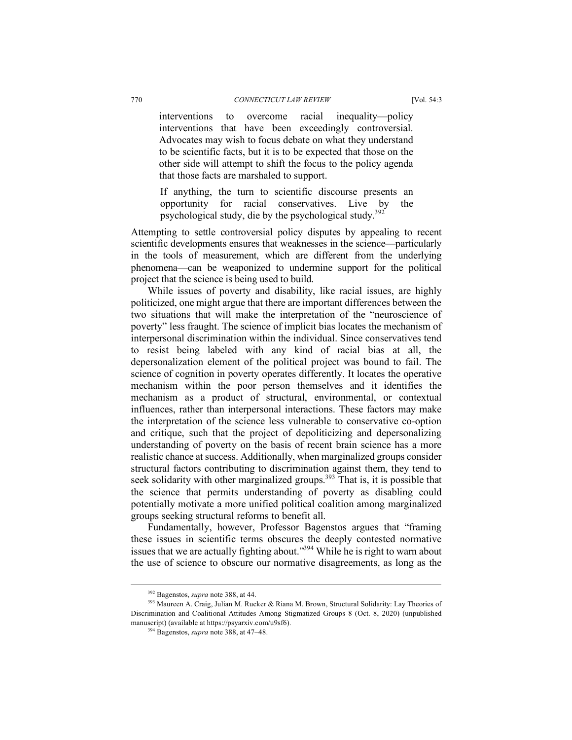interventions to overcome racial inequality—policy interventions that have been exceedingly controversial. Advocates may wish to focus debate on what they understand to be scientific facts, but it is to be expected that those on the other side will attempt to shift the focus to the policy agenda that those facts are marshaled to support.

If anything, the turn to scientific discourse presents an opportunity for racial conservatives. Live by the psychological study, die by the psychological study.392

Attempting to settle controversial policy disputes by appealing to recent scientific developments ensures that weaknesses in the science—particularly in the tools of measurement, which are different from the underlying phenomena—can be weaponized to undermine support for the political project that the science is being used to build.

While issues of poverty and disability, like racial issues, are highly politicized, one might argue that there are important differences between the two situations that will make the interpretation of the "neuroscience of poverty" less fraught. The science of implicit bias locates the mechanism of interpersonal discrimination within the individual. Since conservatives tend to resist being labeled with any kind of racial bias at all, the depersonalization element of the political project was bound to fail. The science of cognition in poverty operates differently. It locates the operative mechanism within the poor person themselves and it identifies the mechanism as a product of structural, environmental, or contextual influences, rather than interpersonal interactions. These factors may make the interpretation of the science less vulnerable to conservative co-option and critique, such that the project of depoliticizing and depersonalizing understanding of poverty on the basis of recent brain science has a more realistic chance at success. Additionally, when marginalized groups consider structural factors contributing to discrimination against them, they tend to seek solidarity with other marginalized groups.<sup>393</sup> That is, it is possible that the science that permits understanding of poverty as disabling could potentially motivate a more unified political coalition among marginalized groups seeking structural reforms to benefit all.

Fundamentally, however, Professor Bagenstos argues that "framing these issues in scientific terms obscures the deeply contested normative issues that we are actually fighting about." $394$  While he is right to warn about the use of science to obscure our normative disagreements, as long as the

<sup>&</sup>lt;sup>392</sup> Bagenstos, *supra* note 388, at 44.<br><sup>393</sup> Maureen A. Craig, Julian M. Rucker & Riana M. Brown, Structural Solidarity: Lay Theories of Discrimination and Coalitional Attitudes Among Stigmatized Groups 8 (Oct. 8, 2020) (unpublished manuscript) (available at https://psyarxiv.com/u9sf6). 394 Bagenstos, *supra* note 388, at 47–48.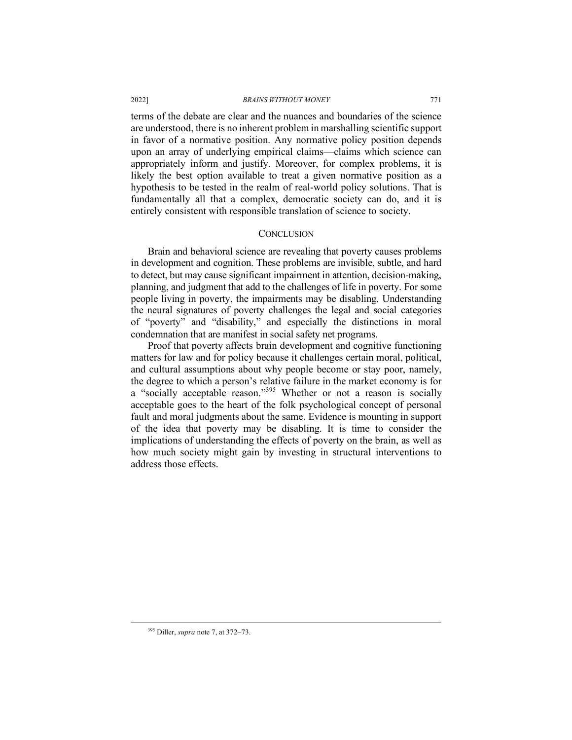terms of the debate are clear and the nuances and boundaries of the science are understood, there is no inherent problem in marshalling scientific support in favor of a normative position. Any normative policy position depends upon an array of underlying empirical claims—claims which science can appropriately inform and justify. Moreover, for complex problems, it is likely the best option available to treat a given normative position as a hypothesis to be tested in the realm of real-world policy solutions. That is fundamentally all that a complex, democratic society can do, and it is entirely consistent with responsible translation of science to society.

## **CONCLUSION**

Brain and behavioral science are revealing that poverty causes problems in development and cognition. These problems are invisible, subtle, and hard to detect, but may cause significant impairment in attention, decision-making, planning, and judgment that add to the challenges of life in poverty. For some people living in poverty, the impairments may be disabling. Understanding the neural signatures of poverty challenges the legal and social categories of "poverty" and "disability," and especially the distinctions in moral condemnation that are manifest in social safety net programs.

Proof that poverty affects brain development and cognitive functioning matters for law and for policy because it challenges certain moral, political, and cultural assumptions about why people become or stay poor, namely, the degree to which a person's relative failure in the market economy is for a "socially acceptable reason."<sup>395</sup> Whether or not a reason is socially acceptable goes to the heart of the folk psychological concept of personal fault and moral judgments about the same. Evidence is mounting in support of the idea that poverty may be disabling. It is time to consider the implications of understanding the effects of poverty on the brain, as well as how much society might gain by investing in structural interventions to address those effects.